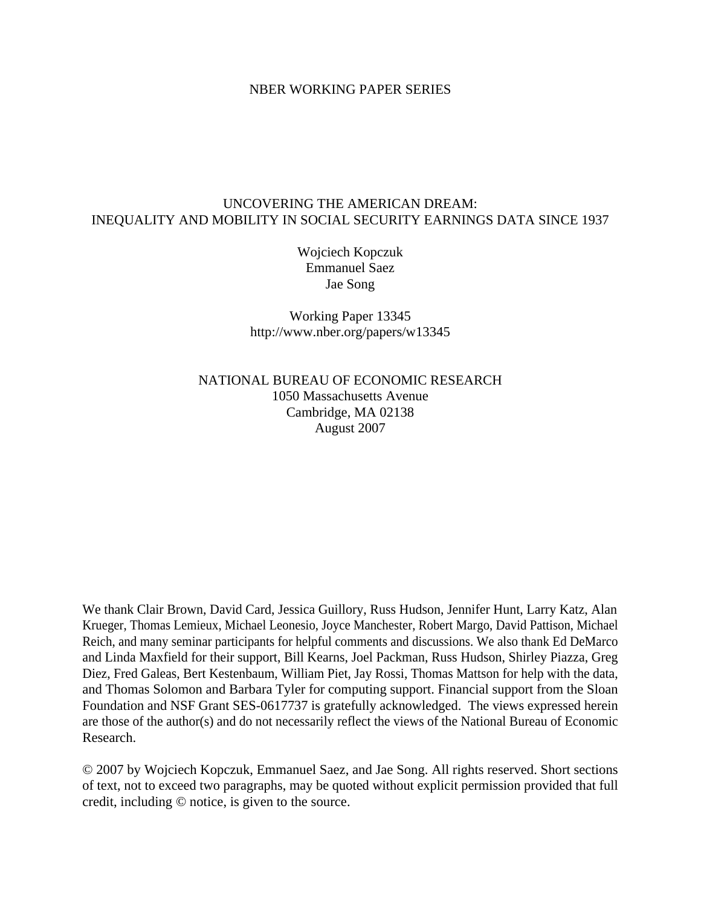## NBER WORKING PAPER SERIES

## UNCOVERING THE AMERICAN DREAM: INEQUALITY AND MOBILITY IN SOCIAL SECURITY EARNINGS DATA SINCE 1937

Wojciech Kopczuk Emmanuel Saez Jae Song

Working Paper 13345 http://www.nber.org/papers/w13345

NATIONAL BUREAU OF ECONOMIC RESEARCH 1050 Massachusetts Avenue Cambridge, MA 02138 August 2007

We thank Clair Brown, David Card, Jessica Guillory, Russ Hudson, Jennifer Hunt, Larry Katz, Alan Krueger, Thomas Lemieux, Michael Leonesio, Joyce Manchester, Robert Margo, David Pattison, Michael Reich, and many seminar participants for helpful comments and discussions. We also thank Ed DeMarco and Linda Maxfield for their support, Bill Kearns, Joel Packman, Russ Hudson, Shirley Piazza, Greg Diez, Fred Galeas, Bert Kestenbaum, William Piet, Jay Rossi, Thomas Mattson for help with the data, and Thomas Solomon and Barbara Tyler for computing support. Financial support from the Sloan Foundation and NSF Grant SES-0617737 is gratefully acknowledged. The views expressed herein are those of the author(s) and do not necessarily reflect the views of the National Bureau of Economic Research.

© 2007 by Wojciech Kopczuk, Emmanuel Saez, and Jae Song. All rights reserved. Short sections of text, not to exceed two paragraphs, may be quoted without explicit permission provided that full credit, including © notice, is given to the source.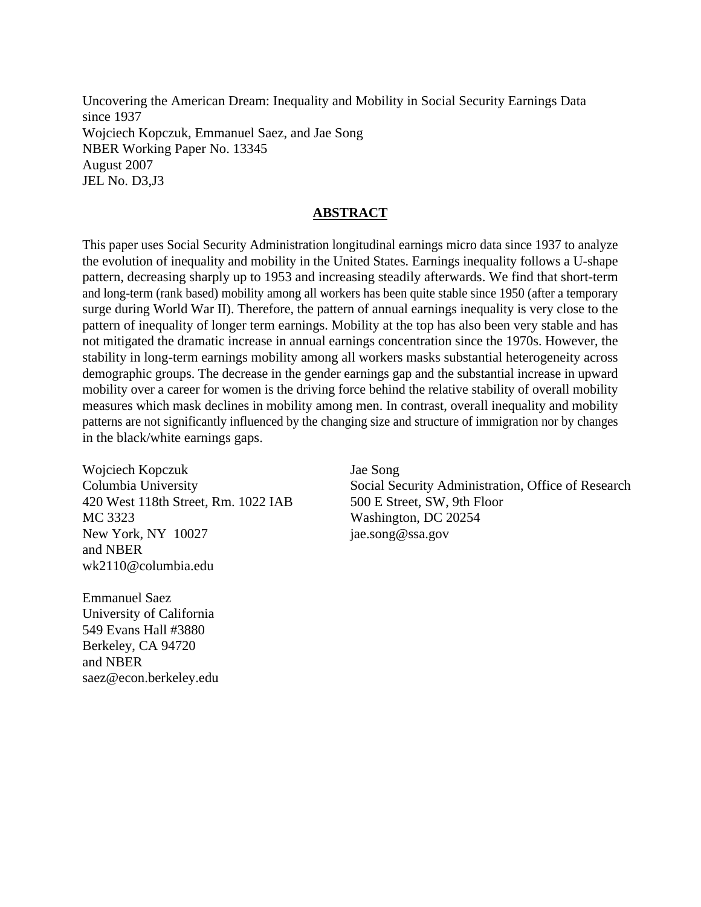Uncovering the American Dream: Inequality and Mobility in Social Security Earnings Data since 1937 Wojciech Kopczuk, Emmanuel Saez, and Jae Song NBER Working Paper No. 13345 August 2007 JEL No. D3,J3

## **ABSTRACT**

This paper uses Social Security Administration longitudinal earnings micro data since 1937 to analyze the evolution of inequality and mobility in the United States. Earnings inequality follows a U-shape pattern, decreasing sharply up to 1953 and increasing steadily afterwards. We find that short-term and long-term (rank based) mobility among all workers has been quite stable since 1950 (after a temporary surge during World War II). Therefore, the pattern of annual earnings inequality is very close to the pattern of inequality of longer term earnings. Mobility at the top has also been very stable and has not mitigated the dramatic increase in annual earnings concentration since the 1970s. However, the stability in long-term earnings mobility among all workers masks substantial heterogeneity across demographic groups. The decrease in the gender earnings gap and the substantial increase in upward mobility over a career for women is the driving force behind the relative stability of overall mobility measures which mask declines in mobility among men. In contrast, overall inequality and mobility patterns are not significantly influenced by the changing size and structure of immigration nor by changes in the black/white earnings gaps.

Wojciech Kopczuk Columbia University 420 West 118th Street, Rm. 1022 IAB MC 3323 New York, NY 10027 and NBER wk2110@columbia.edu

Emmanuel Saez University of California 549 Evans Hall #3880 Berkeley, CA 94720 and NBER saez@econ.berkeley.edu

Jae Song Social Security Administration, Office of Research 500 E Street, SW, 9th Floor Washington, DC 20254 jae.song@ssa.gov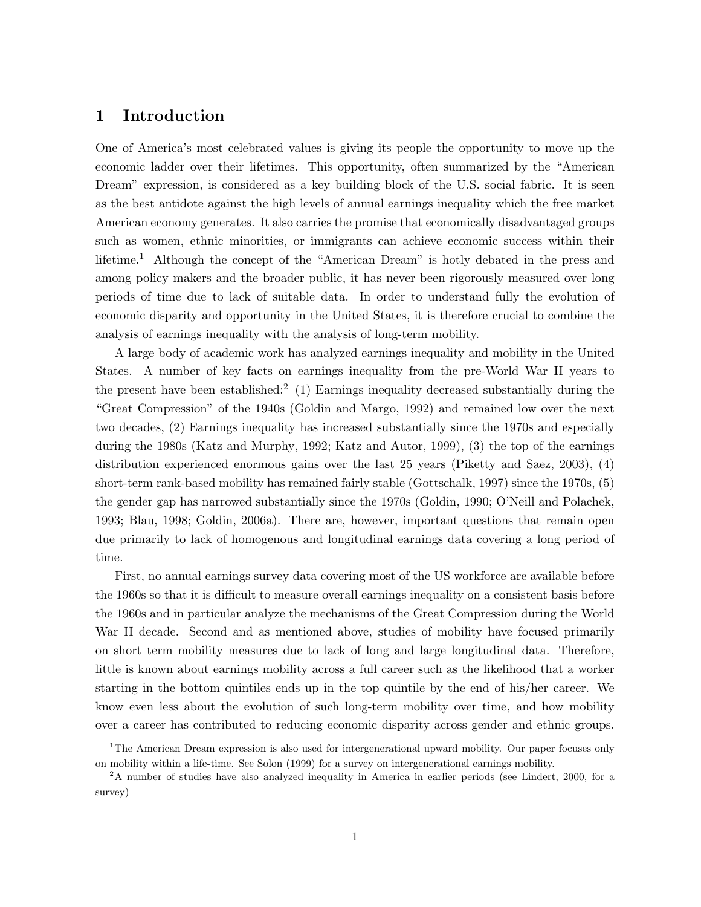## 1 Introduction

One of America's most celebrated values is giving its people the opportunity to move up the economic ladder over their lifetimes. This opportunity, often summarized by the "American Dream" expression, is considered as a key building block of the U.S. social fabric. It is seen as the best antidote against the high levels of annual earnings inequality which the free market American economy generates. It also carries the promise that economically disadvantaged groups such as women, ethnic minorities, or immigrants can achieve economic success within their lifetime.<sup>1</sup> Although the concept of the "American Dream" is hotly debated in the press and among policy makers and the broader public, it has never been rigorously measured over long periods of time due to lack of suitable data. In order to understand fully the evolution of economic disparity and opportunity in the United States, it is therefore crucial to combine the analysis of earnings inequality with the analysis of long-term mobility.

A large body of academic work has analyzed earnings inequality and mobility in the United States. A number of key facts on earnings inequality from the pre-World War II years to the present have been established:<sup>2</sup> (1) Earnings inequality decreased substantially during the "Great Compression" of the 1940s (Goldin and Margo, 1992) and remained low over the next two decades, (2) Earnings inequality has increased substantially since the 1970s and especially during the 1980s (Katz and Murphy, 1992; Katz and Autor, 1999), (3) the top of the earnings distribution experienced enormous gains over the last 25 years (Piketty and Saez, 2003), (4) short-term rank-based mobility has remained fairly stable (Gottschalk, 1997) since the 1970s, (5) the gender gap has narrowed substantially since the 1970s (Goldin, 1990; O'Neill and Polachek, 1993; Blau, 1998; Goldin, 2006a). There are, however, important questions that remain open due primarily to lack of homogenous and longitudinal earnings data covering a long period of time.

First, no annual earnings survey data covering most of the US workforce are available before the 1960s so that it is difficult to measure overall earnings inequality on a consistent basis before the 1960s and in particular analyze the mechanisms of the Great Compression during the World War II decade. Second and as mentioned above, studies of mobility have focused primarily on short term mobility measures due to lack of long and large longitudinal data. Therefore, little is known about earnings mobility across a full career such as the likelihood that a worker starting in the bottom quintiles ends up in the top quintile by the end of his/her career. We know even less about the evolution of such long-term mobility over time, and how mobility over a career has contributed to reducing economic disparity across gender and ethnic groups.

<sup>&</sup>lt;sup>1</sup>The American Dream expression is also used for intergenerational upward mobility. Our paper focuses only on mobility within a life-time. See Solon (1999) for a survey on intergenerational earnings mobility.

<sup>&</sup>lt;sup>2</sup>A number of studies have also analyzed inequality in America in earlier periods (see Lindert, 2000, for a survey)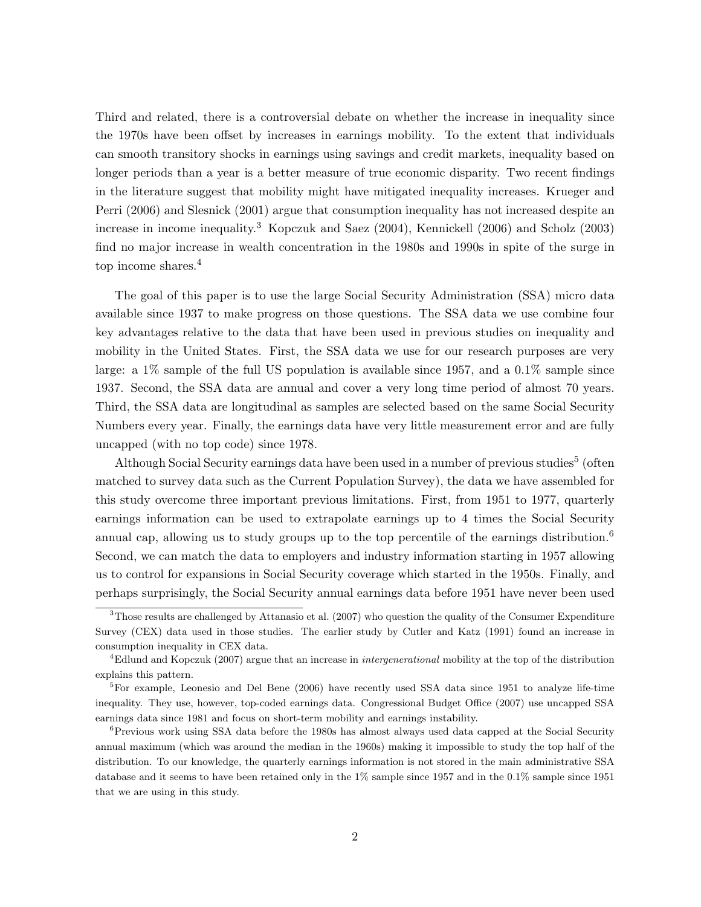Third and related, there is a controversial debate on whether the increase in inequality since the 1970s have been offset by increases in earnings mobility. To the extent that individuals can smooth transitory shocks in earnings using savings and credit markets, inequality based on longer periods than a year is a better measure of true economic disparity. Two recent findings in the literature suggest that mobility might have mitigated inequality increases. Krueger and Perri (2006) and Slesnick (2001) argue that consumption inequality has not increased despite an increase in income inequality.<sup>3</sup> Kopczuk and Saez (2004), Kennickell (2006) and Scholz (2003) find no major increase in wealth concentration in the 1980s and 1990s in spite of the surge in top income shares.<sup>4</sup>

The goal of this paper is to use the large Social Security Administration (SSA) micro data available since 1937 to make progress on those questions. The SSA data we use combine four key advantages relative to the data that have been used in previous studies on inequality and mobility in the United States. First, the SSA data we use for our research purposes are very large: a 1% sample of the full US population is available since 1957, and a 0.1% sample since 1937. Second, the SSA data are annual and cover a very long time period of almost 70 years. Third, the SSA data are longitudinal as samples are selected based on the same Social Security Numbers every year. Finally, the earnings data have very little measurement error and are fully uncapped (with no top code) since 1978.

Although Social Security earnings data have been used in a number of previous studies<sup>5</sup> (often matched to survey data such as the Current Population Survey), the data we have assembled for this study overcome three important previous limitations. First, from 1951 to 1977, quarterly earnings information can be used to extrapolate earnings up to 4 times the Social Security annual cap, allowing us to study groups up to the top percentile of the earnings distribution.<sup>6</sup> Second, we can match the data to employers and industry information starting in 1957 allowing us to control for expansions in Social Security coverage which started in the 1950s. Finally, and perhaps surprisingly, the Social Security annual earnings data before 1951 have never been used

<sup>&</sup>lt;sup>3</sup>Those results are challenged by Attanasio et al. (2007) who question the quality of the Consumer Expenditure Survey (CEX) data used in those studies. The earlier study by Cutler and Katz (1991) found an increase in consumption inequality in CEX data.

<sup>&</sup>lt;sup>4</sup>Edlund and Kopczuk (2007) argue that an increase in *intergenerational* mobility at the top of the distribution explains this pattern.

 ${}^{5}$ For example, Leonesio and Del Bene (2006) have recently used SSA data since 1951 to analyze life-time inequality. They use, however, top-coded earnings data. Congressional Budget Office (2007) use uncapped SSA earnings data since 1981 and focus on short-term mobility and earnings instability.

<sup>&</sup>lt;sup>6</sup>Previous work using SSA data before the 1980s has almost always used data capped at the Social Security annual maximum (which was around the median in the 1960s) making it impossible to study the top half of the distribution. To our knowledge, the quarterly earnings information is not stored in the main administrative SSA database and it seems to have been retained only in the 1% sample since 1957 and in the 0.1% sample since 1951 that we are using in this study.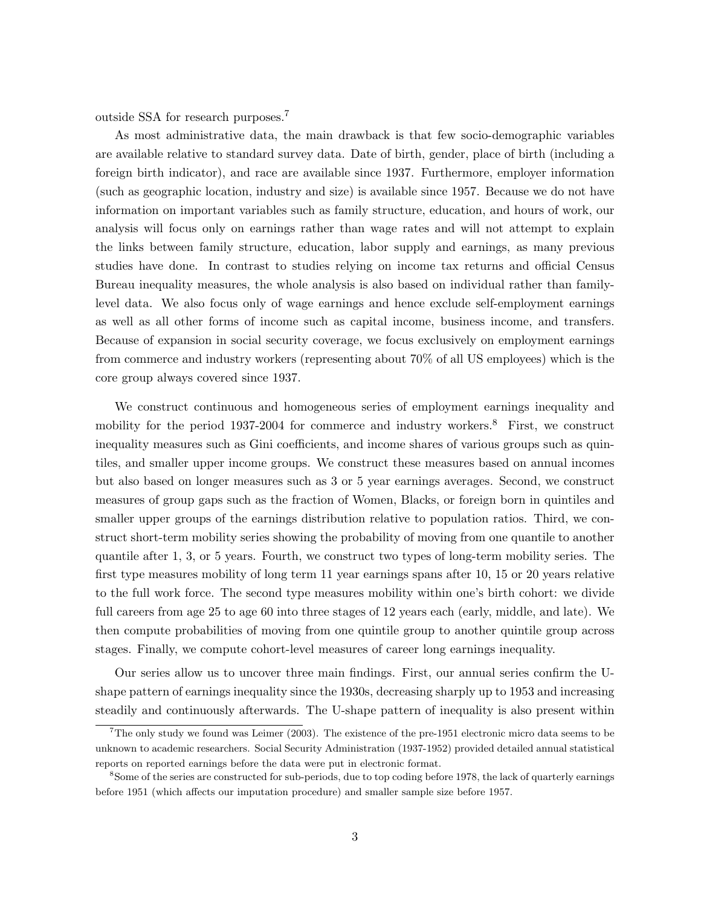outside SSA for research purposes.<sup>7</sup>

As most administrative data, the main drawback is that few socio-demographic variables are available relative to standard survey data. Date of birth, gender, place of birth (including a foreign birth indicator), and race are available since 1937. Furthermore, employer information (such as geographic location, industry and size) is available since 1957. Because we do not have information on important variables such as family structure, education, and hours of work, our analysis will focus only on earnings rather than wage rates and will not attempt to explain the links between family structure, education, labor supply and earnings, as many previous studies have done. In contrast to studies relying on income tax returns and official Census Bureau inequality measures, the whole analysis is also based on individual rather than familylevel data. We also focus only of wage earnings and hence exclude self-employment earnings as well as all other forms of income such as capital income, business income, and transfers. Because of expansion in social security coverage, we focus exclusively on employment earnings from commerce and industry workers (representing about 70% of all US employees) which is the core group always covered since 1937.

We construct continuous and homogeneous series of employment earnings inequality and mobility for the period 1937-2004 for commerce and industry workers.<sup>8</sup> First, we construct inequality measures such as Gini coefficients, and income shares of various groups such as quintiles, and smaller upper income groups. We construct these measures based on annual incomes but also based on longer measures such as 3 or 5 year earnings averages. Second, we construct measures of group gaps such as the fraction of Women, Blacks, or foreign born in quintiles and smaller upper groups of the earnings distribution relative to population ratios. Third, we construct short-term mobility series showing the probability of moving from one quantile to another quantile after 1, 3, or 5 years. Fourth, we construct two types of long-term mobility series. The first type measures mobility of long term 11 year earnings spans after 10, 15 or 20 years relative to the full work force. The second type measures mobility within one's birth cohort: we divide full careers from age 25 to age 60 into three stages of 12 years each (early, middle, and late). We then compute probabilities of moving from one quintile group to another quintile group across stages. Finally, we compute cohort-level measures of career long earnings inequality.

Our series allow us to uncover three main findings. First, our annual series confirm the Ushape pattern of earnings inequality since the 1930s, decreasing sharply up to 1953 and increasing steadily and continuously afterwards. The U-shape pattern of inequality is also present within

<sup>&</sup>lt;sup>7</sup>The only study we found was Leimer (2003). The existence of the pre-1951 electronic micro data seems to be unknown to academic researchers. Social Security Administration (1937-1952) provided detailed annual statistical reports on reported earnings before the data were put in electronic format.

<sup>8</sup>Some of the series are constructed for sub-periods, due to top coding before 1978, the lack of quarterly earnings before 1951 (which affects our imputation procedure) and smaller sample size before 1957.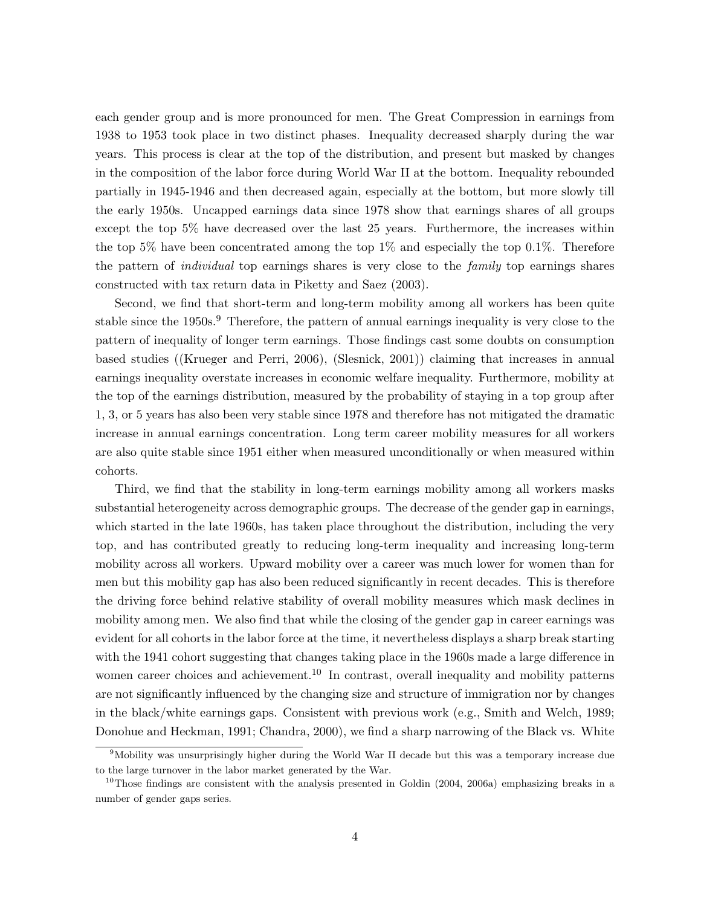each gender group and is more pronounced for men. The Great Compression in earnings from 1938 to 1953 took place in two distinct phases. Inequality decreased sharply during the war years. This process is clear at the top of the distribution, and present but masked by changes in the composition of the labor force during World War II at the bottom. Inequality rebounded partially in 1945-1946 and then decreased again, especially at the bottom, but more slowly till the early 1950s. Uncapped earnings data since 1978 show that earnings shares of all groups except the top 5% have decreased over the last 25 years. Furthermore, the increases within the top 5% have been concentrated among the top  $1\%$  and especially the top 0.1%. Therefore the pattern of *individual* top earnings shares is very close to the *family* top earnings shares constructed with tax return data in Piketty and Saez (2003).

Second, we find that short-term and long-term mobility among all workers has been quite stable since the 1950s.<sup>9</sup> Therefore, the pattern of annual earnings inequality is very close to the pattern of inequality of longer term earnings. Those findings cast some doubts on consumption based studies ((Krueger and Perri, 2006), (Slesnick, 2001)) claiming that increases in annual earnings inequality overstate increases in economic welfare inequality. Furthermore, mobility at the top of the earnings distribution, measured by the probability of staying in a top group after 1, 3, or 5 years has also been very stable since 1978 and therefore has not mitigated the dramatic increase in annual earnings concentration. Long term career mobility measures for all workers are also quite stable since 1951 either when measured unconditionally or when measured within cohorts.

Third, we find that the stability in long-term earnings mobility among all workers masks substantial heterogeneity across demographic groups. The decrease of the gender gap in earnings, which started in the late 1960s, has taken place throughout the distribution, including the very top, and has contributed greatly to reducing long-term inequality and increasing long-term mobility across all workers. Upward mobility over a career was much lower for women than for men but this mobility gap has also been reduced significantly in recent decades. This is therefore the driving force behind relative stability of overall mobility measures which mask declines in mobility among men. We also find that while the closing of the gender gap in career earnings was evident for all cohorts in the labor force at the time, it nevertheless displays a sharp break starting with the 1941 cohort suggesting that changes taking place in the 1960s made a large difference in women career choices and achievement.<sup>10</sup> In contrast, overall inequality and mobility patterns are not significantly influenced by the changing size and structure of immigration nor by changes in the black/white earnings gaps. Consistent with previous work (e.g., Smith and Welch, 1989; Donohue and Heckman, 1991; Chandra, 2000), we find a sharp narrowing of the Black vs. White

<sup>9</sup>Mobility was unsurprisingly higher during the World War II decade but this was a temporary increase due to the large turnover in the labor market generated by the War.

<sup>&</sup>lt;sup>10</sup>Those findings are consistent with the analysis presented in Goldin (2004, 2006a) emphasizing breaks in a number of gender gaps series.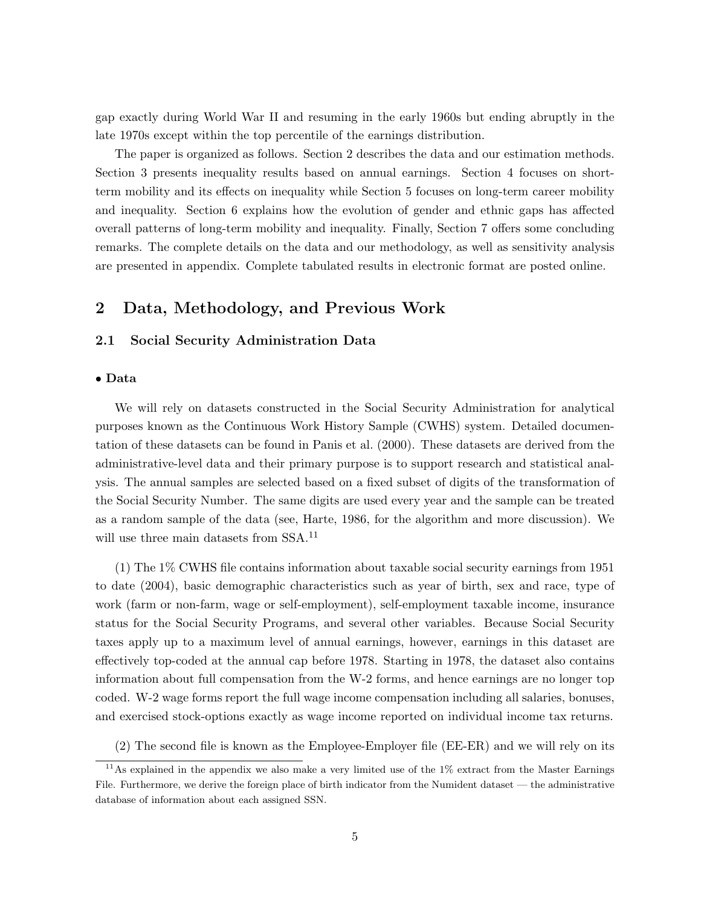gap exactly during World War II and resuming in the early 1960s but ending abruptly in the late 1970s except within the top percentile of the earnings distribution.

The paper is organized as follows. Section 2 describes the data and our estimation methods. Section 3 presents inequality results based on annual earnings. Section 4 focuses on shortterm mobility and its effects on inequality while Section 5 focuses on long-term career mobility and inequality. Section 6 explains how the evolution of gender and ethnic gaps has affected overall patterns of long-term mobility and inequality. Finally, Section 7 offers some concluding remarks. The complete details on the data and our methodology, as well as sensitivity analysis are presented in appendix. Complete tabulated results in electronic format are posted online.

# 2 Data, Methodology, and Previous Work

## 2.1 Social Security Administration Data

### • Data

We will rely on datasets constructed in the Social Security Administration for analytical purposes known as the Continuous Work History Sample (CWHS) system. Detailed documentation of these datasets can be found in Panis et al. (2000). These datasets are derived from the administrative-level data and their primary purpose is to support research and statistical analysis. The annual samples are selected based on a fixed subset of digits of the transformation of the Social Security Number. The same digits are used every year and the sample can be treated as a random sample of the data (see, Harte, 1986, for the algorithm and more discussion). We will use three main datasets from SSA.<sup>11</sup>

(1) The 1% CWHS file contains information about taxable social security earnings from 1951 to date (2004), basic demographic characteristics such as year of birth, sex and race, type of work (farm or non-farm, wage or self-employment), self-employment taxable income, insurance status for the Social Security Programs, and several other variables. Because Social Security taxes apply up to a maximum level of annual earnings, however, earnings in this dataset are effectively top-coded at the annual cap before 1978. Starting in 1978, the dataset also contains information about full compensation from the W-2 forms, and hence earnings are no longer top coded. W-2 wage forms report the full wage income compensation including all salaries, bonuses, and exercised stock-options exactly as wage income reported on individual income tax returns.

(2) The second file is known as the Employee-Employer file (EE-ER) and we will rely on its

 $11$ As explained in the appendix we also make a very limited use of the  $1\%$  extract from the Master Earnings File. Furthermore, we derive the foreign place of birth indicator from the Numident dataset — the administrative database of information about each assigned SSN.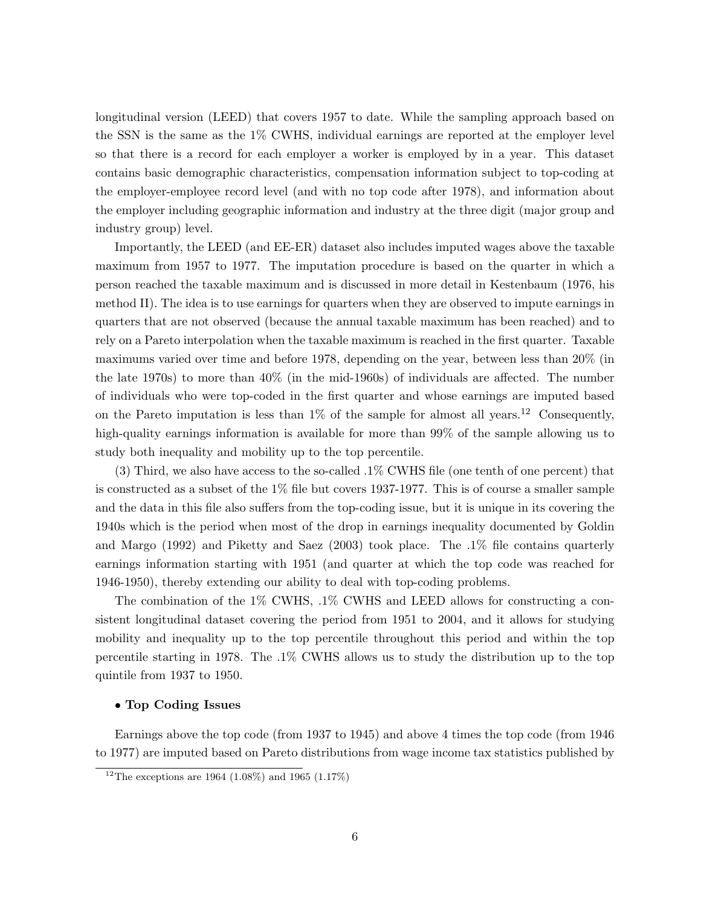longitudinal version (LEED) that covers 1957 to date. While the sampling approach based on the SSN is the same as the 1% CWHS, individual earnings are reported at the employer level so that there is a record for each employer a worker is employed by in a year. This dataset contains basic demographic characteristics, compensation information subject to top-coding at the employer-employee record level (and with no top code after 1978), and information about the employer including geographic information and industry at the three digit (major group and industry group) level.

Importantly, the LEED (and EE-ER) dataset also includes imputed wages above the taxable maximum from 1957 to 1977. The imputation procedure is based on the quarter in which a person reached the taxable maximum and is discussed in more detail in Kestenbaum (1976, his method II). The idea is to use earnings for quarters when they are observed to impute earnings in quarters that are not observed (because the annual taxable maximum has been reached) and to rely on a Pareto interpolation when the taxable maximum is reached in the first quarter. Taxable maximums varied over time and before 1978, depending on the year, between less than 20% (in the late 1970s) to more than 40% (in the mid-1960s) of individuals are affected. The number of individuals who were top-coded in the first quarter and whose earnings are imputed based on the Pareto imputation is less than  $1\%$  of the sample for almost all years.<sup>12</sup> Consequently, high-quality earnings information is available for more than 99% of the sample allowing us to study both inequality and mobility up to the top percentile.

(3) Third, we also have access to the so-called .1% CWHS file (one tenth of one percent) that is constructed as a subset of the 1% file but covers 1937-1977. This is of course a smaller sample and the data in this file also suffers from the top-coding issue, but it is unique in its covering the 1940s which is the period when most of the drop in earnings inequality documented by Goldin and Margo (1992) and Piketty and Saez (2003) took place. The .1% file contains quarterly earnings information starting with 1951 (and quarter at which the top code was reached for 1946-1950), thereby extending our ability to deal with top-coding problems.

The combination of the 1% CWHS, .1% CWHS and LEED allows for constructing a consistent longitudinal dataset covering the period from 1951 to 2004, and it allows for studying mobility and inequality up to the top percentile throughout this period and within the top percentile starting in 1978. The .1% CWHS allows us to study the distribution up to the top quintile from 1937 to 1950.

#### • Top Coding Issues

Earnings above the top code (from 1937 to 1945) and above 4 times the top code (from 1946 to 1977) are imputed based on Pareto distributions from wage income tax statistics published by

<sup>&</sup>lt;sup>12</sup>The exceptions are 1964 (1.08%) and 1965 (1.17%)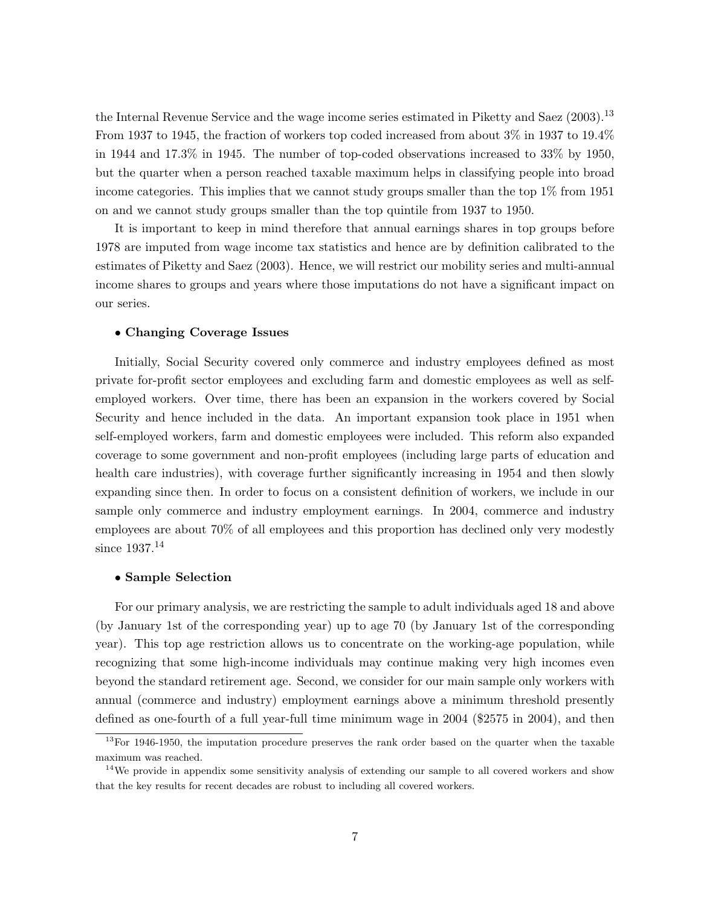the Internal Revenue Service and the wage income series estimated in Piketty and Saez (2003).<sup>13</sup> From 1937 to 1945, the fraction of workers top coded increased from about 3% in 1937 to 19.4% in 1944 and 17.3% in 1945. The number of top-coded observations increased to 33% by 1950, but the quarter when a person reached taxable maximum helps in classifying people into broad income categories. This implies that we cannot study groups smaller than the top 1% from 1951 on and we cannot study groups smaller than the top quintile from 1937 to 1950.

It is important to keep in mind therefore that annual earnings shares in top groups before 1978 are imputed from wage income tax statistics and hence are by definition calibrated to the estimates of Piketty and Saez (2003). Hence, we will restrict our mobility series and multi-annual income shares to groups and years where those imputations do not have a significant impact on our series.

### • Changing Coverage Issues

Initially, Social Security covered only commerce and industry employees defined as most private for-profit sector employees and excluding farm and domestic employees as well as selfemployed workers. Over time, there has been an expansion in the workers covered by Social Security and hence included in the data. An important expansion took place in 1951 when self-employed workers, farm and domestic employees were included. This reform also expanded coverage to some government and non-profit employees (including large parts of education and health care industries), with coverage further significantly increasing in 1954 and then slowly expanding since then. In order to focus on a consistent definition of workers, we include in our sample only commerce and industry employment earnings. In 2004, commerce and industry employees are about 70% of all employees and this proportion has declined only very modestly since  $1937.^{14}$ 

#### • Sample Selection

For our primary analysis, we are restricting the sample to adult individuals aged 18 and above (by January 1st of the corresponding year) up to age 70 (by January 1st of the corresponding year). This top age restriction allows us to concentrate on the working-age population, while recognizing that some high-income individuals may continue making very high incomes even beyond the standard retirement age. Second, we consider for our main sample only workers with annual (commerce and industry) employment earnings above a minimum threshold presently defined as one-fourth of a full year-full time minimum wage in 2004 (\$2575 in 2004), and then

 $13$ For 1946-1950, the imputation procedure preserves the rank order based on the quarter when the taxable maximum was reached.

 $14$ We provide in appendix some sensitivity analysis of extending our sample to all covered workers and show that the key results for recent decades are robust to including all covered workers.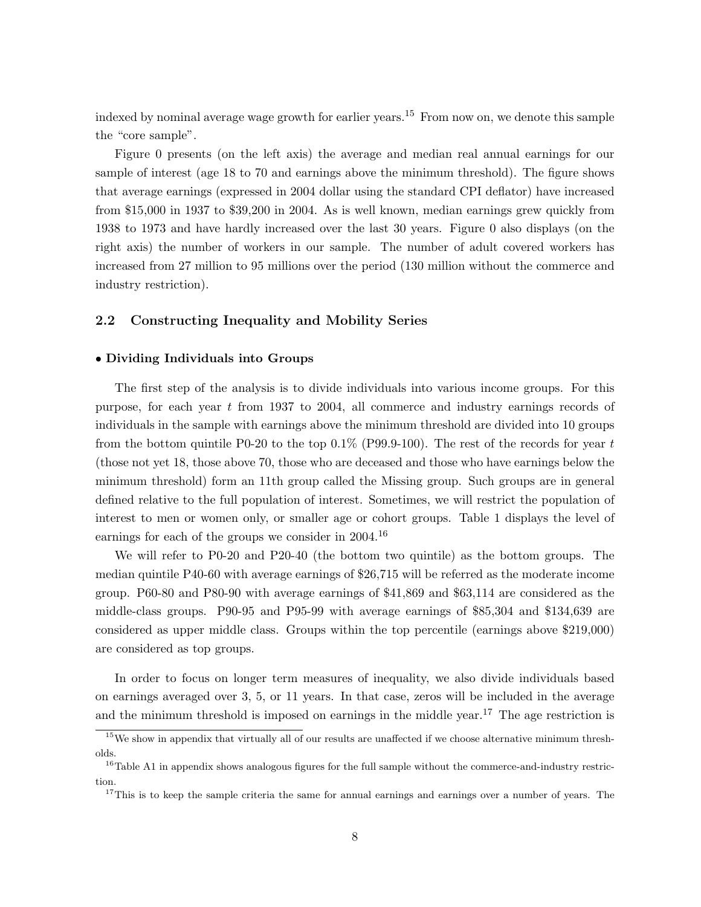indexed by nominal average wage growth for earlier years.<sup>15</sup> From now on, we denote this sample the "core sample".

Figure 0 presents (on the left axis) the average and median real annual earnings for our sample of interest (age 18 to 70 and earnings above the minimum threshold). The figure shows that average earnings (expressed in 2004 dollar using the standard CPI deflator) have increased from \$15,000 in 1937 to \$39,200 in 2004. As is well known, median earnings grew quickly from 1938 to 1973 and have hardly increased over the last 30 years. Figure 0 also displays (on the right axis) the number of workers in our sample. The number of adult covered workers has increased from 27 million to 95 millions over the period (130 million without the commerce and industry restriction).

## 2.2 Constructing Inequality and Mobility Series

#### • Dividing Individuals into Groups

The first step of the analysis is to divide individuals into various income groups. For this purpose, for each year t from 1937 to 2004, all commerce and industry earnings records of individuals in the sample with earnings above the minimum threshold are divided into 10 groups from the bottom quintile P0-20 to the top 0.1% (P99.9-100). The rest of the records for year t (those not yet 18, those above 70, those who are deceased and those who have earnings below the minimum threshold) form an 11th group called the Missing group. Such groups are in general defined relative to the full population of interest. Sometimes, we will restrict the population of interest to men or women only, or smaller age or cohort groups. Table 1 displays the level of earnings for each of the groups we consider in  $2004<sup>16</sup>$ 

We will refer to P0-20 and P20-40 (the bottom two quintile) as the bottom groups. The median quintile P40-60 with average earnings of \$26,715 will be referred as the moderate income group. P60-80 and P80-90 with average earnings of \$41,869 and \$63,114 are considered as the middle-class groups. P90-95 and P95-99 with average earnings of \$85,304 and \$134,639 are considered as upper middle class. Groups within the top percentile (earnings above \$219,000) are considered as top groups.

In order to focus on longer term measures of inequality, we also divide individuals based on earnings averaged over 3, 5, or 11 years. In that case, zeros will be included in the average and the minimum threshold is imposed on earnings in the middle year.<sup>17</sup> The age restriction is

 $15$ We show in appendix that virtually all of our results are unaffected if we choose alternative minimum thresholds.

<sup>&</sup>lt;sup>16</sup>Table A1 in appendix shows analogous figures for the full sample without the commerce-and-industry restriction.

<sup>&</sup>lt;sup>17</sup>This is to keep the sample criteria the same for annual earnings and earnings over a number of years. The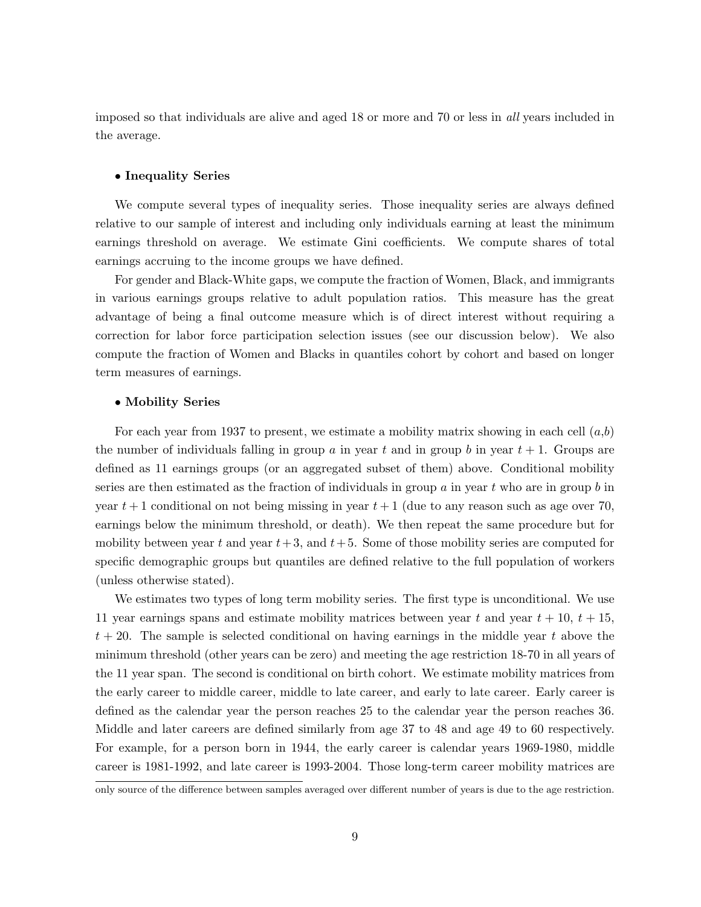imposed so that individuals are alive and aged 18 or more and 70 or less in all years included in the average.

#### • Inequality Series

We compute several types of inequality series. Those inequality series are always defined relative to our sample of interest and including only individuals earning at least the minimum earnings threshold on average. We estimate Gini coefficients. We compute shares of total earnings accruing to the income groups we have defined.

For gender and Black-White gaps, we compute the fraction of Women, Black, and immigrants in various earnings groups relative to adult population ratios. This measure has the great advantage of being a final outcome measure which is of direct interest without requiring a correction for labor force participation selection issues (see our discussion below). We also compute the fraction of Women and Blacks in quantiles cohort by cohort and based on longer term measures of earnings.

### • Mobility Series

For each year from 1937 to present, we estimate a mobility matrix showing in each cell  $(a,b)$ the number of individuals falling in group a in year t and in group b in year  $t + 1$ . Groups are defined as 11 earnings groups (or an aggregated subset of them) above. Conditional mobility series are then estimated as the fraction of individuals in group  $\alpha$  in year  $t$  who are in group  $\delta$  in year  $t+1$  conditional on not being missing in year  $t+1$  (due to any reason such as age over 70, earnings below the minimum threshold, or death). We then repeat the same procedure but for mobility between year t and year  $t+3$ , and  $t+5$ . Some of those mobility series are computed for specific demographic groups but quantiles are defined relative to the full population of workers (unless otherwise stated).

We estimates two types of long term mobility series. The first type is unconditional. We use 11 year earnings spans and estimate mobility matrices between year t and year  $t + 10$ ,  $t + 15$ ,  $t + 20$ . The sample is selected conditional on having earnings in the middle year t above the minimum threshold (other years can be zero) and meeting the age restriction 18-70 in all years of the 11 year span. The second is conditional on birth cohort. We estimate mobility matrices from the early career to middle career, middle to late career, and early to late career. Early career is defined as the calendar year the person reaches 25 to the calendar year the person reaches 36. Middle and later careers are defined similarly from age 37 to 48 and age 49 to 60 respectively. For example, for a person born in 1944, the early career is calendar years 1969-1980, middle career is 1981-1992, and late career is 1993-2004. Those long-term career mobility matrices are

only source of the difference between samples averaged over different number of years is due to the age restriction.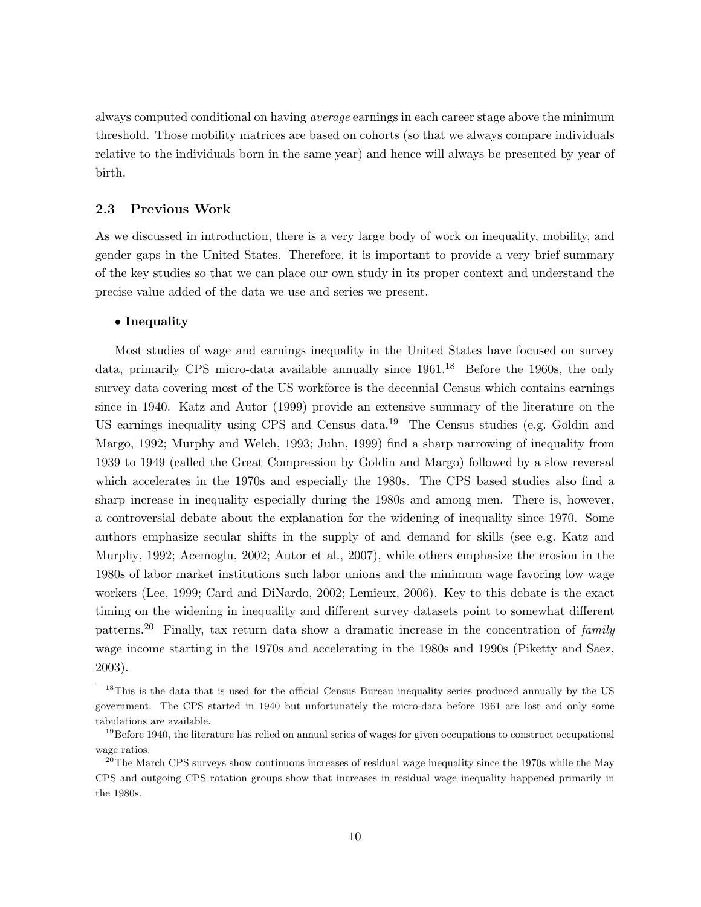always computed conditional on having *average* earnings in each career stage above the minimum threshold. Those mobility matrices are based on cohorts (so that we always compare individuals relative to the individuals born in the same year) and hence will always be presented by year of birth.

## 2.3 Previous Work

As we discussed in introduction, there is a very large body of work on inequality, mobility, and gender gaps in the United States. Therefore, it is important to provide a very brief summary of the key studies so that we can place our own study in its proper context and understand the precise value added of the data we use and series we present.

#### • Inequality

Most studies of wage and earnings inequality in the United States have focused on survey data, primarily CPS micro-data available annually since  $1961<sup>18</sup>$  Before the 1960s, the only survey data covering most of the US workforce is the decennial Census which contains earnings since in 1940. Katz and Autor (1999) provide an extensive summary of the literature on the US earnings inequality using CPS and Census data.<sup>19</sup> The Census studies (e.g. Goldin and Margo, 1992; Murphy and Welch, 1993; Juhn, 1999) find a sharp narrowing of inequality from 1939 to 1949 (called the Great Compression by Goldin and Margo) followed by a slow reversal which accelerates in the 1970s and especially the 1980s. The CPS based studies also find a sharp increase in inequality especially during the 1980s and among men. There is, however, a controversial debate about the explanation for the widening of inequality since 1970. Some authors emphasize secular shifts in the supply of and demand for skills (see e.g. Katz and Murphy, 1992; Acemoglu, 2002; Autor et al., 2007), while others emphasize the erosion in the 1980s of labor market institutions such labor unions and the minimum wage favoring low wage workers (Lee, 1999; Card and DiNardo, 2002; Lemieux, 2006). Key to this debate is the exact timing on the widening in inequality and different survey datasets point to somewhat different patterns.<sup>20</sup> Finally, tax return data show a dramatic increase in the concentration of family wage income starting in the 1970s and accelerating in the 1980s and 1990s (Piketty and Saez, 2003).

<sup>&</sup>lt;sup>18</sup>This is the data that is used for the official Census Bureau inequality series produced annually by the US government. The CPS started in 1940 but unfortunately the micro-data before 1961 are lost and only some tabulations are available.

 $19$ Before 1940, the literature has relied on annual series of wages for given occupations to construct occupational wage ratios.

<sup>&</sup>lt;sup>20</sup>The March CPS surveys show continuous increases of residual wage inequality since the 1970s while the May CPS and outgoing CPS rotation groups show that increases in residual wage inequality happened primarily in the 1980s.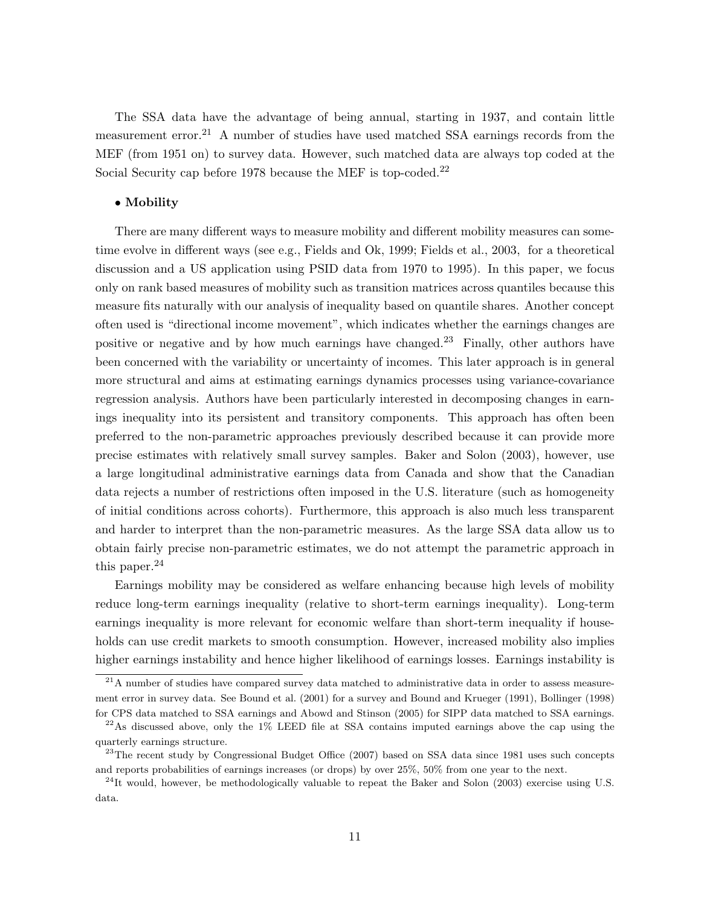The SSA data have the advantage of being annual, starting in 1937, and contain little measurement error.<sup>21</sup> A number of studies have used matched SSA earnings records from the MEF (from 1951 on) to survey data. However, such matched data are always top coded at the Social Security cap before 1978 because the MEF is top-coded.<sup>22</sup>

#### • Mobility

There are many different ways to measure mobility and different mobility measures can sometime evolve in different ways (see e.g., Fields and Ok, 1999; Fields et al., 2003, for a theoretical discussion and a US application using PSID data from 1970 to 1995). In this paper, we focus only on rank based measures of mobility such as transition matrices across quantiles because this measure fits naturally with our analysis of inequality based on quantile shares. Another concept often used is "directional income movement", which indicates whether the earnings changes are positive or negative and by how much earnings have changed.<sup>23</sup> Finally, other authors have been concerned with the variability or uncertainty of incomes. This later approach is in general more structural and aims at estimating earnings dynamics processes using variance-covariance regression analysis. Authors have been particularly interested in decomposing changes in earnings inequality into its persistent and transitory components. This approach has often been preferred to the non-parametric approaches previously described because it can provide more precise estimates with relatively small survey samples. Baker and Solon (2003), however, use a large longitudinal administrative earnings data from Canada and show that the Canadian data rejects a number of restrictions often imposed in the U.S. literature (such as homogeneity of initial conditions across cohorts). Furthermore, this approach is also much less transparent and harder to interpret than the non-parametric measures. As the large SSA data allow us to obtain fairly precise non-parametric estimates, we do not attempt the parametric approach in this paper. $^{24}$ 

Earnings mobility may be considered as welfare enhancing because high levels of mobility reduce long-term earnings inequality (relative to short-term earnings inequality). Long-term earnings inequality is more relevant for economic welfare than short-term inequality if households can use credit markets to smooth consumption. However, increased mobility also implies higher earnings instability and hence higher likelihood of earnings losses. Earnings instability is

 $^{21}$ A number of studies have compared survey data matched to administrative data in order to assess measurement error in survey data. See Bound et al. (2001) for a survey and Bound and Krueger (1991), Bollinger (1998) for CPS data matched to SSA earnings and Abowd and Stinson (2005) for SIPP data matched to SSA earnings.

 $^{22}$ As discussed above, only the 1% LEED file at SSA contains imputed earnings above the cap using the quarterly earnings structure.

<sup>&</sup>lt;sup>23</sup>The recent study by Congressional Budget Office (2007) based on SSA data since 1981 uses such concepts and reports probabilities of earnings increases (or drops) by over 25%, 50% from one year to the next.

 $^{24}$ It would, however, be methodologically valuable to repeat the Baker and Solon (2003) exercise using U.S. data.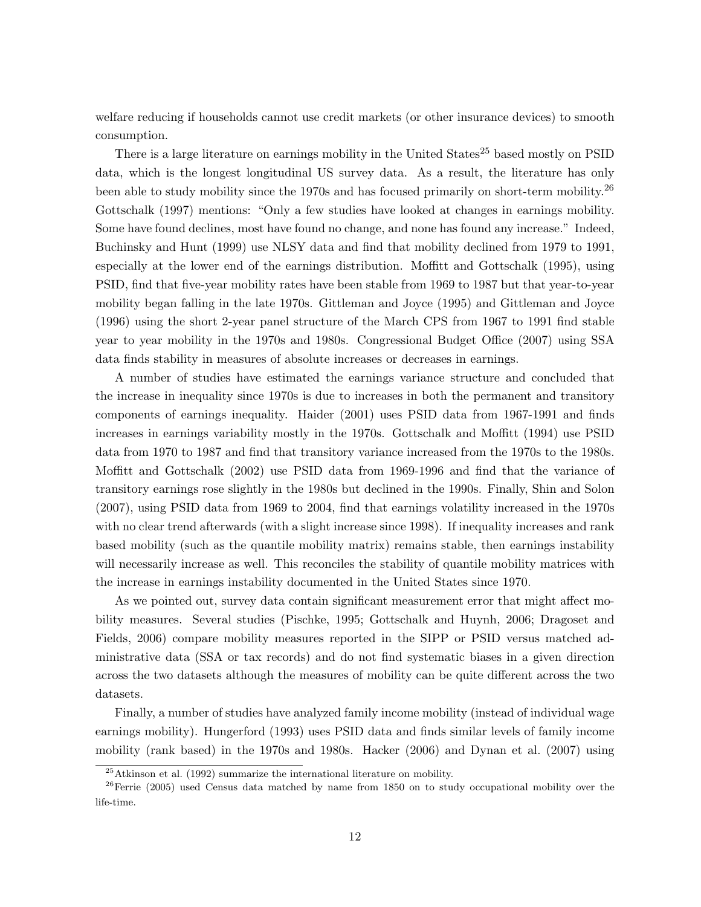welfare reducing if households cannot use credit markets (or other insurance devices) to smooth consumption.

There is a large literature on earnings mobility in the United States<sup>25</sup> based mostly on PSID data, which is the longest longitudinal US survey data. As a result, the literature has only been able to study mobility since the 1970s and has focused primarily on short-term mobility.<sup>26</sup> Gottschalk (1997) mentions: "Only a few studies have looked at changes in earnings mobility. Some have found declines, most have found no change, and none has found any increase." Indeed, Buchinsky and Hunt (1999) use NLSY data and find that mobility declined from 1979 to 1991, especially at the lower end of the earnings distribution. Moffitt and Gottschalk (1995), using PSID, find that five-year mobility rates have been stable from 1969 to 1987 but that year-to-year mobility began falling in the late 1970s. Gittleman and Joyce (1995) and Gittleman and Joyce (1996) using the short 2-year panel structure of the March CPS from 1967 to 1991 find stable year to year mobility in the 1970s and 1980s. Congressional Budget Office (2007) using SSA data finds stability in measures of absolute increases or decreases in earnings.

A number of studies have estimated the earnings variance structure and concluded that the increase in inequality since 1970s is due to increases in both the permanent and transitory components of earnings inequality. Haider (2001) uses PSID data from 1967-1991 and finds increases in earnings variability mostly in the 1970s. Gottschalk and Moffitt (1994) use PSID data from 1970 to 1987 and find that transitory variance increased from the 1970s to the 1980s. Moffitt and Gottschalk (2002) use PSID data from 1969-1996 and find that the variance of transitory earnings rose slightly in the 1980s but declined in the 1990s. Finally, Shin and Solon (2007), using PSID data from 1969 to 2004, find that earnings volatility increased in the 1970s with no clear trend afterwards (with a slight increase since 1998). If inequality increases and rank based mobility (such as the quantile mobility matrix) remains stable, then earnings instability will necessarily increase as well. This reconciles the stability of quantile mobility matrices with the increase in earnings instability documented in the United States since 1970.

As we pointed out, survey data contain significant measurement error that might affect mobility measures. Several studies (Pischke, 1995; Gottschalk and Huynh, 2006; Dragoset and Fields, 2006) compare mobility measures reported in the SIPP or PSID versus matched administrative data (SSA or tax records) and do not find systematic biases in a given direction across the two datasets although the measures of mobility can be quite different across the two datasets.

Finally, a number of studies have analyzed family income mobility (instead of individual wage earnings mobility). Hungerford (1993) uses PSID data and finds similar levels of family income mobility (rank based) in the 1970s and 1980s. Hacker (2006) and Dynan et al. (2007) using

 $25$ Atkinson et al. (1992) summarize the international literature on mobility.

 $26$ Ferrie (2005) used Census data matched by name from 1850 on to study occupational mobility over the life-time.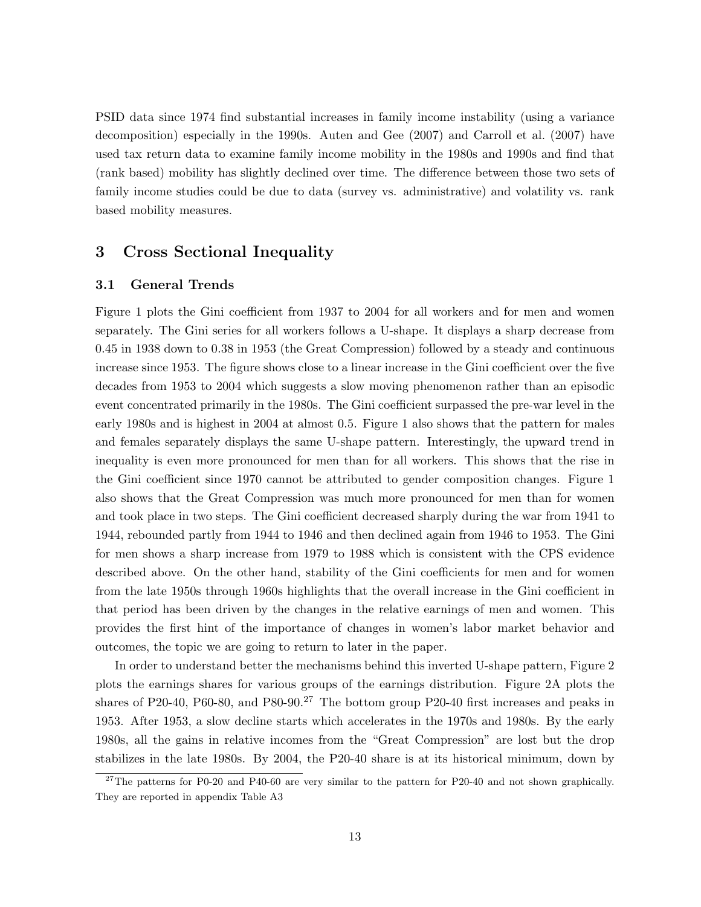PSID data since 1974 find substantial increases in family income instability (using a variance decomposition) especially in the 1990s. Auten and Gee (2007) and Carroll et al. (2007) have used tax return data to examine family income mobility in the 1980s and 1990s and find that (rank based) mobility has slightly declined over time. The difference between those two sets of family income studies could be due to data (survey vs. administrative) and volatility vs. rank based mobility measures.

## 3 Cross Sectional Inequality

### 3.1 General Trends

Figure 1 plots the Gini coefficient from 1937 to 2004 for all workers and for men and women separately. The Gini series for all workers follows a U-shape. It displays a sharp decrease from 0.45 in 1938 down to 0.38 in 1953 (the Great Compression) followed by a steady and continuous increase since 1953. The figure shows close to a linear increase in the Gini coefficient over the five decades from 1953 to 2004 which suggests a slow moving phenomenon rather than an episodic event concentrated primarily in the 1980s. The Gini coefficient surpassed the pre-war level in the early 1980s and is highest in 2004 at almost 0.5. Figure 1 also shows that the pattern for males and females separately displays the same U-shape pattern. Interestingly, the upward trend in inequality is even more pronounced for men than for all workers. This shows that the rise in the Gini coefficient since 1970 cannot be attributed to gender composition changes. Figure 1 also shows that the Great Compression was much more pronounced for men than for women and took place in two steps. The Gini coefficient decreased sharply during the war from 1941 to 1944, rebounded partly from 1944 to 1946 and then declined again from 1946 to 1953. The Gini for men shows a sharp increase from 1979 to 1988 which is consistent with the CPS evidence described above. On the other hand, stability of the Gini coefficients for men and for women from the late 1950s through 1960s highlights that the overall increase in the Gini coefficient in that period has been driven by the changes in the relative earnings of men and women. This provides the first hint of the importance of changes in women's labor market behavior and outcomes, the topic we are going to return to later in the paper.

In order to understand better the mechanisms behind this inverted U-shape pattern, Figure 2 plots the earnings shares for various groups of the earnings distribution. Figure 2A plots the shares of P20-40, P60-80, and P80-90.<sup>27</sup> The bottom group P20-40 first increases and peaks in 1953. After 1953, a slow decline starts which accelerates in the 1970s and 1980s. By the early 1980s, all the gains in relative incomes from the "Great Compression" are lost but the drop stabilizes in the late 1980s. By 2004, the P20-40 share is at its historical minimum, down by

 $^{27}$ The patterns for P0-20 and P40-60 are very similar to the pattern for P20-40 and not shown graphically. They are reported in appendix Table A3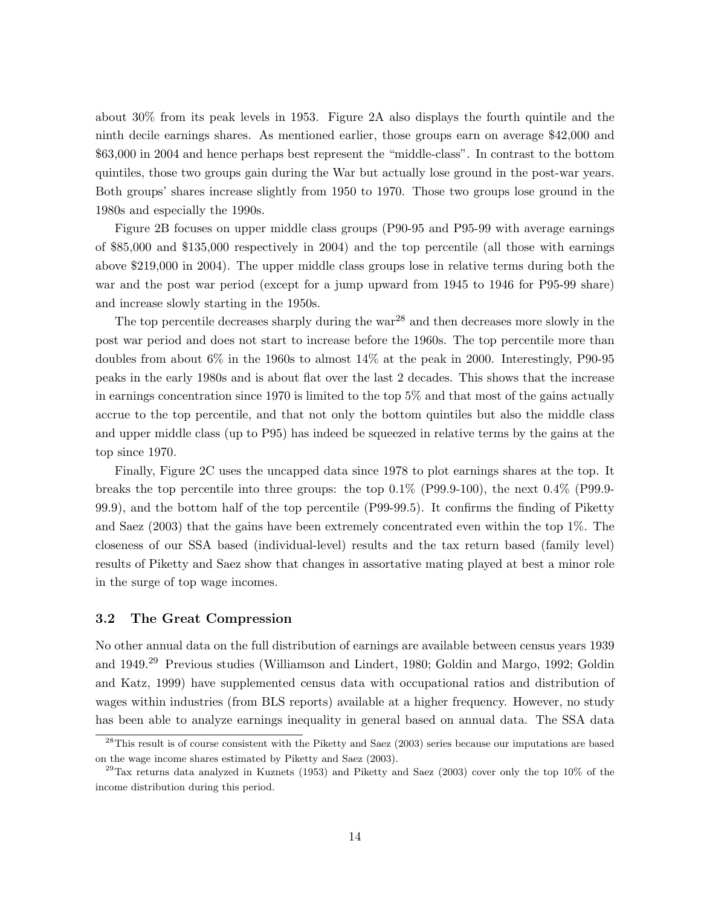about 30% from its peak levels in 1953. Figure 2A also displays the fourth quintile and the ninth decile earnings shares. As mentioned earlier, those groups earn on average \$42,000 and \$63,000 in 2004 and hence perhaps best represent the "middle-class". In contrast to the bottom quintiles, those two groups gain during the War but actually lose ground in the post-war years. Both groups' shares increase slightly from 1950 to 1970. Those two groups lose ground in the 1980s and especially the 1990s.

Figure 2B focuses on upper middle class groups (P90-95 and P95-99 with average earnings of \$85,000 and \$135,000 respectively in 2004) and the top percentile (all those with earnings above \$219,000 in 2004). The upper middle class groups lose in relative terms during both the war and the post war period (except for a jump upward from 1945 to 1946 for P95-99 share) and increase slowly starting in the 1950s.

The top percentile decreases sharply during the  $\text{war}^{28}$  and then decreases more slowly in the post war period and does not start to increase before the 1960s. The top percentile more than doubles from about 6% in the 1960s to almost 14% at the peak in 2000. Interestingly, P90-95 peaks in the early 1980s and is about flat over the last 2 decades. This shows that the increase in earnings concentration since 1970 is limited to the top 5% and that most of the gains actually accrue to the top percentile, and that not only the bottom quintiles but also the middle class and upper middle class (up to P95) has indeed be squeezed in relative terms by the gains at the top since 1970.

Finally, Figure 2C uses the uncapped data since 1978 to plot earnings shares at the top. It breaks the top percentile into three groups: the top 0.1% (P99.9-100), the next 0.4% (P99.9- 99.9), and the bottom half of the top percentile (P99-99.5). It confirms the finding of Piketty and Saez (2003) that the gains have been extremely concentrated even within the top 1%. The closeness of our SSA based (individual-level) results and the tax return based (family level) results of Piketty and Saez show that changes in assortative mating played at best a minor role in the surge of top wage incomes.

### 3.2 The Great Compression

No other annual data on the full distribution of earnings are available between census years 1939 and 1949.<sup>29</sup> Previous studies (Williamson and Lindert, 1980; Goldin and Margo, 1992; Goldin and Katz, 1999) have supplemented census data with occupational ratios and distribution of wages within industries (from BLS reports) available at a higher frequency. However, no study has been able to analyze earnings inequality in general based on annual data. The SSA data

 $^{28}$ This result is of course consistent with the Piketty and Saez (2003) series because our imputations are based on the wage income shares estimated by Piketty and Saez (2003).

 $^{29}$ Tax returns data analyzed in Kuznets (1953) and Piketty and Saez (2003) cover only the top 10% of the income distribution during this period.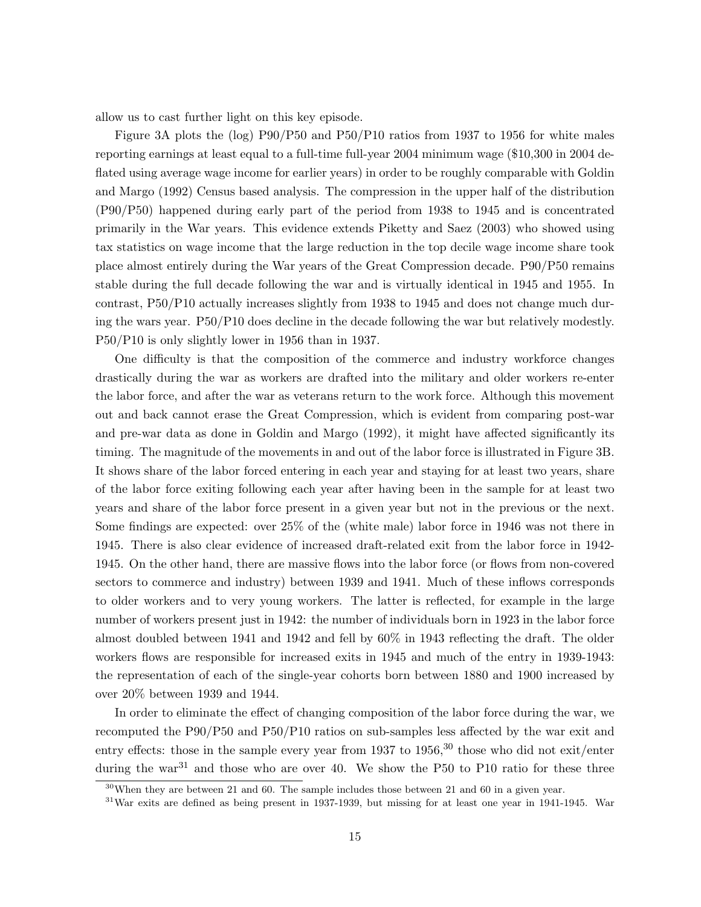allow us to cast further light on this key episode.

Figure 3A plots the (log) P90/P50 and P50/P10 ratios from 1937 to 1956 for white males reporting earnings at least equal to a full-time full-year 2004 minimum wage (\$10,300 in 2004 deflated using average wage income for earlier years) in order to be roughly comparable with Goldin and Margo (1992) Census based analysis. The compression in the upper half of the distribution (P90/P50) happened during early part of the period from 1938 to 1945 and is concentrated primarily in the War years. This evidence extends Piketty and Saez (2003) who showed using tax statistics on wage income that the large reduction in the top decile wage income share took place almost entirely during the War years of the Great Compression decade. P90/P50 remains stable during the full decade following the war and is virtually identical in 1945 and 1955. In contrast, P50/P10 actually increases slightly from 1938 to 1945 and does not change much during the wars year. P50/P10 does decline in the decade following the war but relatively modestly. P50/P10 is only slightly lower in 1956 than in 1937.

One difficulty is that the composition of the commerce and industry workforce changes drastically during the war as workers are drafted into the military and older workers re-enter the labor force, and after the war as veterans return to the work force. Although this movement out and back cannot erase the Great Compression, which is evident from comparing post-war and pre-war data as done in Goldin and Margo (1992), it might have affected significantly its timing. The magnitude of the movements in and out of the labor force is illustrated in Figure 3B. It shows share of the labor forced entering in each year and staying for at least two years, share of the labor force exiting following each year after having been in the sample for at least two years and share of the labor force present in a given year but not in the previous or the next. Some findings are expected: over 25% of the (white male) labor force in 1946 was not there in 1945. There is also clear evidence of increased draft-related exit from the labor force in 1942- 1945. On the other hand, there are massive flows into the labor force (or flows from non-covered sectors to commerce and industry) between 1939 and 1941. Much of these inflows corresponds to older workers and to very young workers. The latter is reflected, for example in the large number of workers present just in 1942: the number of individuals born in 1923 in the labor force almost doubled between 1941 and 1942 and fell by 60% in 1943 reflecting the draft. The older workers flows are responsible for increased exits in 1945 and much of the entry in 1939-1943: the representation of each of the single-year cohorts born between 1880 and 1900 increased by over 20% between 1939 and 1944.

In order to eliminate the effect of changing composition of the labor force during the war, we recomputed the P90/P50 and P50/P10 ratios on sub-samples less affected by the war exit and entry effects: those in the sample every year from 1937 to  $1956$ ,  $30$  those who did not exit/enter during the war<sup>31</sup> and those who are over 40. We show the P50 to P10 ratio for these three

 $30$ When they are between 21 and 60. The sample includes those between 21 and 60 in a given year.

<sup>31</sup>War exits are defined as being present in 1937-1939, but missing for at least one year in 1941-1945. War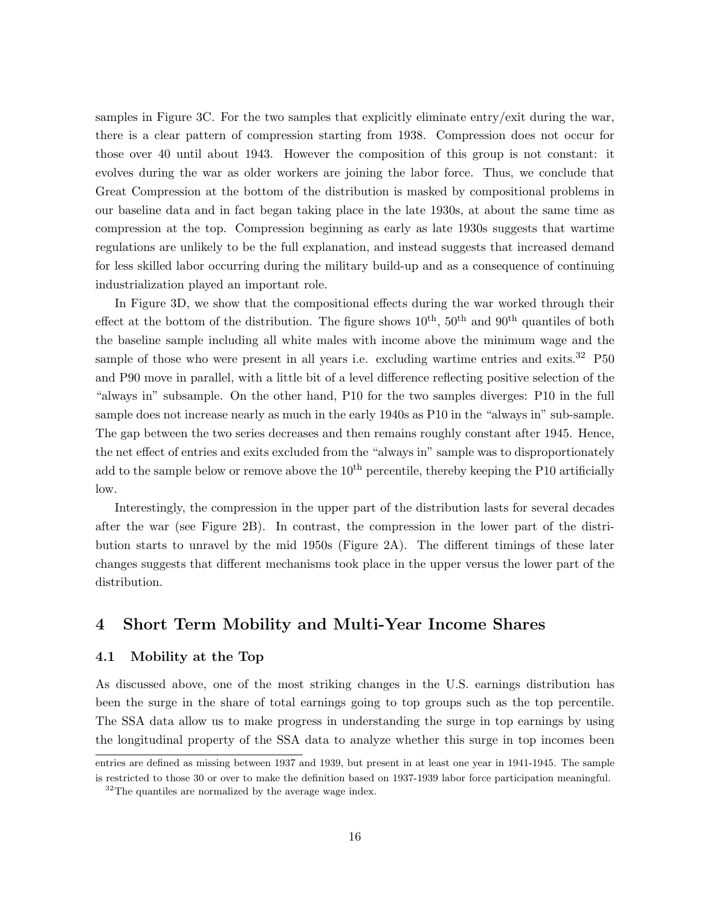samples in Figure 3C. For the two samples that explicitly eliminate entry/exit during the war, there is a clear pattern of compression starting from 1938. Compression does not occur for those over 40 until about 1943. However the composition of this group is not constant: it evolves during the war as older workers are joining the labor force. Thus, we conclude that Great Compression at the bottom of the distribution is masked by compositional problems in our baseline data and in fact began taking place in the late 1930s, at about the same time as compression at the top. Compression beginning as early as late 1930s suggests that wartime regulations are unlikely to be the full explanation, and instead suggests that increased demand for less skilled labor occurring during the military build-up and as a consequence of continuing industrialization played an important role.

In Figure 3D, we show that the compositional effects during the war worked through their effect at the bottom of the distribution. The figure shows  $10^{th}$ ,  $50^{th}$  and  $90^{th}$  quantiles of both the baseline sample including all white males with income above the minimum wage and the sample of those who were present in all years i.e. excluding wartime entries and exits.<sup>32</sup> P50 and P90 move in parallel, with a little bit of a level difference reflecting positive selection of the "always in" subsample. On the other hand, P10 for the two samples diverges: P10 in the full sample does not increase nearly as much in the early 1940s as P10 in the "always in" sub-sample. The gap between the two series decreases and then remains roughly constant after 1945. Hence, the net effect of entries and exits excluded from the "always in" sample was to disproportionately add to the sample below or remove above the  $10<sup>th</sup>$  percentile, thereby keeping the P10 artificially low.

Interestingly, the compression in the upper part of the distribution lasts for several decades after the war (see Figure 2B). In contrast, the compression in the lower part of the distribution starts to unravel by the mid 1950s (Figure 2A). The different timings of these later changes suggests that different mechanisms took place in the upper versus the lower part of the distribution.

## 4 Short Term Mobility and Multi-Year Income Shares

## 4.1 Mobility at the Top

As discussed above, one of the most striking changes in the U.S. earnings distribution has been the surge in the share of total earnings going to top groups such as the top percentile. The SSA data allow us to make progress in understanding the surge in top earnings by using the longitudinal property of the SSA data to analyze whether this surge in top incomes been

entries are defined as missing between 1937 and 1939, but present in at least one year in 1941-1945. The sample is restricted to those 30 or over to make the definition based on 1937-1939 labor force participation meaningful.

<sup>&</sup>lt;sup>32</sup>The quantiles are normalized by the average wage index.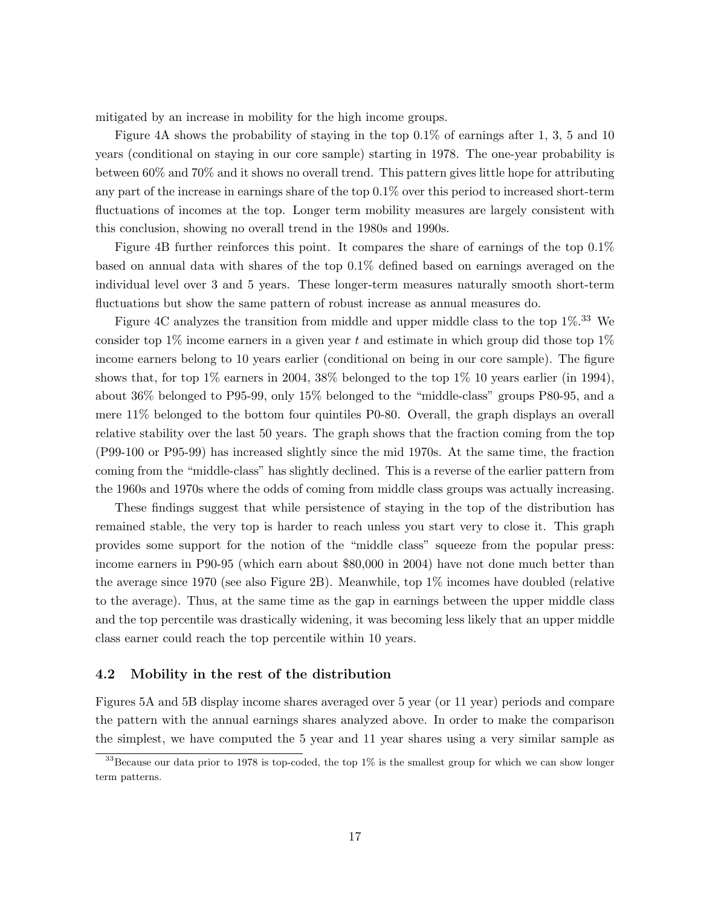mitigated by an increase in mobility for the high income groups.

Figure 4A shows the probability of staying in the top 0.1% of earnings after 1, 3, 5 and 10 years (conditional on staying in our core sample) starting in 1978. The one-year probability is between 60% and 70% and it shows no overall trend. This pattern gives little hope for attributing any part of the increase in earnings share of the top 0.1% over this period to increased short-term fluctuations of incomes at the top. Longer term mobility measures are largely consistent with this conclusion, showing no overall trend in the 1980s and 1990s.

Figure 4B further reinforces this point. It compares the share of earnings of the top 0.1% based on annual data with shares of the top 0.1% defined based on earnings averaged on the individual level over 3 and 5 years. These longer-term measures naturally smooth short-term fluctuations but show the same pattern of robust increase as annual measures do.

Figure 4C analyzes the transition from middle and upper middle class to the top  $1\%$ .<sup>33</sup> We consider top 1% income earners in a given year t and estimate in which group did those top  $1\%$ income earners belong to 10 years earlier (conditional on being in our core sample). The figure shows that, for top  $1\%$  earners in 2004, 38% belonged to the top  $1\%$  10 years earlier (in 1994), about 36% belonged to P95-99, only 15% belonged to the "middle-class" groups P80-95, and a mere 11% belonged to the bottom four quintiles P0-80. Overall, the graph displays an overall relative stability over the last 50 years. The graph shows that the fraction coming from the top (P99-100 or P95-99) has increased slightly since the mid 1970s. At the same time, the fraction coming from the "middle-class" has slightly declined. This is a reverse of the earlier pattern from the 1960s and 1970s where the odds of coming from middle class groups was actually increasing.

These findings suggest that while persistence of staying in the top of the distribution has remained stable, the very top is harder to reach unless you start very to close it. This graph provides some support for the notion of the "middle class" squeeze from the popular press: income earners in P90-95 (which earn about \$80,000 in 2004) have not done much better than the average since 1970 (see also Figure 2B). Meanwhile, top 1% incomes have doubled (relative to the average). Thus, at the same time as the gap in earnings between the upper middle class and the top percentile was drastically widening, it was becoming less likely that an upper middle class earner could reach the top percentile within 10 years.

### 4.2 Mobility in the rest of the distribution

Figures 5A and 5B display income shares averaged over 5 year (or 11 year) periods and compare the pattern with the annual earnings shares analyzed above. In order to make the comparison the simplest, we have computed the 5 year and 11 year shares using a very similar sample as

<sup>&</sup>lt;sup>33</sup>Because our data prior to 1978 is top-coded, the top  $1\%$  is the smallest group for which we can show longer term patterns.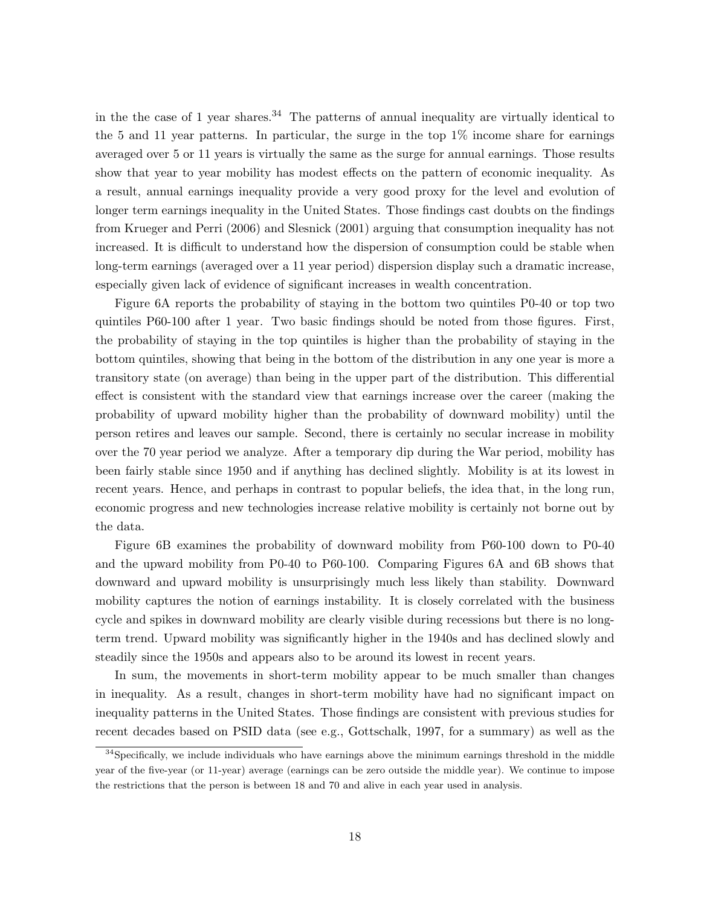in the the case of 1 year shares.<sup>34</sup> The patterns of annual inequality are virtually identical to the 5 and 11 year patterns. In particular, the surge in the top 1% income share for earnings averaged over 5 or 11 years is virtually the same as the surge for annual earnings. Those results show that year to year mobility has modest effects on the pattern of economic inequality. As a result, annual earnings inequality provide a very good proxy for the level and evolution of longer term earnings inequality in the United States. Those findings cast doubts on the findings from Krueger and Perri (2006) and Slesnick (2001) arguing that consumption inequality has not increased. It is difficult to understand how the dispersion of consumption could be stable when long-term earnings (averaged over a 11 year period) dispersion display such a dramatic increase, especially given lack of evidence of significant increases in wealth concentration.

Figure 6A reports the probability of staying in the bottom two quintiles P0-40 or top two quintiles P60-100 after 1 year. Two basic findings should be noted from those figures. First, the probability of staying in the top quintiles is higher than the probability of staying in the bottom quintiles, showing that being in the bottom of the distribution in any one year is more a transitory state (on average) than being in the upper part of the distribution. This differential effect is consistent with the standard view that earnings increase over the career (making the probability of upward mobility higher than the probability of downward mobility) until the person retires and leaves our sample. Second, there is certainly no secular increase in mobility over the 70 year period we analyze. After a temporary dip during the War period, mobility has been fairly stable since 1950 and if anything has declined slightly. Mobility is at its lowest in recent years. Hence, and perhaps in contrast to popular beliefs, the idea that, in the long run, economic progress and new technologies increase relative mobility is certainly not borne out by the data.

Figure 6B examines the probability of downward mobility from P60-100 down to P0-40 and the upward mobility from P0-40 to P60-100. Comparing Figures 6A and 6B shows that downward and upward mobility is unsurprisingly much less likely than stability. Downward mobility captures the notion of earnings instability. It is closely correlated with the business cycle and spikes in downward mobility are clearly visible during recessions but there is no longterm trend. Upward mobility was significantly higher in the 1940s and has declined slowly and steadily since the 1950s and appears also to be around its lowest in recent years.

In sum, the movements in short-term mobility appear to be much smaller than changes in inequality. As a result, changes in short-term mobility have had no significant impact on inequality patterns in the United States. Those findings are consistent with previous studies for recent decades based on PSID data (see e.g., Gottschalk, 1997, for a summary) as well as the

 $34$ Specifically, we include individuals who have earnings above the minimum earnings threshold in the middle year of the five-year (or 11-year) average (earnings can be zero outside the middle year). We continue to impose the restrictions that the person is between 18 and 70 and alive in each year used in analysis.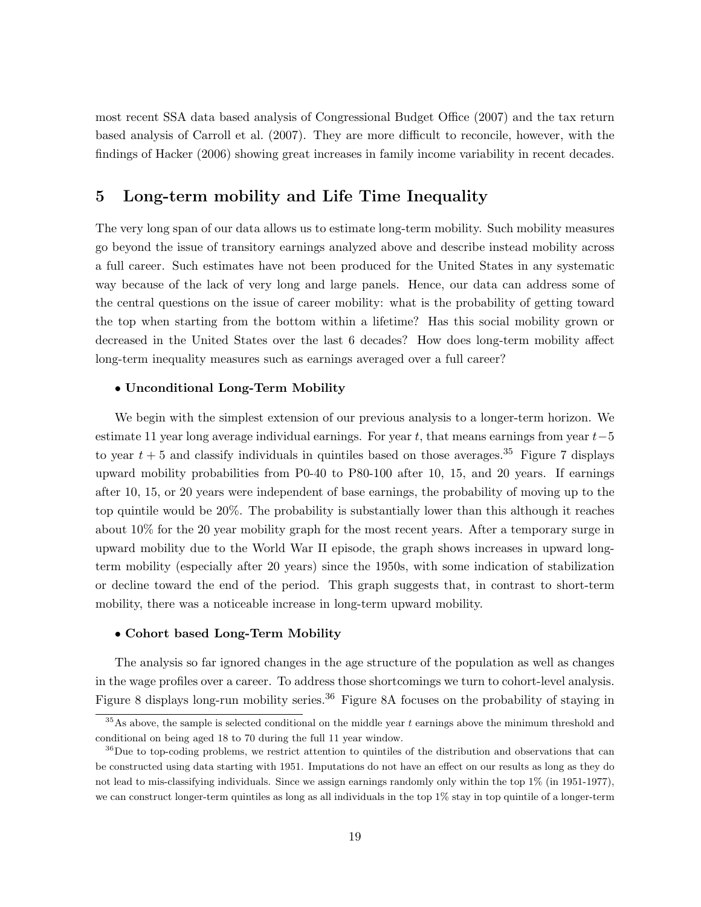most recent SSA data based analysis of Congressional Budget Office (2007) and the tax return based analysis of Carroll et al. (2007). They are more difficult to reconcile, however, with the findings of Hacker (2006) showing great increases in family income variability in recent decades.

## 5 Long-term mobility and Life Time Inequality

The very long span of our data allows us to estimate long-term mobility. Such mobility measures go beyond the issue of transitory earnings analyzed above and describe instead mobility across a full career. Such estimates have not been produced for the United States in any systematic way because of the lack of very long and large panels. Hence, our data can address some of the central questions on the issue of career mobility: what is the probability of getting toward the top when starting from the bottom within a lifetime? Has this social mobility grown or decreased in the United States over the last 6 decades? How does long-term mobility affect long-term inequality measures such as earnings averaged over a full career?

#### • Unconditional Long-Term Mobility

We begin with the simplest extension of our previous analysis to a longer-term horizon. We estimate 11 year long average individual earnings. For year t, that means earnings from year  $t-5$ to year  $t + 5$  and classify individuals in quintiles based on those averages.<sup>35</sup> Figure 7 displays upward mobility probabilities from P0-40 to P80-100 after 10, 15, and 20 years. If earnings after 10, 15, or 20 years were independent of base earnings, the probability of moving up to the top quintile would be 20%. The probability is substantially lower than this although it reaches about 10% for the 20 year mobility graph for the most recent years. After a temporary surge in upward mobility due to the World War II episode, the graph shows increases in upward longterm mobility (especially after 20 years) since the 1950s, with some indication of stabilization or decline toward the end of the period. This graph suggests that, in contrast to short-term mobility, there was a noticeable increase in long-term upward mobility.

#### • Cohort based Long-Term Mobility

The analysis so far ignored changes in the age structure of the population as well as changes in the wage profiles over a career. To address those shortcomings we turn to cohort-level analysis. Figure 8 displays long-run mobility series.<sup>36</sup> Figure 8A focuses on the probability of staying in

 $35\text{As above},$  the sample is selected conditional on the middle year t earnings above the minimum threshold and conditional on being aged 18 to 70 during the full 11 year window.

<sup>&</sup>lt;sup>36</sup>Due to top-coding problems, we restrict attention to quintiles of the distribution and observations that can be constructed using data starting with 1951. Imputations do not have an effect on our results as long as they do not lead to mis-classifying individuals. Since we assign earnings randomly only within the top 1% (in 1951-1977), we can construct longer-term quintiles as long as all individuals in the top 1% stay in top quintile of a longer-term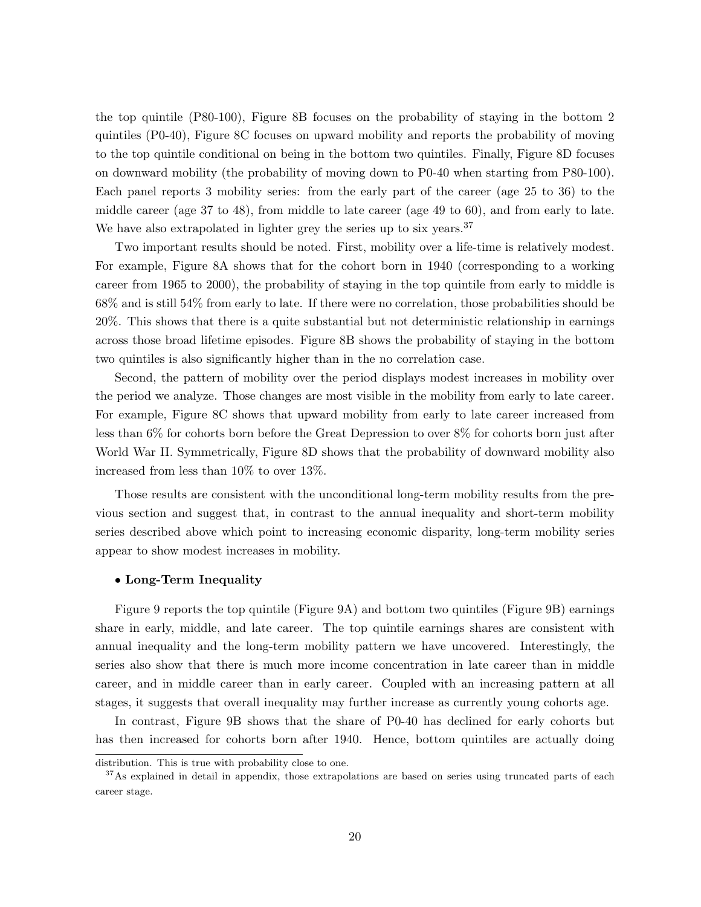the top quintile (P80-100), Figure 8B focuses on the probability of staying in the bottom 2 quintiles (P0-40), Figure 8C focuses on upward mobility and reports the probability of moving to the top quintile conditional on being in the bottom two quintiles. Finally, Figure 8D focuses on downward mobility (the probability of moving down to P0-40 when starting from P80-100). Each panel reports 3 mobility series: from the early part of the career (age 25 to 36) to the middle career (age 37 to 48), from middle to late career (age 49 to 60), and from early to late. We have also extrapolated in lighter grey the series up to six years.<sup>37</sup>

Two important results should be noted. First, mobility over a life-time is relatively modest. For example, Figure 8A shows that for the cohort born in 1940 (corresponding to a working career from 1965 to 2000), the probability of staying in the top quintile from early to middle is 68% and is still 54% from early to late. If there were no correlation, those probabilities should be 20%. This shows that there is a quite substantial but not deterministic relationship in earnings across those broad lifetime episodes. Figure 8B shows the probability of staying in the bottom two quintiles is also significantly higher than in the no correlation case.

Second, the pattern of mobility over the period displays modest increases in mobility over the period we analyze. Those changes are most visible in the mobility from early to late career. For example, Figure 8C shows that upward mobility from early to late career increased from less than 6% for cohorts born before the Great Depression to over 8% for cohorts born just after World War II. Symmetrically, Figure 8D shows that the probability of downward mobility also increased from less than 10% to over 13%.

Those results are consistent with the unconditional long-term mobility results from the previous section and suggest that, in contrast to the annual inequality and short-term mobility series described above which point to increasing economic disparity, long-term mobility series appear to show modest increases in mobility.

#### • Long-Term Inequality

Figure 9 reports the top quintile (Figure 9A) and bottom two quintiles (Figure 9B) earnings share in early, middle, and late career. The top quintile earnings shares are consistent with annual inequality and the long-term mobility pattern we have uncovered. Interestingly, the series also show that there is much more income concentration in late career than in middle career, and in middle career than in early career. Coupled with an increasing pattern at all stages, it suggests that overall inequality may further increase as currently young cohorts age.

In contrast, Figure 9B shows that the share of P0-40 has declined for early cohorts but has then increased for cohorts born after 1940. Hence, bottom quintiles are actually doing

distribution. This is true with probability close to one.

<sup>&</sup>lt;sup>37</sup>As explained in detail in appendix, those extrapolations are based on series using truncated parts of each career stage.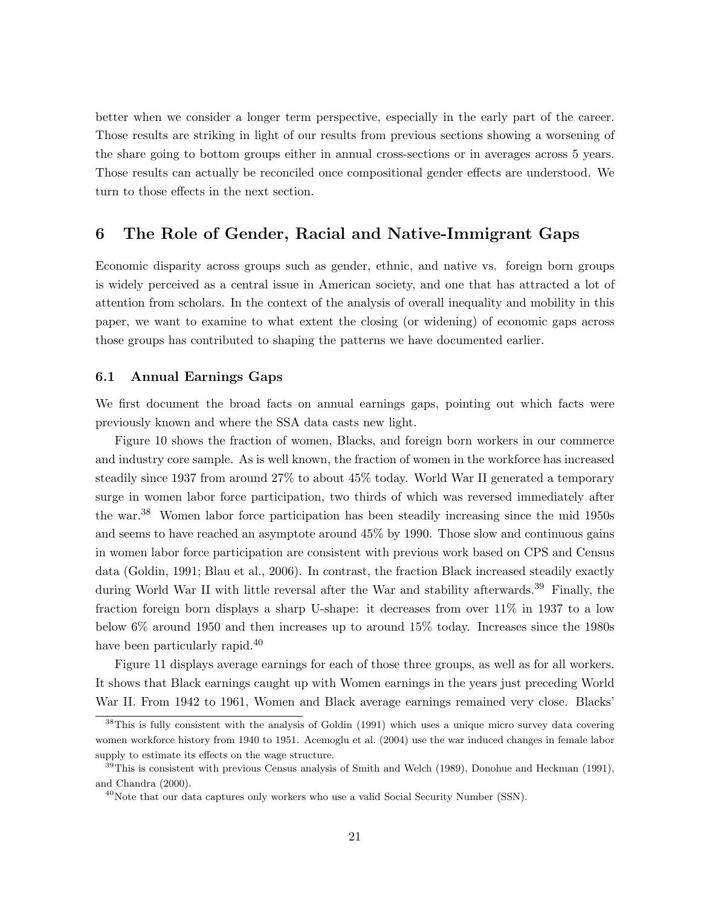better when we consider a longer term perspective, especially in the early part of the career. Those results are striking in light of our results from previous sections showing a worsening of the share going to bottom groups either in annual cross-sections or in averages across 5 years. Those results can actually be reconciled once compositional gender effects are understood. We turn to those effects in the next section.

## 6 The Role of Gender, Racial and Native-Immigrant Gaps

Economic disparity across groups such as gender, ethnic, and native vs. foreign born groups is widely perceived as a central issue in American society, and one that has attracted a lot of attention from scholars. In the context of the analysis of overall inequality and mobility in this paper, we want to examine to what extent the closing (or widening) of economic gaps across those groups has contributed to shaping the patterns we have documented earlier.

### 6.1 Annual Earnings Gaps

We first document the broad facts on annual earnings gaps, pointing out which facts were previously known and where the SSA data casts new light.

Figure 10 shows the fraction of women, Blacks, and foreign born workers in our commerce and industry core sample. As is well known, the fraction of women in the workforce has increased steadily since 1937 from around 27% to about 45% today. World War II generated a temporary surge in women labor force participation, two thirds of which was reversed immediately after the war.<sup>38</sup> Women labor force participation has been steadily increasing since the mid 1950s and seems to have reached an asymptote around 45% by 1990. Those slow and continuous gains in women labor force participation are consistent with previous work based on CPS and Census data (Goldin, 1991; Blau et al., 2006). In contrast, the fraction Black increased steadily exactly during World War II with little reversal after the War and stability afterwards.<sup>39</sup> Finally, the fraction foreign born displays a sharp U-shape: it decreases from over 11% in 1937 to a low below 6% around 1950 and then increases up to around 15% today. Increases since the 1980s have been particularly rapid.<sup>40</sup>

Figure 11 displays average earnings for each of those three groups, as well as for all workers. It shows that Black earnings caught up with Women earnings in the years just preceding World War II. From 1942 to 1961, Women and Black average earnings remained very close. Blacks'

<sup>&</sup>lt;sup>38</sup>This is fully consistent with the analysis of Goldin (1991) which uses a unique micro survey data covering women workforce history from 1940 to 1951. Acemoglu et al. (2004) use the war induced changes in female labor supply to estimate its effects on the wage structure.

 $39$ This is consistent with previous Census analysis of Smith and Welch (1989), Donohue and Heckman (1991), and Chandra (2000).

 $^{40}$ Note that our data captures only workers who use a valid Social Security Number (SSN).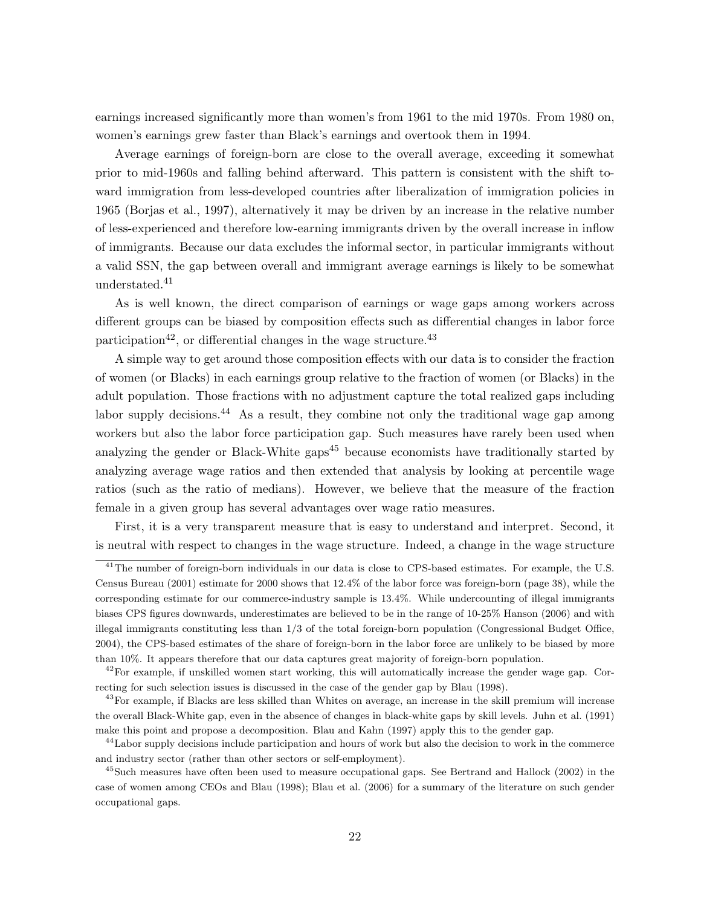earnings increased significantly more than women's from 1961 to the mid 1970s. From 1980 on, women's earnings grew faster than Black's earnings and overtook them in 1994.

Average earnings of foreign-born are close to the overall average, exceeding it somewhat prior to mid-1960s and falling behind afterward. This pattern is consistent with the shift toward immigration from less-developed countries after liberalization of immigration policies in 1965 (Borjas et al., 1997), alternatively it may be driven by an increase in the relative number of less-experienced and therefore low-earning immigrants driven by the overall increase in inflow of immigrants. Because our data excludes the informal sector, in particular immigrants without a valid SSN, the gap between overall and immigrant average earnings is likely to be somewhat understated.<sup>41</sup>

As is well known, the direct comparison of earnings or wage gaps among workers across different groups can be biased by composition effects such as differential changes in labor force participation<sup>42</sup>, or differential changes in the wage structure.<sup>43</sup>

A simple way to get around those composition effects with our data is to consider the fraction of women (or Blacks) in each earnings group relative to the fraction of women (or Blacks) in the adult population. Those fractions with no adjustment capture the total realized gaps including labor supply decisions.<sup>44</sup> As a result, they combine not only the traditional wage gap among workers but also the labor force participation gap. Such measures have rarely been used when analyzing the gender or Black-White gaps<sup>45</sup> because economists have traditionally started by analyzing average wage ratios and then extended that analysis by looking at percentile wage ratios (such as the ratio of medians). However, we believe that the measure of the fraction female in a given group has several advantages over wage ratio measures.

First, it is a very transparent measure that is easy to understand and interpret. Second, it is neutral with respect to changes in the wage structure. Indeed, a change in the wage structure

<sup>&</sup>lt;sup>41</sup>The number of foreign-born individuals in our data is close to CPS-based estimates. For example, the U.S. Census Bureau (2001) estimate for 2000 shows that 12.4% of the labor force was foreign-born (page 38), while the corresponding estimate for our commerce-industry sample is 13.4%. While undercounting of illegal immigrants biases CPS figures downwards, underestimates are believed to be in the range of 10-25% Hanson (2006) and with illegal immigrants constituting less than 1/3 of the total foreign-born population (Congressional Budget Office, 2004), the CPS-based estimates of the share of foreign-born in the labor force are unlikely to be biased by more than 10%. It appears therefore that our data captures great majority of foreign-born population.

 $^{42}$ For example, if unskilled women start working, this will automatically increase the gender wage gap. Correcting for such selection issues is discussed in the case of the gender gap by Blau (1998).

<sup>&</sup>lt;sup>43</sup>For example, if Blacks are less skilled than Whites on average, an increase in the skill premium will increase the overall Black-White gap, even in the absence of changes in black-white gaps by skill levels. Juhn et al. (1991) make this point and propose a decomposition. Blau and Kahn (1997) apply this to the gender gap.

<sup>&</sup>lt;sup>44</sup>Labor supply decisions include participation and hours of work but also the decision to work in the commerce and industry sector (rather than other sectors or self-employment).

<sup>&</sup>lt;sup>45</sup>Such measures have often been used to measure occupational gaps. See Bertrand and Hallock (2002) in the case of women among CEOs and Blau (1998); Blau et al. (2006) for a summary of the literature on such gender occupational gaps.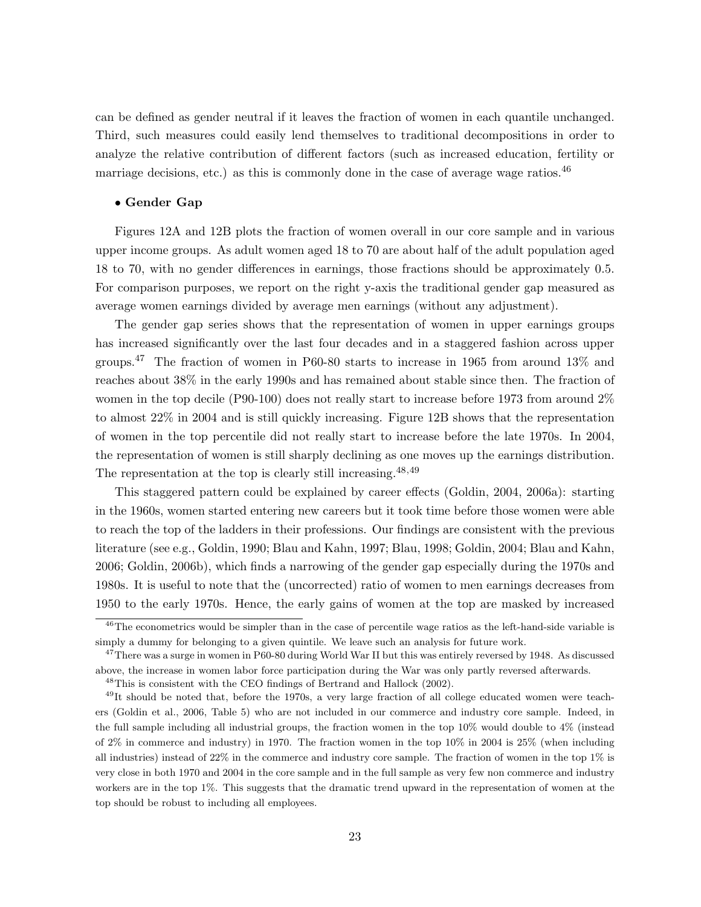can be defined as gender neutral if it leaves the fraction of women in each quantile unchanged. Third, such measures could easily lend themselves to traditional decompositions in order to analyze the relative contribution of different factors (such as increased education, fertility or marriage decisions, etc.) as this is commonly done in the case of average wage ratios. $^{46}$ 

#### • Gender Gap

Figures 12A and 12B plots the fraction of women overall in our core sample and in various upper income groups. As adult women aged 18 to 70 are about half of the adult population aged 18 to 70, with no gender differences in earnings, those fractions should be approximately 0.5. For comparison purposes, we report on the right y-axis the traditional gender gap measured as average women earnings divided by average men earnings (without any adjustment).

The gender gap series shows that the representation of women in upper earnings groups has increased significantly over the last four decades and in a staggered fashion across upper groups.<sup>47</sup> The fraction of women in P60-80 starts to increase in 1965 from around 13% and reaches about 38% in the early 1990s and has remained about stable since then. The fraction of women in the top decile (P90-100) does not really start to increase before 1973 from around  $2\%$ to almost 22% in 2004 and is still quickly increasing. Figure 12B shows that the representation of women in the top percentile did not really start to increase before the late 1970s. In 2004, the representation of women is still sharply declining as one moves up the earnings distribution. The representation at the top is clearly still increasing.48,49

This staggered pattern could be explained by career effects (Goldin, 2004, 2006a): starting in the 1960s, women started entering new careers but it took time before those women were able to reach the top of the ladders in their professions. Our findings are consistent with the previous literature (see e.g., Goldin, 1990; Blau and Kahn, 1997; Blau, 1998; Goldin, 2004; Blau and Kahn, 2006; Goldin, 2006b), which finds a narrowing of the gender gap especially during the 1970s and 1980s. It is useful to note that the (uncorrected) ratio of women to men earnings decreases from 1950 to the early 1970s. Hence, the early gains of women at the top are masked by increased

<sup>&</sup>lt;sup>46</sup>The econometrics would be simpler than in the case of percentile wage ratios as the left-hand-side variable is simply a dummy for belonging to a given quintile. We leave such an analysis for future work.

<sup>&</sup>lt;sup>47</sup>There was a surge in women in P60-80 during World War II but this was entirely reversed by 1948. As discussed above, the increase in women labor force participation during the War was only partly reversed afterwards.

 $^{48}$ This is consistent with the CEO findings of Bertrand and Hallock (2002).

 $^{49}$ It should be noted that, before the 1970s, a very large fraction of all college educated women were teachers (Goldin et al., 2006, Table 5) who are not included in our commerce and industry core sample. Indeed, in the full sample including all industrial groups, the fraction women in the top 10% would double to 4% (instead of 2% in commerce and industry) in 1970. The fraction women in the top 10% in 2004 is 25% (when including all industries) instead of 22% in the commerce and industry core sample. The fraction of women in the top 1% is very close in both 1970 and 2004 in the core sample and in the full sample as very few non commerce and industry workers are in the top 1%. This suggests that the dramatic trend upward in the representation of women at the top should be robust to including all employees.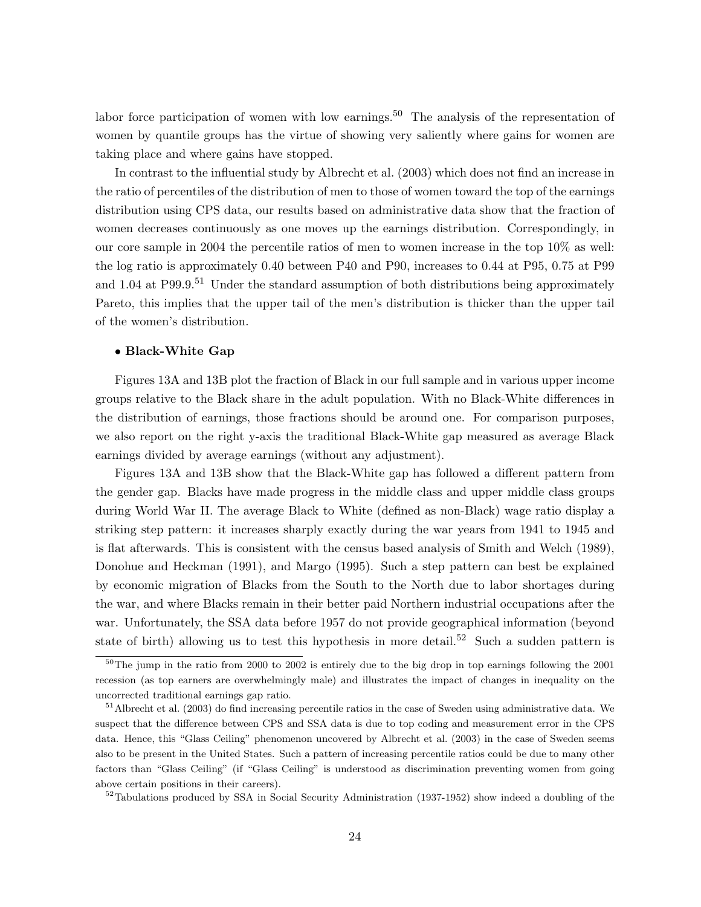labor force participation of women with low earnings.<sup>50</sup> The analysis of the representation of women by quantile groups has the virtue of showing very saliently where gains for women are taking place and where gains have stopped.

In contrast to the influential study by Albrecht et al. (2003) which does not find an increase in the ratio of percentiles of the distribution of men to those of women toward the top of the earnings distribution using CPS data, our results based on administrative data show that the fraction of women decreases continuously as one moves up the earnings distribution. Correspondingly, in our core sample in 2004 the percentile ratios of men to women increase in the top 10% as well: the log ratio is approximately 0.40 between P40 and P90, increases to 0.44 at P95, 0.75 at P99 and 1.04 at  $P99.9^{51}$  Under the standard assumption of both distributions being approximately Pareto, this implies that the upper tail of the men's distribution is thicker than the upper tail of the women's distribution.

### • Black-White Gap

Figures 13A and 13B plot the fraction of Black in our full sample and in various upper income groups relative to the Black share in the adult population. With no Black-White differences in the distribution of earnings, those fractions should be around one. For comparison purposes, we also report on the right y-axis the traditional Black-White gap measured as average Black earnings divided by average earnings (without any adjustment).

Figures 13A and 13B show that the Black-White gap has followed a different pattern from the gender gap. Blacks have made progress in the middle class and upper middle class groups during World War II. The average Black to White (defined as non-Black) wage ratio display a striking step pattern: it increases sharply exactly during the war years from 1941 to 1945 and is flat afterwards. This is consistent with the census based analysis of Smith and Welch (1989), Donohue and Heckman (1991), and Margo (1995). Such a step pattern can best be explained by economic migration of Blacks from the South to the North due to labor shortages during the war, and where Blacks remain in their better paid Northern industrial occupations after the war. Unfortunately, the SSA data before 1957 do not provide geographical information (beyond state of birth) allowing us to test this hypothesis in more detail.<sup>52</sup> Such a sudden pattern is

<sup>52</sup>Tabulations produced by SSA in Social Security Administration (1937-1952) show indeed a doubling of the

 $50$ The jump in the ratio from 2000 to 2002 is entirely due to the big drop in top earnings following the 2001 recession (as top earners are overwhelmingly male) and illustrates the impact of changes in inequality on the uncorrected traditional earnings gap ratio.

<sup>51</sup>Albrecht et al. (2003) do find increasing percentile ratios in the case of Sweden using administrative data. We suspect that the difference between CPS and SSA data is due to top coding and measurement error in the CPS data. Hence, this "Glass Ceiling" phenomenon uncovered by Albrecht et al. (2003) in the case of Sweden seems also to be present in the United States. Such a pattern of increasing percentile ratios could be due to many other factors than "Glass Ceiling" (if "Glass Ceiling" is understood as discrimination preventing women from going above certain positions in their careers).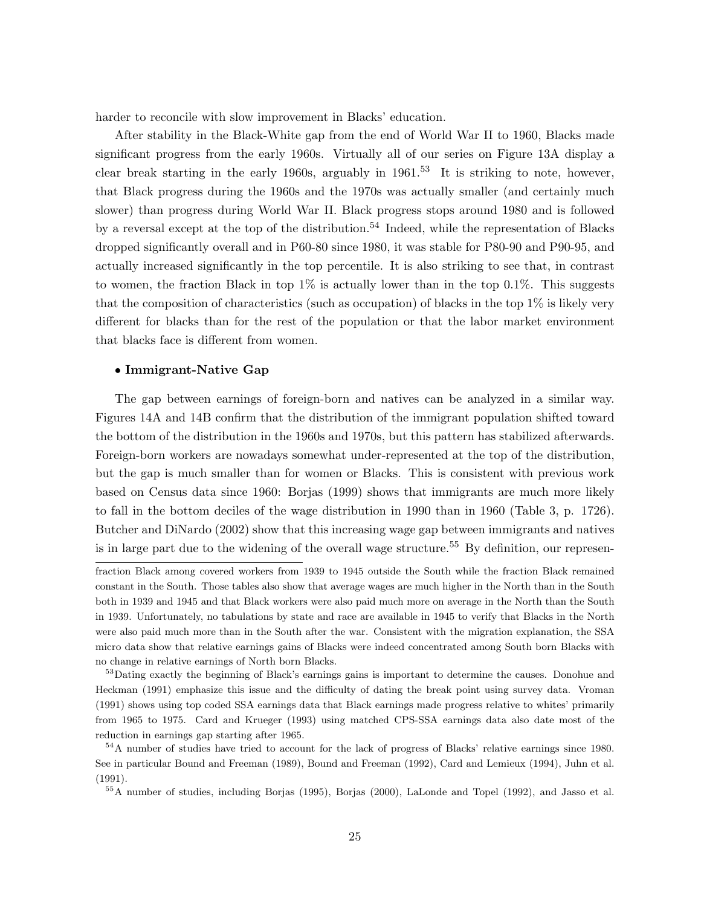harder to reconcile with slow improvement in Blacks' education.

After stability in the Black-White gap from the end of World War II to 1960, Blacks made significant progress from the early 1960s. Virtually all of our series on Figure 13A display a clear break starting in the early 1960s, arguably in  $1961<sup>53</sup>$  It is striking to note, however, that Black progress during the 1960s and the 1970s was actually smaller (and certainly much slower) than progress during World War II. Black progress stops around 1980 and is followed by a reversal except at the top of the distribution.<sup>54</sup> Indeed, while the representation of Blacks dropped significantly overall and in P60-80 since 1980, it was stable for P80-90 and P90-95, and actually increased significantly in the top percentile. It is also striking to see that, in contrast to women, the fraction Black in top  $1\%$  is actually lower than in the top 0.1%. This suggests that the composition of characteristics (such as occupation) of blacks in the top 1% is likely very different for blacks than for the rest of the population or that the labor market environment that blacks face is different from women.

#### • Immigrant-Native Gap

The gap between earnings of foreign-born and natives can be analyzed in a similar way. Figures 14A and 14B confirm that the distribution of the immigrant population shifted toward the bottom of the distribution in the 1960s and 1970s, but this pattern has stabilized afterwards. Foreign-born workers are nowadays somewhat under-represented at the top of the distribution, but the gap is much smaller than for women or Blacks. This is consistent with previous work based on Census data since 1960: Borjas (1999) shows that immigrants are much more likely to fall in the bottom deciles of the wage distribution in 1990 than in 1960 (Table 3, p. 1726). Butcher and DiNardo (2002) show that this increasing wage gap between immigrants and natives is in large part due to the widening of the overall wage structure.<sup>55</sup> By definition, our represen-

fraction Black among covered workers from 1939 to 1945 outside the South while the fraction Black remained constant in the South. Those tables also show that average wages are much higher in the North than in the South both in 1939 and 1945 and that Black workers were also paid much more on average in the North than the South in 1939. Unfortunately, no tabulations by state and race are available in 1945 to verify that Blacks in the North were also paid much more than in the South after the war. Consistent with the migration explanation, the SSA micro data show that relative earnings gains of Blacks were indeed concentrated among South born Blacks with no change in relative earnings of North born Blacks.

<sup>&</sup>lt;sup>53</sup>Dating exactly the beginning of Black's earnings gains is important to determine the causes. Donohue and Heckman (1991) emphasize this issue and the difficulty of dating the break point using survey data. Vroman (1991) shows using top coded SSA earnings data that Black earnings made progress relative to whites' primarily from 1965 to 1975. Card and Krueger (1993) using matched CPS-SSA earnings data also date most of the reduction in earnings gap starting after 1965.

<sup>&</sup>lt;sup>54</sup>A number of studies have tried to account for the lack of progress of Blacks' relative earnings since 1980. See in particular Bound and Freeman (1989), Bound and Freeman (1992), Card and Lemieux (1994), Juhn et al. (1991).

<sup>55</sup>A number of studies, including Borjas (1995), Borjas (2000), LaLonde and Topel (1992), and Jasso et al.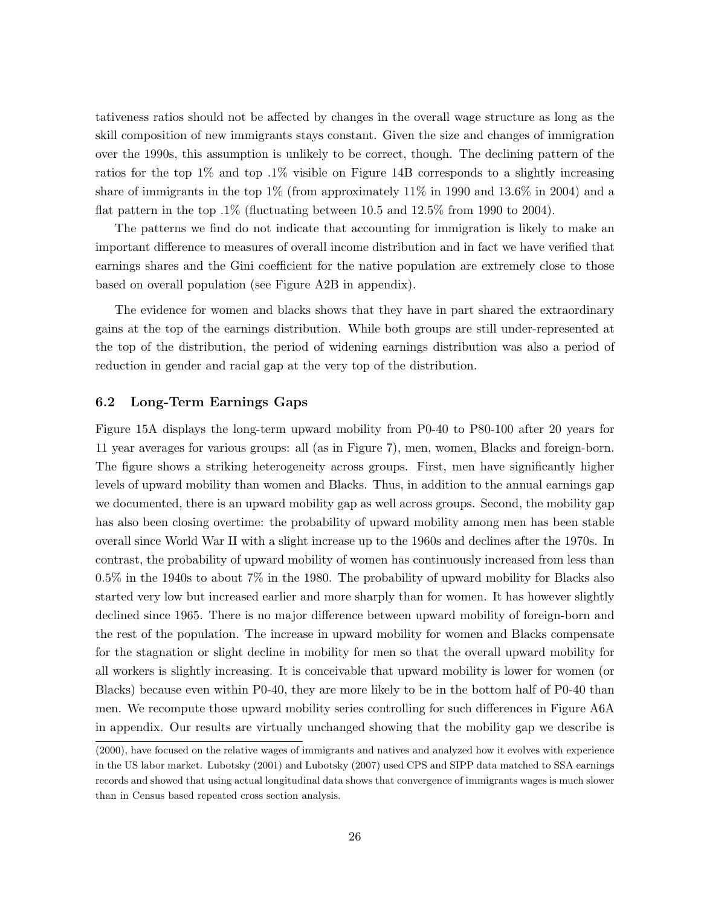tativeness ratios should not be affected by changes in the overall wage structure as long as the skill composition of new immigrants stays constant. Given the size and changes of immigration over the 1990s, this assumption is unlikely to be correct, though. The declining pattern of the ratios for the top 1% and top .1% visible on Figure 14B corresponds to a slightly increasing share of immigrants in the top 1% (from approximately 11% in 1990 and 13.6% in 2004) and a flat pattern in the top  $.1\%$  (fluctuating between 10.5 and 12.5% from 1990 to 2004).

The patterns we find do not indicate that accounting for immigration is likely to make an important difference to measures of overall income distribution and in fact we have verified that earnings shares and the Gini coefficient for the native population are extremely close to those based on overall population (see Figure A2B in appendix).

The evidence for women and blacks shows that they have in part shared the extraordinary gains at the top of the earnings distribution. While both groups are still under-represented at the top of the distribution, the period of widening earnings distribution was also a period of reduction in gender and racial gap at the very top of the distribution.

## 6.2 Long-Term Earnings Gaps

Figure 15A displays the long-term upward mobility from P0-40 to P80-100 after 20 years for 11 year averages for various groups: all (as in Figure 7), men, women, Blacks and foreign-born. The figure shows a striking heterogeneity across groups. First, men have significantly higher levels of upward mobility than women and Blacks. Thus, in addition to the annual earnings gap we documented, there is an upward mobility gap as well across groups. Second, the mobility gap has also been closing overtime: the probability of upward mobility among men has been stable overall since World War II with a slight increase up to the 1960s and declines after the 1970s. In contrast, the probability of upward mobility of women has continuously increased from less than 0.5% in the 1940s to about 7% in the 1980. The probability of upward mobility for Blacks also started very low but increased earlier and more sharply than for women. It has however slightly declined since 1965. There is no major difference between upward mobility of foreign-born and the rest of the population. The increase in upward mobility for women and Blacks compensate for the stagnation or slight decline in mobility for men so that the overall upward mobility for all workers is slightly increasing. It is conceivable that upward mobility is lower for women (or Blacks) because even within P0-40, they are more likely to be in the bottom half of P0-40 than men. We recompute those upward mobility series controlling for such differences in Figure A6A in appendix. Our results are virtually unchanged showing that the mobility gap we describe is

<sup>(2000),</sup> have focused on the relative wages of immigrants and natives and analyzed how it evolves with experience in the US labor market. Lubotsky (2001) and Lubotsky (2007) used CPS and SIPP data matched to SSA earnings records and showed that using actual longitudinal data shows that convergence of immigrants wages is much slower than in Census based repeated cross section analysis.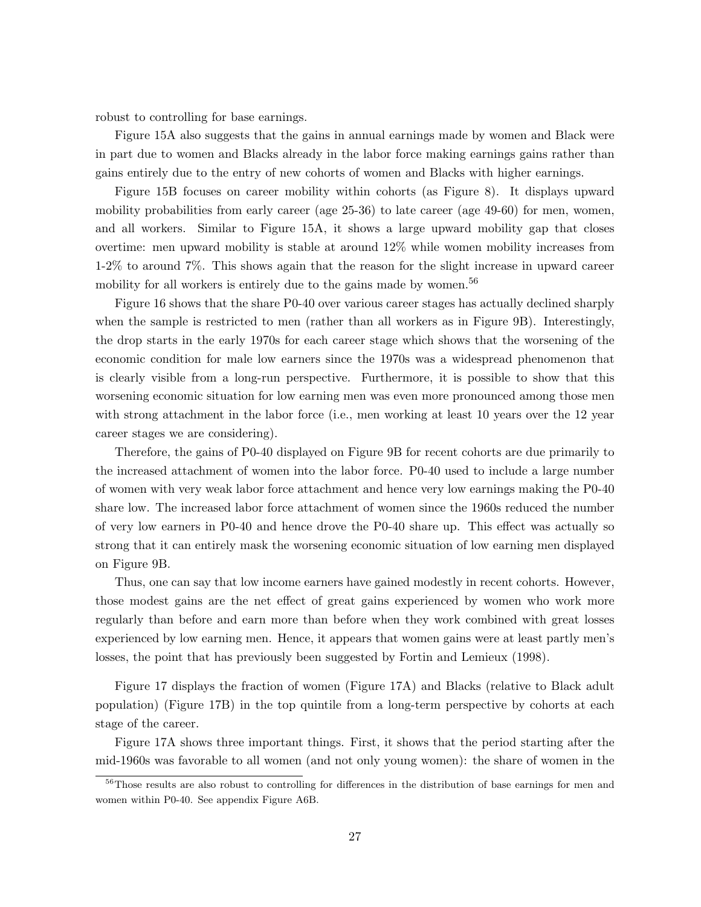robust to controlling for base earnings.

Figure 15A also suggests that the gains in annual earnings made by women and Black were in part due to women and Blacks already in the labor force making earnings gains rather than gains entirely due to the entry of new cohorts of women and Blacks with higher earnings.

Figure 15B focuses on career mobility within cohorts (as Figure 8). It displays upward mobility probabilities from early career (age 25-36) to late career (age 49-60) for men, women, and all workers. Similar to Figure 15A, it shows a large upward mobility gap that closes overtime: men upward mobility is stable at around 12% while women mobility increases from 1-2% to around 7%. This shows again that the reason for the slight increase in upward career mobility for all workers is entirely due to the gains made by women.<sup>56</sup>

Figure 16 shows that the share P0-40 over various career stages has actually declined sharply when the sample is restricted to men (rather than all workers as in Figure 9B). Interestingly, the drop starts in the early 1970s for each career stage which shows that the worsening of the economic condition for male low earners since the 1970s was a widespread phenomenon that is clearly visible from a long-run perspective. Furthermore, it is possible to show that this worsening economic situation for low earning men was even more pronounced among those men with strong attachment in the labor force (i.e., men working at least 10 years over the 12 year career stages we are considering).

Therefore, the gains of P0-40 displayed on Figure 9B for recent cohorts are due primarily to the increased attachment of women into the labor force. P0-40 used to include a large number of women with very weak labor force attachment and hence very low earnings making the P0-40 share low. The increased labor force attachment of women since the 1960s reduced the number of very low earners in P0-40 and hence drove the P0-40 share up. This effect was actually so strong that it can entirely mask the worsening economic situation of low earning men displayed on Figure 9B.

Thus, one can say that low income earners have gained modestly in recent cohorts. However, those modest gains are the net effect of great gains experienced by women who work more regularly than before and earn more than before when they work combined with great losses experienced by low earning men. Hence, it appears that women gains were at least partly men's losses, the point that has previously been suggested by Fortin and Lemieux (1998).

Figure 17 displays the fraction of women (Figure 17A) and Blacks (relative to Black adult population) (Figure 17B) in the top quintile from a long-term perspective by cohorts at each stage of the career.

Figure 17A shows three important things. First, it shows that the period starting after the mid-1960s was favorable to all women (and not only young women): the share of women in the

<sup>&</sup>lt;sup>56</sup>Those results are also robust to controlling for differences in the distribution of base earnings for men and women within P0-40. See appendix Figure A6B.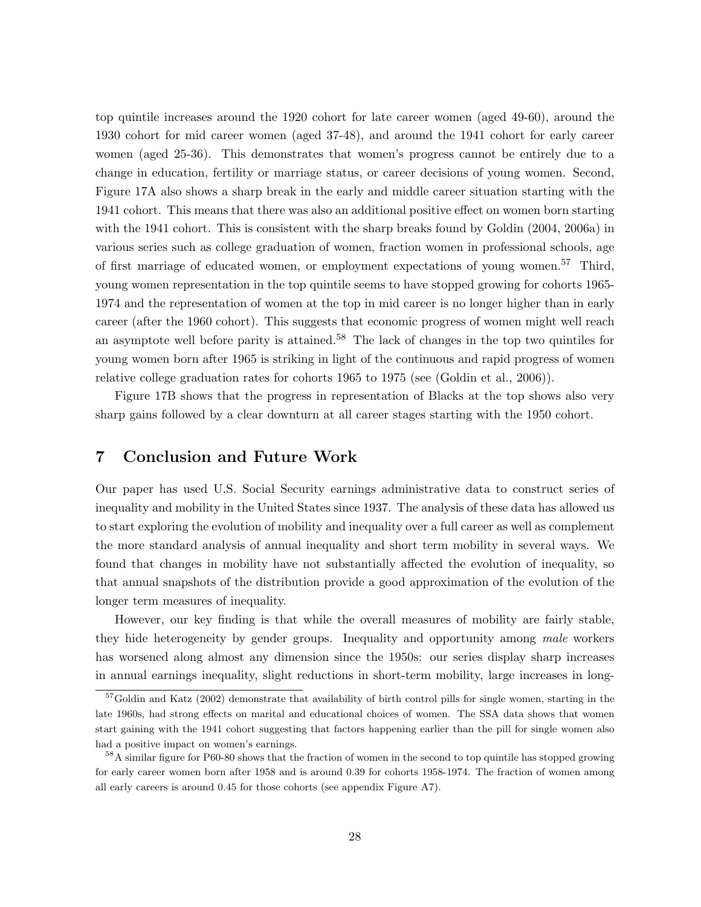top quintile increases around the 1920 cohort for late career women (aged 49-60), around the 1930 cohort for mid career women (aged 37-48), and around the 1941 cohort for early career women (aged 25-36). This demonstrates that women's progress cannot be entirely due to a change in education, fertility or marriage status, or career decisions of young women. Second, Figure 17A also shows a sharp break in the early and middle career situation starting with the 1941 cohort. This means that there was also an additional positive effect on women born starting with the 1941 cohort. This is consistent with the sharp breaks found by Goldin (2004, 2006a) in various series such as college graduation of women, fraction women in professional schools, age of first marriage of educated women, or employment expectations of young women.<sup>57</sup> Third, young women representation in the top quintile seems to have stopped growing for cohorts 1965- 1974 and the representation of women at the top in mid career is no longer higher than in early career (after the 1960 cohort). This suggests that economic progress of women might well reach an asymptote well before parity is attained.<sup>58</sup> The lack of changes in the top two quintiles for young women born after 1965 is striking in light of the continuous and rapid progress of women relative college graduation rates for cohorts 1965 to 1975 (see (Goldin et al., 2006)).

Figure 17B shows that the progress in representation of Blacks at the top shows also very sharp gains followed by a clear downturn at all career stages starting with the 1950 cohort.

## 7 Conclusion and Future Work

Our paper has used U.S. Social Security earnings administrative data to construct series of inequality and mobility in the United States since 1937. The analysis of these data has allowed us to start exploring the evolution of mobility and inequality over a full career as well as complement the more standard analysis of annual inequality and short term mobility in several ways. We found that changes in mobility have not substantially affected the evolution of inequality, so that annual snapshots of the distribution provide a good approximation of the evolution of the longer term measures of inequality.

However, our key finding is that while the overall measures of mobility are fairly stable, they hide heterogeneity by gender groups. Inequality and opportunity among male workers has worsened along almost any dimension since the 1950s: our series display sharp increases in annual earnings inequality, slight reductions in short-term mobility, large increases in long-

<sup>57</sup>Goldin and Katz (2002) demonstrate that availability of birth control pills for single women, starting in the late 1960s, had strong effects on marital and educational choices of women. The SSA data shows that women start gaining with the 1941 cohort suggesting that factors happening earlier than the pill for single women also had a positive impact on women's earnings.

<sup>&</sup>lt;sup>58</sup>A similar figure for P60-80 shows that the fraction of women in the second to top quintile has stopped growing for early career women born after 1958 and is around 0.39 for cohorts 1958-1974. The fraction of women among all early careers is around 0.45 for those cohorts (see appendix Figure A7).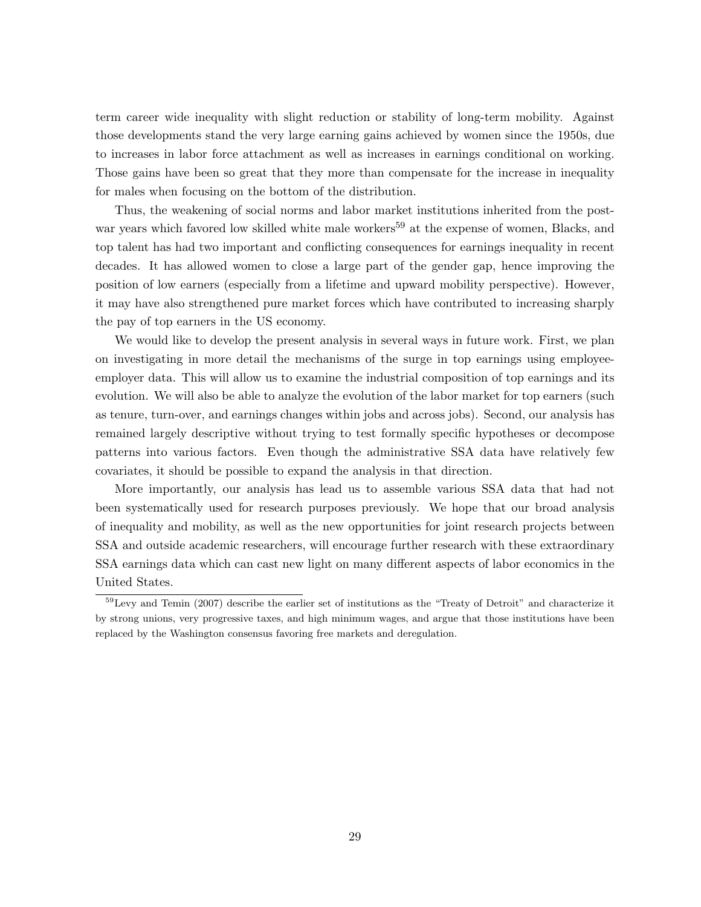term career wide inequality with slight reduction or stability of long-term mobility. Against those developments stand the very large earning gains achieved by women since the 1950s, due to increases in labor force attachment as well as increases in earnings conditional on working. Those gains have been so great that they more than compensate for the increase in inequality for males when focusing on the bottom of the distribution.

Thus, the weakening of social norms and labor market institutions inherited from the postwar years which favored low skilled white male workers<sup>59</sup> at the expense of women, Blacks, and top talent has had two important and conflicting consequences for earnings inequality in recent decades. It has allowed women to close a large part of the gender gap, hence improving the position of low earners (especially from a lifetime and upward mobility perspective). However, it may have also strengthened pure market forces which have contributed to increasing sharply the pay of top earners in the US economy.

We would like to develop the present analysis in several ways in future work. First, we plan on investigating in more detail the mechanisms of the surge in top earnings using employeeemployer data. This will allow us to examine the industrial composition of top earnings and its evolution. We will also be able to analyze the evolution of the labor market for top earners (such as tenure, turn-over, and earnings changes within jobs and across jobs). Second, our analysis has remained largely descriptive without trying to test formally specific hypotheses or decompose patterns into various factors. Even though the administrative SSA data have relatively few covariates, it should be possible to expand the analysis in that direction.

More importantly, our analysis has lead us to assemble various SSA data that had not been systematically used for research purposes previously. We hope that our broad analysis of inequality and mobility, as well as the new opportunities for joint research projects between SSA and outside academic researchers, will encourage further research with these extraordinary SSA earnings data which can cast new light on many different aspects of labor economics in the United States.

<sup>59</sup>Levy and Temin (2007) describe the earlier set of institutions as the "Treaty of Detroit" and characterize it by strong unions, very progressive taxes, and high minimum wages, and argue that those institutions have been replaced by the Washington consensus favoring free markets and deregulation.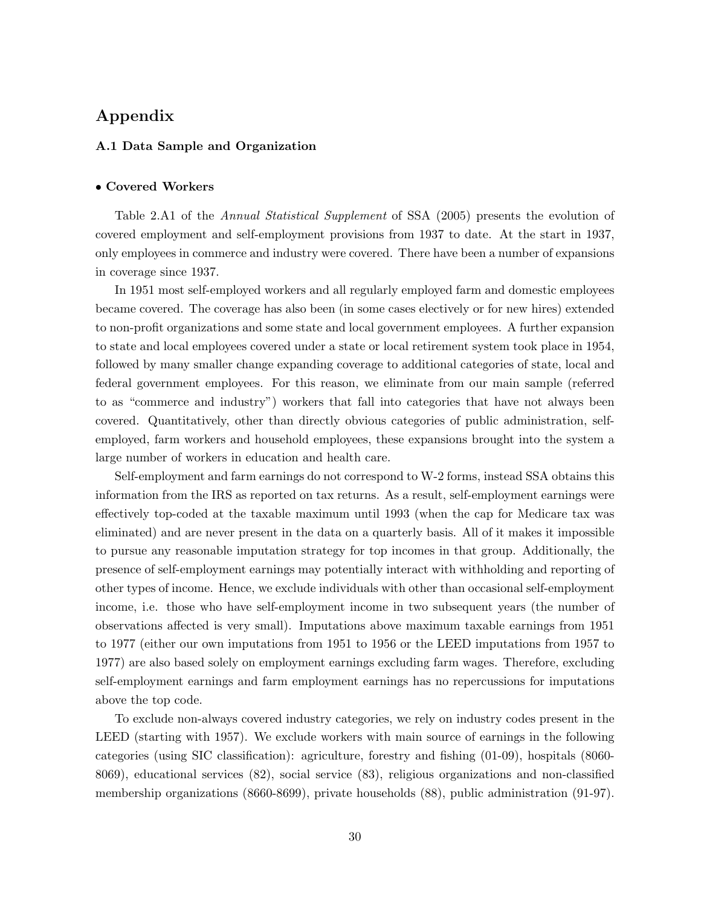# Appendix

## A.1 Data Sample and Organization

#### • Covered Workers

Table 2.A1 of the *Annual Statistical Supplement* of SSA (2005) presents the evolution of covered employment and self-employment provisions from 1937 to date. At the start in 1937, only employees in commerce and industry were covered. There have been a number of expansions in coverage since 1937.

In 1951 most self-employed workers and all regularly employed farm and domestic employees became covered. The coverage has also been (in some cases electively or for new hires) extended to non-profit organizations and some state and local government employees. A further expansion to state and local employees covered under a state or local retirement system took place in 1954, followed by many smaller change expanding coverage to additional categories of state, local and federal government employees. For this reason, we eliminate from our main sample (referred to as "commerce and industry") workers that fall into categories that have not always been covered. Quantitatively, other than directly obvious categories of public administration, selfemployed, farm workers and household employees, these expansions brought into the system a large number of workers in education and health care.

Self-employment and farm earnings do not correspond to W-2 forms, instead SSA obtains this information from the IRS as reported on tax returns. As a result, self-employment earnings were effectively top-coded at the taxable maximum until 1993 (when the cap for Medicare tax was eliminated) and are never present in the data on a quarterly basis. All of it makes it impossible to pursue any reasonable imputation strategy for top incomes in that group. Additionally, the presence of self-employment earnings may potentially interact with withholding and reporting of other types of income. Hence, we exclude individuals with other than occasional self-employment income, i.e. those who have self-employment income in two subsequent years (the number of observations affected is very small). Imputations above maximum taxable earnings from 1951 to 1977 (either our own imputations from 1951 to 1956 or the LEED imputations from 1957 to 1977) are also based solely on employment earnings excluding farm wages. Therefore, excluding self-employment earnings and farm employment earnings has no repercussions for imputations above the top code.

To exclude non-always covered industry categories, we rely on industry codes present in the LEED (starting with 1957). We exclude workers with main source of earnings in the following categories (using SIC classification): agriculture, forestry and fishing (01-09), hospitals (8060- 8069), educational services (82), social service (83), religious organizations and non-classified membership organizations (8660-8699), private households (88), public administration (91-97).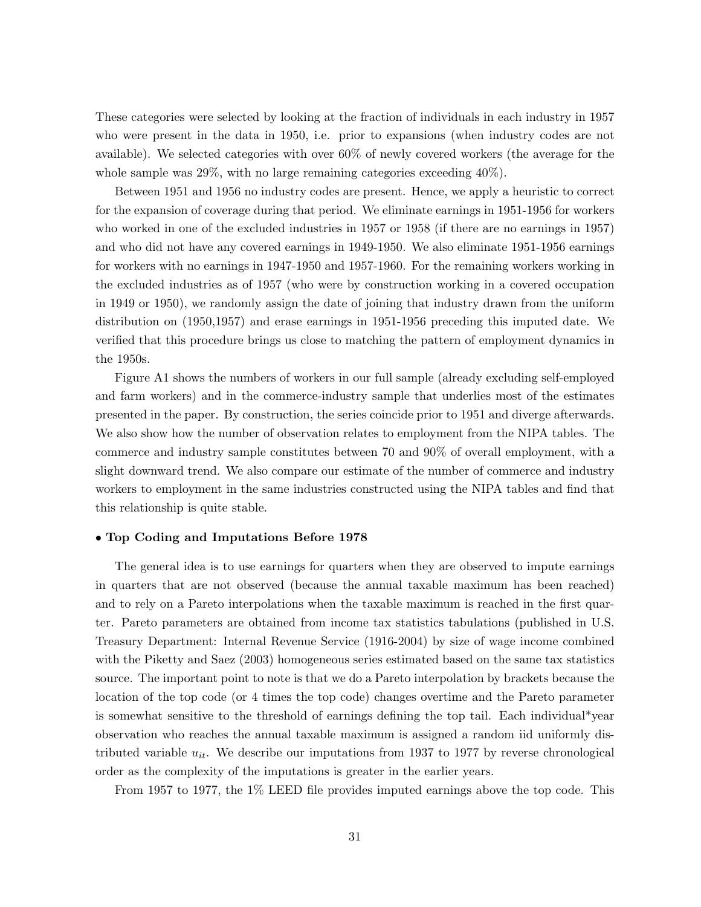These categories were selected by looking at the fraction of individuals in each industry in 1957 who were present in the data in 1950, i.e. prior to expansions (when industry codes are not available). We selected categories with over 60% of newly covered workers (the average for the whole sample was  $29\%$ , with no large remaining categories exceeding  $40\%$ ).

Between 1951 and 1956 no industry codes are present. Hence, we apply a heuristic to correct for the expansion of coverage during that period. We eliminate earnings in 1951-1956 for workers who worked in one of the excluded industries in 1957 or 1958 (if there are no earnings in 1957) and who did not have any covered earnings in 1949-1950. We also eliminate 1951-1956 earnings for workers with no earnings in 1947-1950 and 1957-1960. For the remaining workers working in the excluded industries as of 1957 (who were by construction working in a covered occupation in 1949 or 1950), we randomly assign the date of joining that industry drawn from the uniform distribution on (1950,1957) and erase earnings in 1951-1956 preceding this imputed date. We verified that this procedure brings us close to matching the pattern of employment dynamics in the 1950s.

Figure A1 shows the numbers of workers in our full sample (already excluding self-employed and farm workers) and in the commerce-industry sample that underlies most of the estimates presented in the paper. By construction, the series coincide prior to 1951 and diverge afterwards. We also show how the number of observation relates to employment from the NIPA tables. The commerce and industry sample constitutes between 70 and 90% of overall employment, with a slight downward trend. We also compare our estimate of the number of commerce and industry workers to employment in the same industries constructed using the NIPA tables and find that this relationship is quite stable.

#### • Top Coding and Imputations Before 1978

The general idea is to use earnings for quarters when they are observed to impute earnings in quarters that are not observed (because the annual taxable maximum has been reached) and to rely on a Pareto interpolations when the taxable maximum is reached in the first quarter. Pareto parameters are obtained from income tax statistics tabulations (published in U.S. Treasury Department: Internal Revenue Service (1916-2004) by size of wage income combined with the Piketty and Saez (2003) homogeneous series estimated based on the same tax statistics source. The important point to note is that we do a Pareto interpolation by brackets because the location of the top code (or 4 times the top code) changes overtime and the Pareto parameter is somewhat sensitive to the threshold of earnings defining the top tail. Each individual\*year observation who reaches the annual taxable maximum is assigned a random iid uniformly distributed variable  $u_{it}$ . We describe our imputations from 1937 to 1977 by reverse chronological order as the complexity of the imputations is greater in the earlier years.

From 1957 to 1977, the 1% LEED file provides imputed earnings above the top code. This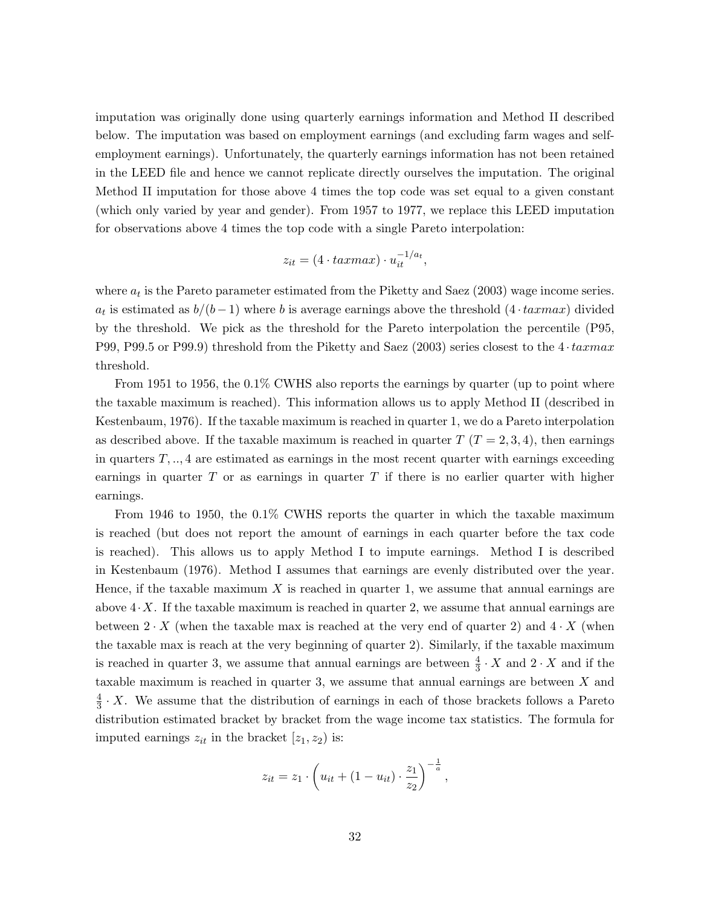imputation was originally done using quarterly earnings information and Method II described below. The imputation was based on employment earnings (and excluding farm wages and selfemployment earnings). Unfortunately, the quarterly earnings information has not been retained in the LEED file and hence we cannot replicate directly ourselves the imputation. The original Method II imputation for those above 4 times the top code was set equal to a given constant (which only varied by year and gender). From 1957 to 1977, we replace this LEED imputation for observations above 4 times the top code with a single Pareto interpolation:

$$
z_{it} = (4 \cdot taxmax) \cdot u_{it}^{-1/a_t},
$$

where  $a_t$  is the Pareto parameter estimated from the Piketty and Saez (2003) wage income series.  $a_t$  is estimated as  $b/(b-1)$  where b is average earnings above the threshold  $(4 \cdot taxmax)$  divided by the threshold. We pick as the threshold for the Pareto interpolation the percentile (P95, P99, P99.5 or P99.9) threshold from the Piketty and Saez (2003) series closest to the  $4 \cdot tarmax$ threshold.

From 1951 to 1956, the 0.1% CWHS also reports the earnings by quarter (up to point where the taxable maximum is reached). This information allows us to apply Method II (described in Kestenbaum, 1976). If the taxable maximum is reached in quarter 1, we do a Pareto interpolation as described above. If the taxable maximum is reached in quarter  $T(T = 2, 3, 4)$ , then earnings in quarters  $T, \ldots, 4$  are estimated as earnings in the most recent quarter with earnings exceeding earnings in quarter  $T$  or as earnings in quarter  $T$  if there is no earlier quarter with higher earnings.

From 1946 to 1950, the 0.1% CWHS reports the quarter in which the taxable maximum is reached (but does not report the amount of earnings in each quarter before the tax code is reached). This allows us to apply Method I to impute earnings. Method I is described in Kestenbaum (1976). Method I assumes that earnings are evenly distributed over the year. Hence, if the taxable maximum X is reached in quarter 1, we assume that annual earnings are above  $4 \cdot X$ . If the taxable maximum is reached in quarter 2, we assume that annual earnings are between  $2 \cdot X$  (when the taxable max is reached at the very end of quarter 2) and  $4 \cdot X$  (when the taxable max is reach at the very beginning of quarter 2). Similarly, if the taxable maximum is reached in quarter 3, we assume that annual earnings are between  $\frac{4}{3} \cdot X$  and  $2 \cdot X$  and if the taxable maximum is reached in quarter 3, we assume that annual earnings are between X and 4  $\frac{4}{3} \cdot X$ . We assume that the distribution of earnings in each of those brackets follows a Pareto distribution estimated bracket by bracket from the wage income tax statistics. The formula for imputed earnings  $z_{it}$  in the bracket  $[z_1, z_2]$  is:

$$
z_{it} = z_1 \cdot \left( u_{it} + (1 - u_{it}) \cdot \frac{z_1}{z_2} \right)^{-\frac{1}{a}},
$$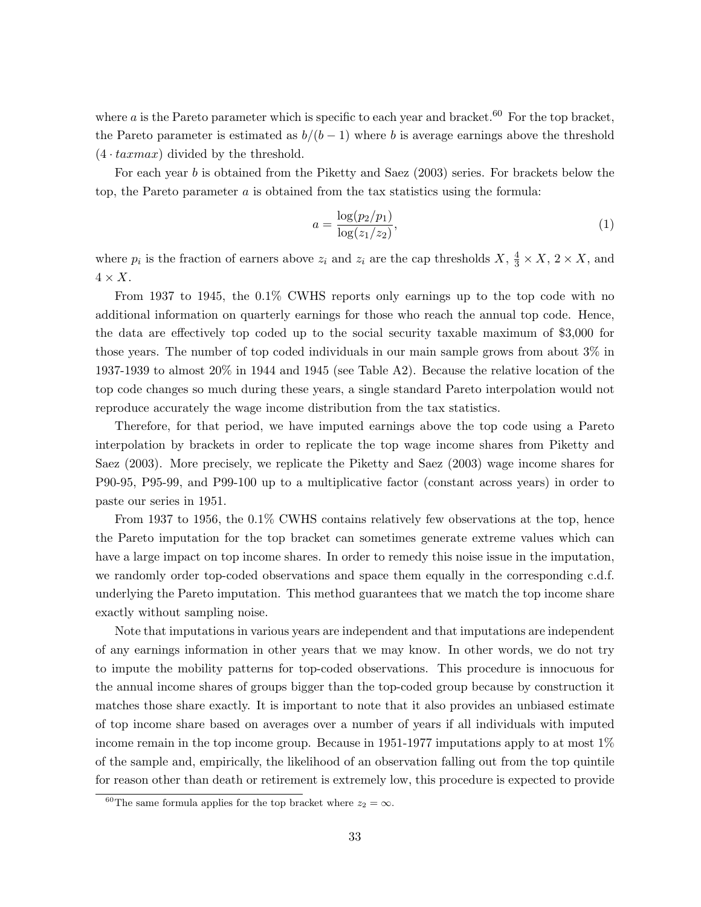where a is the Pareto parameter which is specific to each year and bracket.<sup>60</sup> For the top bracket, the Pareto parameter is estimated as  $b/(b-1)$  where b is average earnings above the threshold  $(4 \cdot taxmax)$  divided by the threshold.

For each year b is obtained from the Piketty and Saez (2003) series. For brackets below the top, the Pareto parameter  $a$  is obtained from the tax statistics using the formula:

$$
a = \frac{\log(p_2/p_1)}{\log(z_1/z_2)},
$$
\n(1)

where  $p_i$  is the fraction of earners above  $z_i$  and  $z_i$  are the cap thresholds  $X, \frac{4}{3} \times X, 2 \times X$ , and  $4 \times X$ .

From 1937 to 1945, the 0.1% CWHS reports only earnings up to the top code with no additional information on quarterly earnings for those who reach the annual top code. Hence, the data are effectively top coded up to the social security taxable maximum of \$3,000 for those years. The number of top coded individuals in our main sample grows from about 3% in 1937-1939 to almost 20% in 1944 and 1945 (see Table A2). Because the relative location of the top code changes so much during these years, a single standard Pareto interpolation would not reproduce accurately the wage income distribution from the tax statistics.

Therefore, for that period, we have imputed earnings above the top code using a Pareto interpolation by brackets in order to replicate the top wage income shares from Piketty and Saez (2003). More precisely, we replicate the Piketty and Saez (2003) wage income shares for P90-95, P95-99, and P99-100 up to a multiplicative factor (constant across years) in order to paste our series in 1951.

From 1937 to 1956, the 0.1% CWHS contains relatively few observations at the top, hence the Pareto imputation for the top bracket can sometimes generate extreme values which can have a large impact on top income shares. In order to remedy this noise issue in the imputation, we randomly order top-coded observations and space them equally in the corresponding c.d.f. underlying the Pareto imputation. This method guarantees that we match the top income share exactly without sampling noise.

Note that imputations in various years are independent and that imputations are independent of any earnings information in other years that we may know. In other words, we do not try to impute the mobility patterns for top-coded observations. This procedure is innocuous for the annual income shares of groups bigger than the top-coded group because by construction it matches those share exactly. It is important to note that it also provides an unbiased estimate of top income share based on averages over a number of years if all individuals with imputed income remain in the top income group. Because in 1951-1977 imputations apply to at most 1% of the sample and, empirically, the likelihood of an observation falling out from the top quintile for reason other than death or retirement is extremely low, this procedure is expected to provide

<sup>&</sup>lt;sup>60</sup>The same formula applies for the top bracket where  $z_2 = \infty$ .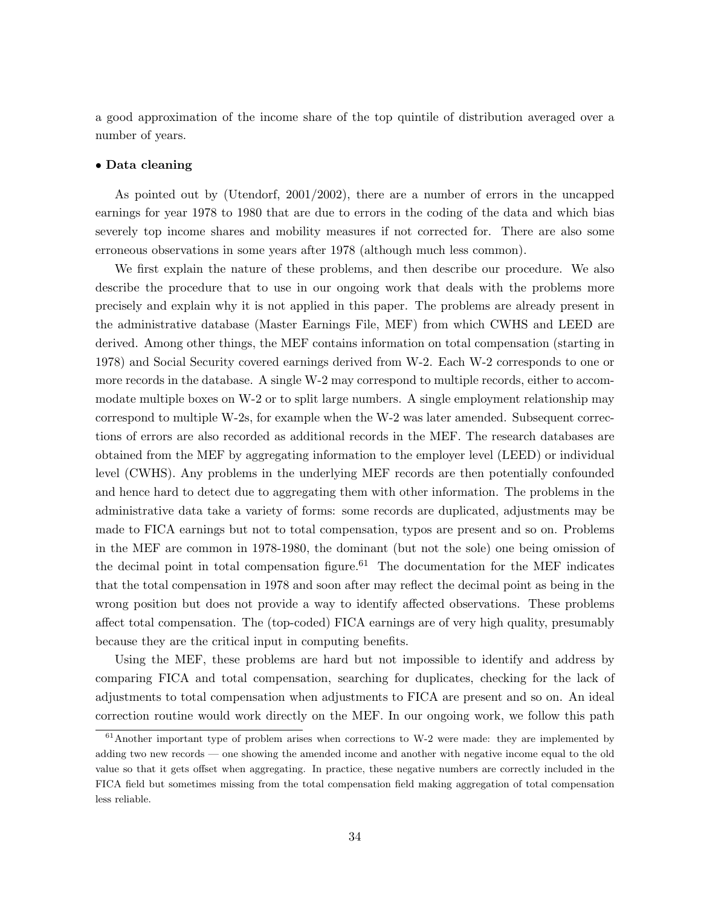a good approximation of the income share of the top quintile of distribution averaged over a number of years.

#### • Data cleaning

As pointed out by (Utendorf, 2001/2002), there are a number of errors in the uncapped earnings for year 1978 to 1980 that are due to errors in the coding of the data and which bias severely top income shares and mobility measures if not corrected for. There are also some erroneous observations in some years after 1978 (although much less common).

We first explain the nature of these problems, and then describe our procedure. We also describe the procedure that to use in our ongoing work that deals with the problems more precisely and explain why it is not applied in this paper. The problems are already present in the administrative database (Master Earnings File, MEF) from which CWHS and LEED are derived. Among other things, the MEF contains information on total compensation (starting in 1978) and Social Security covered earnings derived from W-2. Each W-2 corresponds to one or more records in the database. A single W-2 may correspond to multiple records, either to accommodate multiple boxes on W-2 or to split large numbers. A single employment relationship may correspond to multiple W-2s, for example when the W-2 was later amended. Subsequent corrections of errors are also recorded as additional records in the MEF. The research databases are obtained from the MEF by aggregating information to the employer level (LEED) or individual level (CWHS). Any problems in the underlying MEF records are then potentially confounded and hence hard to detect due to aggregating them with other information. The problems in the administrative data take a variety of forms: some records are duplicated, adjustments may be made to FICA earnings but not to total compensation, typos are present and so on. Problems in the MEF are common in 1978-1980, the dominant (but not the sole) one being omission of the decimal point in total compensation figure.<sup>61</sup> The documentation for the MEF indicates that the total compensation in 1978 and soon after may reflect the decimal point as being in the wrong position but does not provide a way to identify affected observations. These problems affect total compensation. The (top-coded) FICA earnings are of very high quality, presumably because they are the critical input in computing benefits.

Using the MEF, these problems are hard but not impossible to identify and address by comparing FICA and total compensation, searching for duplicates, checking for the lack of adjustments to total compensation when adjustments to FICA are present and so on. An ideal correction routine would work directly on the MEF. In our ongoing work, we follow this path

 $61$ Another important type of problem arises when corrections to W-2 were made: they are implemented by adding two new records — one showing the amended income and another with negative income equal to the old value so that it gets offset when aggregating. In practice, these negative numbers are correctly included in the FICA field but sometimes missing from the total compensation field making aggregation of total compensation less reliable.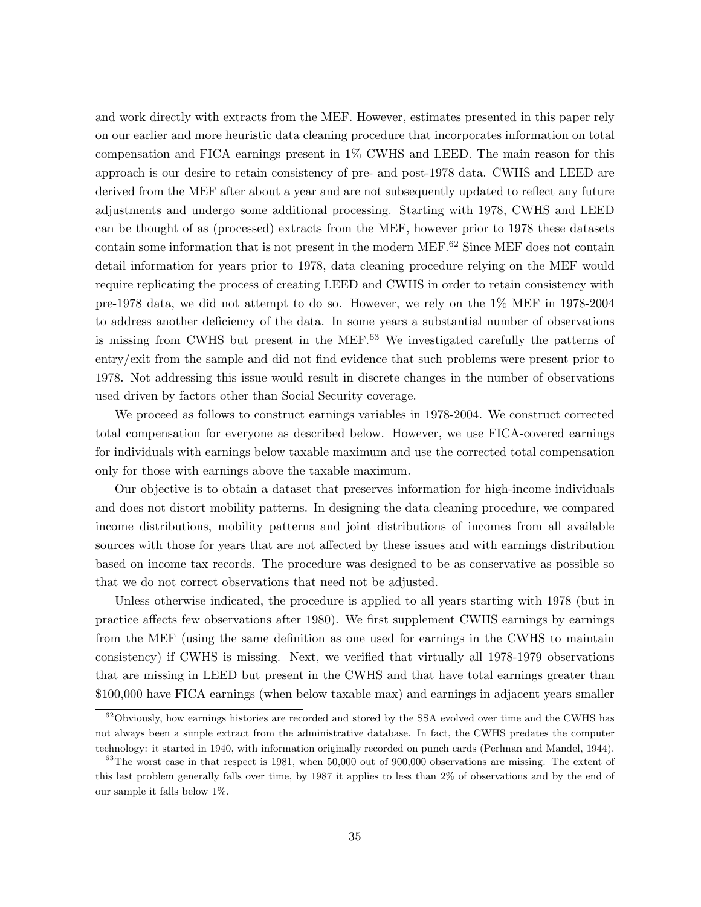and work directly with extracts from the MEF. However, estimates presented in this paper rely on our earlier and more heuristic data cleaning procedure that incorporates information on total compensation and FICA earnings present in 1% CWHS and LEED. The main reason for this approach is our desire to retain consistency of pre- and post-1978 data. CWHS and LEED are derived from the MEF after about a year and are not subsequently updated to reflect any future adjustments and undergo some additional processing. Starting with 1978, CWHS and LEED can be thought of as (processed) extracts from the MEF, however prior to 1978 these datasets contain some information that is not present in the modern MEF.<sup>62</sup> Since MEF does not contain detail information for years prior to 1978, data cleaning procedure relying on the MEF would require replicating the process of creating LEED and CWHS in order to retain consistency with pre-1978 data, we did not attempt to do so. However, we rely on the 1% MEF in 1978-2004 to address another deficiency of the data. In some years a substantial number of observations is missing from CWHS but present in the MEF. $63$  We investigated carefully the patterns of entry/exit from the sample and did not find evidence that such problems were present prior to 1978. Not addressing this issue would result in discrete changes in the number of observations used driven by factors other than Social Security coverage.

We proceed as follows to construct earnings variables in 1978-2004. We construct corrected total compensation for everyone as described below. However, we use FICA-covered earnings for individuals with earnings below taxable maximum and use the corrected total compensation only for those with earnings above the taxable maximum.

Our objective is to obtain a dataset that preserves information for high-income individuals and does not distort mobility patterns. In designing the data cleaning procedure, we compared income distributions, mobility patterns and joint distributions of incomes from all available sources with those for years that are not affected by these issues and with earnings distribution based on income tax records. The procedure was designed to be as conservative as possible so that we do not correct observations that need not be adjusted.

Unless otherwise indicated, the procedure is applied to all years starting with 1978 (but in practice affects few observations after 1980). We first supplement CWHS earnings by earnings from the MEF (using the same definition as one used for earnings in the CWHS to maintain consistency) if CWHS is missing. Next, we verified that virtually all 1978-1979 observations that are missing in LEED but present in the CWHS and that have total earnings greater than \$100,000 have FICA earnings (when below taxable max) and earnings in adjacent years smaller

<sup>&</sup>lt;sup>62</sup>Obviously, how earnings histories are recorded and stored by the SSA evolved over time and the CWHS has not always been a simple extract from the administrative database. In fact, the CWHS predates the computer technology: it started in 1940, with information originally recorded on punch cards (Perlman and Mandel, 1944).

<sup>&</sup>lt;sup>63</sup>The worst case in that respect is 1981, when 50,000 out of 900,000 observations are missing. The extent of this last problem generally falls over time, by 1987 it applies to less than 2% of observations and by the end of our sample it falls below 1%.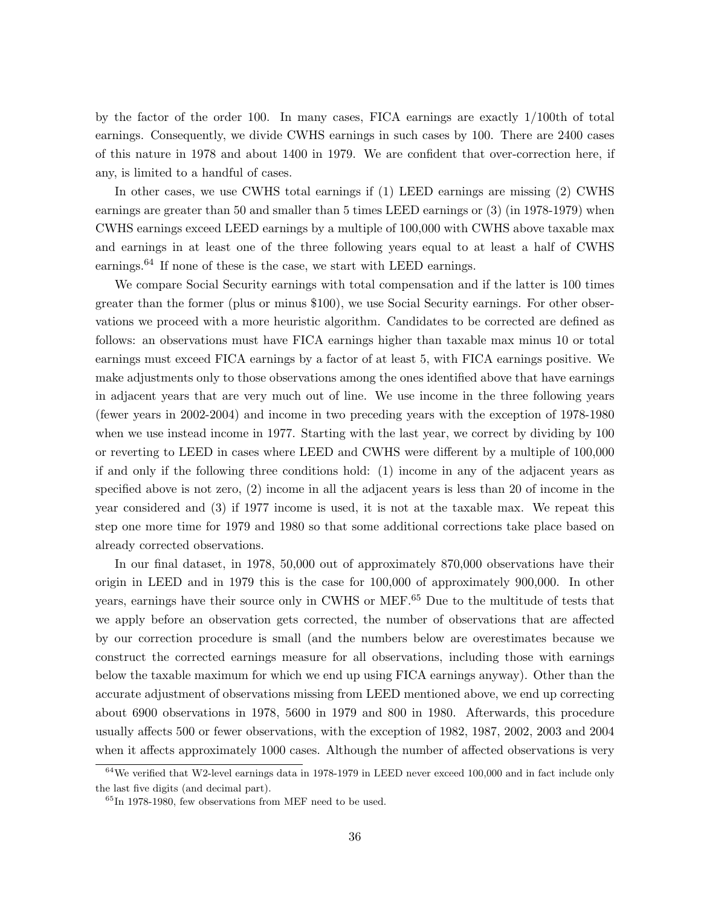by the factor of the order 100. In many cases, FICA earnings are exactly 1/100th of total earnings. Consequently, we divide CWHS earnings in such cases by 100. There are 2400 cases of this nature in 1978 and about 1400 in 1979. We are confident that over-correction here, if any, is limited to a handful of cases.

In other cases, we use CWHS total earnings if (1) LEED earnings are missing (2) CWHS earnings are greater than 50 and smaller than 5 times LEED earnings or (3) (in 1978-1979) when CWHS earnings exceed LEED earnings by a multiple of 100,000 with CWHS above taxable max and earnings in at least one of the three following years equal to at least a half of CWHS earnings.<sup>64</sup> If none of these is the case, we start with LEED earnings.

We compare Social Security earnings with total compensation and if the latter is 100 times greater than the former (plus or minus \$100), we use Social Security earnings. For other observations we proceed with a more heuristic algorithm. Candidates to be corrected are defined as follows: an observations must have FICA earnings higher than taxable max minus 10 or total earnings must exceed FICA earnings by a factor of at least 5, with FICA earnings positive. We make adjustments only to those observations among the ones identified above that have earnings in adjacent years that are very much out of line. We use income in the three following years (fewer years in 2002-2004) and income in two preceding years with the exception of 1978-1980 when we use instead income in 1977. Starting with the last year, we correct by dividing by 100 or reverting to LEED in cases where LEED and CWHS were different by a multiple of 100,000 if and only if the following three conditions hold: (1) income in any of the adjacent years as specified above is not zero, (2) income in all the adjacent years is less than 20 of income in the year considered and (3) if 1977 income is used, it is not at the taxable max. We repeat this step one more time for 1979 and 1980 so that some additional corrections take place based on already corrected observations.

In our final dataset, in 1978, 50,000 out of approximately 870,000 observations have their origin in LEED and in 1979 this is the case for 100,000 of approximately 900,000. In other years, earnings have their source only in CWHS or MEF.<sup>65</sup> Due to the multitude of tests that we apply before an observation gets corrected, the number of observations that are affected by our correction procedure is small (and the numbers below are overestimates because we construct the corrected earnings measure for all observations, including those with earnings below the taxable maximum for which we end up using FICA earnings anyway). Other than the accurate adjustment of observations missing from LEED mentioned above, we end up correcting about 6900 observations in 1978, 5600 in 1979 and 800 in 1980. Afterwards, this procedure usually affects 500 or fewer observations, with the exception of 1982, 1987, 2002, 2003 and 2004 when it affects approximately 1000 cases. Although the number of affected observations is very

 $64$ We verified that W2-level earnings data in 1978-1979 in LEED never exceed 100,000 and in fact include only the last five digits (and decimal part).

 ${}^{65}$ In 1978-1980, few observations from MEF need to be used.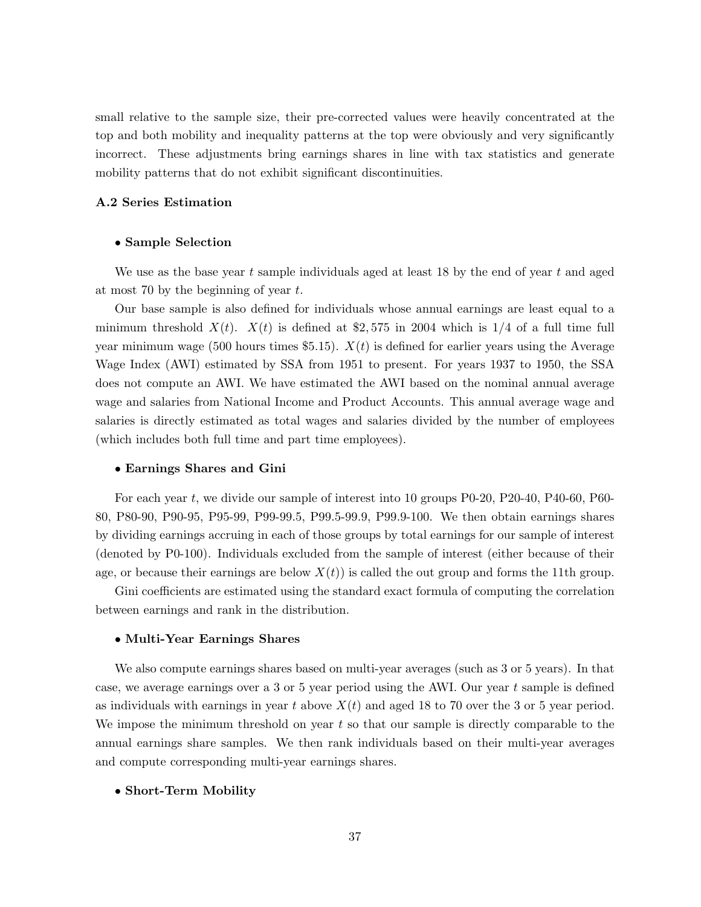small relative to the sample size, their pre-corrected values were heavily concentrated at the top and both mobility and inequality patterns at the top were obviously and very significantly incorrect. These adjustments bring earnings shares in line with tax statistics and generate mobility patterns that do not exhibit significant discontinuities.

## A.2 Series Estimation

#### • Sample Selection

We use as the base year t sample individuals aged at least 18 by the end of year t and aged at most 70 by the beginning of year  $t$ .

Our base sample is also defined for individuals whose annual earnings are least equal to a minimum threshold  $X(t)$ .  $X(t)$  is defined at \$2,575 in 2004 which is 1/4 of a full time full year minimum wage (500 hours times \$5.15).  $X(t)$  is defined for earlier years using the Average Wage Index (AWI) estimated by SSA from 1951 to present. For years 1937 to 1950, the SSA does not compute an AWI. We have estimated the AWI based on the nominal annual average wage and salaries from National Income and Product Accounts. This annual average wage and salaries is directly estimated as total wages and salaries divided by the number of employees (which includes both full time and part time employees).

#### • Earnings Shares and Gini

For each year t, we divide our sample of interest into 10 groups P0-20, P20-40, P40-60, P60- 80, P80-90, P90-95, P95-99, P99-99.5, P99.5-99.9, P99.9-100. We then obtain earnings shares by dividing earnings accruing in each of those groups by total earnings for our sample of interest (denoted by P0-100). Individuals excluded from the sample of interest (either because of their age, or because their earnings are below  $X(t)$  is called the out group and forms the 11th group.

Gini coefficients are estimated using the standard exact formula of computing the correlation between earnings and rank in the distribution.

### • Multi-Year Earnings Shares

We also compute earnings shares based on multi-year averages (such as 3 or 5 years). In that case, we average earnings over a 3 or 5 year period using the AWI. Our year  $t$  sample is defined as individuals with earnings in year t above  $X(t)$  and aged 18 to 70 over the 3 or 5 year period. We impose the minimum threshold on year  $t$  so that our sample is directly comparable to the annual earnings share samples. We then rank individuals based on their multi-year averages and compute corresponding multi-year earnings shares.

#### • Short-Term Mobility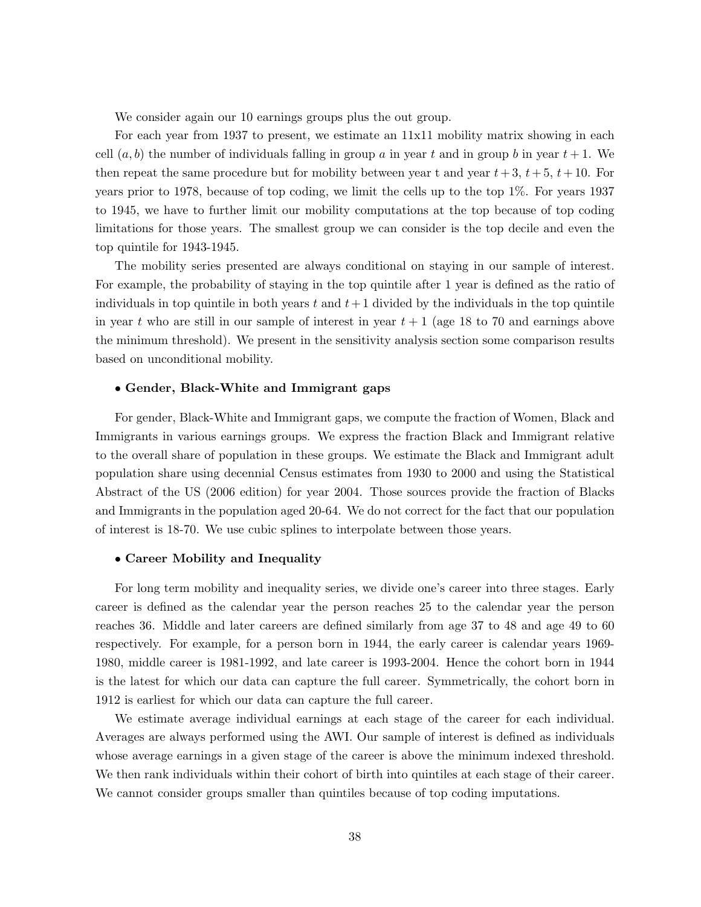We consider again our 10 earnings groups plus the out group.

For each year from 1937 to present, we estimate an 11x11 mobility matrix showing in each cell  $(a, b)$  the number of individuals falling in group a in year t and in group b in year  $t + 1$ . We then repeat the same procedure but for mobility between year t and year  $t+3$ ,  $t+5$ ,  $t+10$ . For years prior to 1978, because of top coding, we limit the cells up to the top 1%. For years 1937 to 1945, we have to further limit our mobility computations at the top because of top coding limitations for those years. The smallest group we can consider is the top decile and even the top quintile for 1943-1945.

The mobility series presented are always conditional on staying in our sample of interest. For example, the probability of staying in the top quintile after 1 year is defined as the ratio of individuals in top quintile in both years t and  $t+1$  divided by the individuals in the top quintile in year t who are still in our sample of interest in year  $t + 1$  (age 18 to 70 and earnings above the minimum threshold). We present in the sensitivity analysis section some comparison results based on unconditional mobility.

### • Gender, Black-White and Immigrant gaps

For gender, Black-White and Immigrant gaps, we compute the fraction of Women, Black and Immigrants in various earnings groups. We express the fraction Black and Immigrant relative to the overall share of population in these groups. We estimate the Black and Immigrant adult population share using decennial Census estimates from 1930 to 2000 and using the Statistical Abstract of the US (2006 edition) for year 2004. Those sources provide the fraction of Blacks and Immigrants in the population aged 20-64. We do not correct for the fact that our population of interest is 18-70. We use cubic splines to interpolate between those years.

#### • Career Mobility and Inequality

For long term mobility and inequality series, we divide one's career into three stages. Early career is defined as the calendar year the person reaches 25 to the calendar year the person reaches 36. Middle and later careers are defined similarly from age 37 to 48 and age 49 to 60 respectively. For example, for a person born in 1944, the early career is calendar years 1969- 1980, middle career is 1981-1992, and late career is 1993-2004. Hence the cohort born in 1944 is the latest for which our data can capture the full career. Symmetrically, the cohort born in 1912 is earliest for which our data can capture the full career.

We estimate average individual earnings at each stage of the career for each individual. Averages are always performed using the AWI. Our sample of interest is defined as individuals whose average earnings in a given stage of the career is above the minimum indexed threshold. We then rank individuals within their cohort of birth into quintiles at each stage of their career. We cannot consider groups smaller than quintiles because of top coding imputations.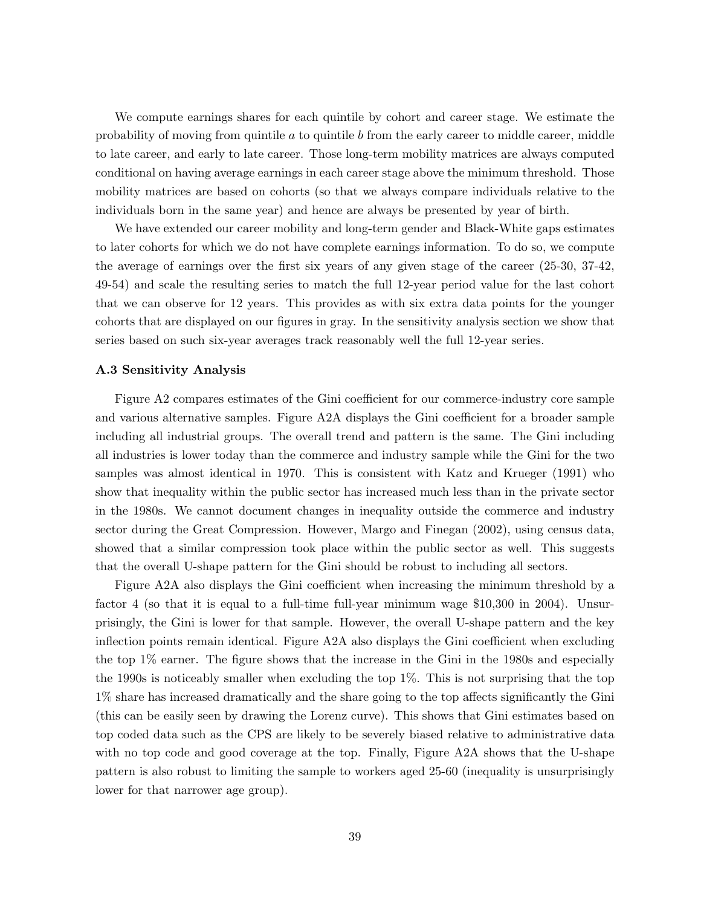We compute earnings shares for each quintile by cohort and career stage. We estimate the probability of moving from quintile  $a$  to quintile  $b$  from the early career to middle career, middle to late career, and early to late career. Those long-term mobility matrices are always computed conditional on having average earnings in each career stage above the minimum threshold. Those mobility matrices are based on cohorts (so that we always compare individuals relative to the individuals born in the same year) and hence are always be presented by year of birth.

We have extended our career mobility and long-term gender and Black-White gaps estimates to later cohorts for which we do not have complete earnings information. To do so, we compute the average of earnings over the first six years of any given stage of the career (25-30, 37-42, 49-54) and scale the resulting series to match the full 12-year period value for the last cohort that we can observe for 12 years. This provides as with six extra data points for the younger cohorts that are displayed on our figures in gray. In the sensitivity analysis section we show that series based on such six-year averages track reasonably well the full 12-year series.

### A.3 Sensitivity Analysis

Figure A2 compares estimates of the Gini coefficient for our commerce-industry core sample and various alternative samples. Figure A2A displays the Gini coefficient for a broader sample including all industrial groups. The overall trend and pattern is the same. The Gini including all industries is lower today than the commerce and industry sample while the Gini for the two samples was almost identical in 1970. This is consistent with Katz and Krueger (1991) who show that inequality within the public sector has increased much less than in the private sector in the 1980s. We cannot document changes in inequality outside the commerce and industry sector during the Great Compression. However, Margo and Finegan (2002), using census data, showed that a similar compression took place within the public sector as well. This suggests that the overall U-shape pattern for the Gini should be robust to including all sectors.

Figure A2A also displays the Gini coefficient when increasing the minimum threshold by a factor 4 (so that it is equal to a full-time full-year minimum wage \$10,300 in 2004). Unsurprisingly, the Gini is lower for that sample. However, the overall U-shape pattern and the key inflection points remain identical. Figure A2A also displays the Gini coefficient when excluding the top 1% earner. The figure shows that the increase in the Gini in the 1980s and especially the 1990s is noticeably smaller when excluding the top 1%. This is not surprising that the top 1% share has increased dramatically and the share going to the top affects significantly the Gini (this can be easily seen by drawing the Lorenz curve). This shows that Gini estimates based on top coded data such as the CPS are likely to be severely biased relative to administrative data with no top code and good coverage at the top. Finally, Figure A2A shows that the U-shape pattern is also robust to limiting the sample to workers aged 25-60 (inequality is unsurprisingly lower for that narrower age group).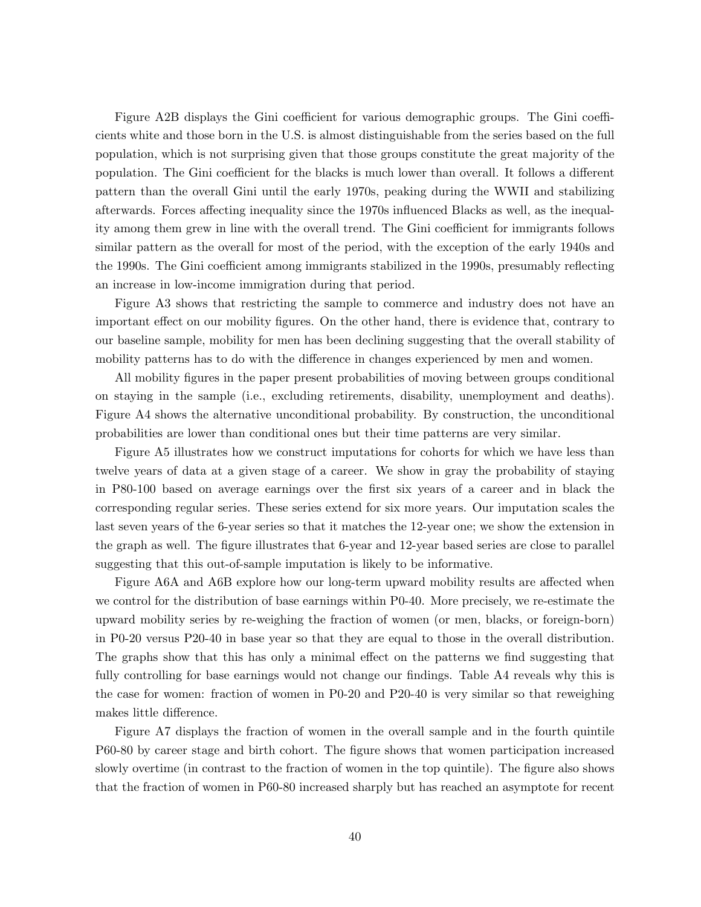Figure A2B displays the Gini coefficient for various demographic groups. The Gini coefficients white and those born in the U.S. is almost distinguishable from the series based on the full population, which is not surprising given that those groups constitute the great majority of the population. The Gini coefficient for the blacks is much lower than overall. It follows a different pattern than the overall Gini until the early 1970s, peaking during the WWII and stabilizing afterwards. Forces affecting inequality since the 1970s influenced Blacks as well, as the inequality among them grew in line with the overall trend. The Gini coefficient for immigrants follows similar pattern as the overall for most of the period, with the exception of the early 1940s and the 1990s. The Gini coefficient among immigrants stabilized in the 1990s, presumably reflecting an increase in low-income immigration during that period.

Figure A3 shows that restricting the sample to commerce and industry does not have an important effect on our mobility figures. On the other hand, there is evidence that, contrary to our baseline sample, mobility for men has been declining suggesting that the overall stability of mobility patterns has to do with the difference in changes experienced by men and women.

All mobility figures in the paper present probabilities of moving between groups conditional on staying in the sample (i.e., excluding retirements, disability, unemployment and deaths). Figure A4 shows the alternative unconditional probability. By construction, the unconditional probabilities are lower than conditional ones but their time patterns are very similar.

Figure A5 illustrates how we construct imputations for cohorts for which we have less than twelve years of data at a given stage of a career. We show in gray the probability of staying in P80-100 based on average earnings over the first six years of a career and in black the corresponding regular series. These series extend for six more years. Our imputation scales the last seven years of the 6-year series so that it matches the 12-year one; we show the extension in the graph as well. The figure illustrates that 6-year and 12-year based series are close to parallel suggesting that this out-of-sample imputation is likely to be informative.

Figure A6A and A6B explore how our long-term upward mobility results are affected when we control for the distribution of base earnings within P0-40. More precisely, we re-estimate the upward mobility series by re-weighing the fraction of women (or men, blacks, or foreign-born) in P0-20 versus P20-40 in base year so that they are equal to those in the overall distribution. The graphs show that this has only a minimal effect on the patterns we find suggesting that fully controlling for base earnings would not change our findings. Table A4 reveals why this is the case for women: fraction of women in P0-20 and P20-40 is very similar so that reweighing makes little difference.

Figure A7 displays the fraction of women in the overall sample and in the fourth quintile P60-80 by career stage and birth cohort. The figure shows that women participation increased slowly overtime (in contrast to the fraction of women in the top quintile). The figure also shows that the fraction of women in P60-80 increased sharply but has reached an asymptote for recent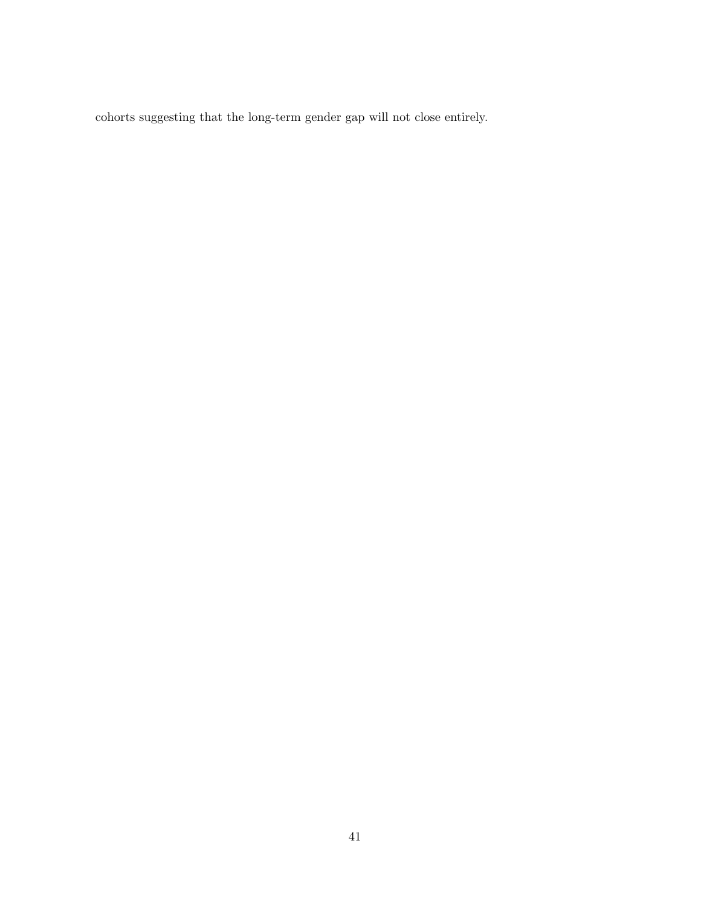cohorts suggesting that the long-term gender gap will not close entirely.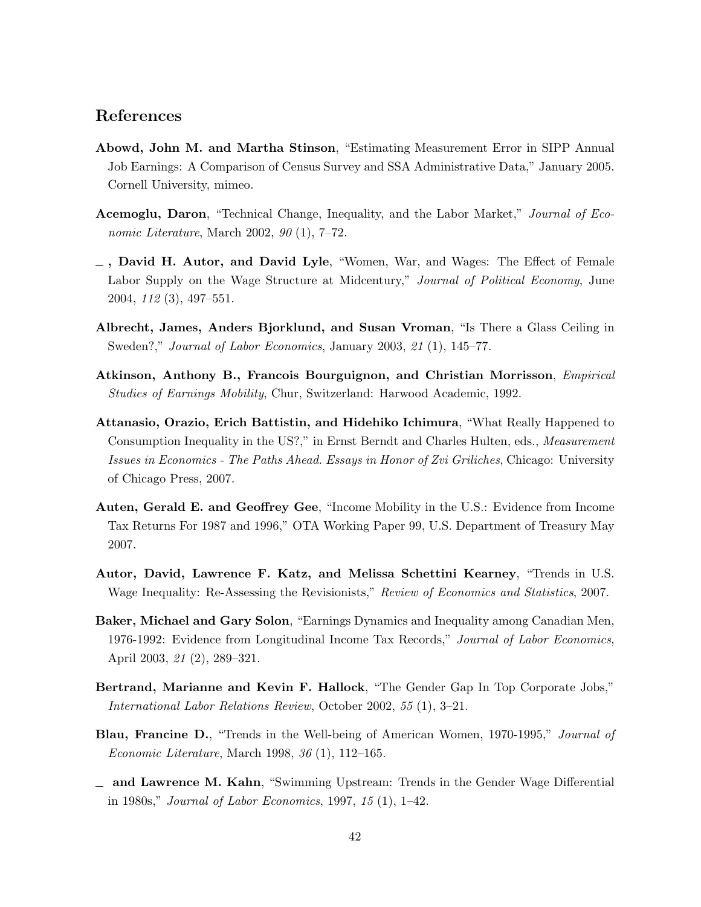## References

- Abowd, John M. and Martha Stinson, "Estimating Measurement Error in SIPP Annual Job Earnings: A Comparison of Census Survey and SSA Administrative Data," January 2005. Cornell University, mimeo.
- Acemoglu, Daron, "Technical Change, Inequality, and the Labor Market," Journal of Economic Literature, March 2002, 90 (1), 7–72.
- $\overline{\phantom{a}}$ , David H. Autor, and David Lyle, "Women, War, and Wages: The Effect of Female Labor Supply on the Wage Structure at Midcentury," Journal of Political Economy, June 2004, 112 (3), 497–551.
- Albrecht, James, Anders Bjorklund, and Susan Vroman, "Is There a Glass Ceiling in Sweden?," Journal of Labor Economics, January 2003, 21 (1), 145–77.
- Atkinson, Anthony B., Francois Bourguignon, and Christian Morrisson, Empirical Studies of Earnings Mobility, Chur, Switzerland: Harwood Academic, 1992.
- Attanasio, Orazio, Erich Battistin, and Hidehiko Ichimura, "What Really Happened to Consumption Inequality in the US?," in Ernst Berndt and Charles Hulten, eds., *Measurement* Issues in Economics - The Paths Ahead. Essays in Honor of Zvi Griliches, Chicago: University of Chicago Press, 2007.
- Auten, Gerald E. and Geoffrey Gee, "Income Mobility in the U.S.: Evidence from Income Tax Returns For 1987 and 1996," OTA Working Paper 99, U.S. Department of Treasury May 2007.
- Autor, David, Lawrence F. Katz, and Melissa Schettini Kearney, "Trends in U.S. Wage Inequality: Re-Assessing the Revisionists," Review of Economics and Statistics, 2007.
- Baker, Michael and Gary Solon, "Earnings Dynamics and Inequality among Canadian Men, 1976-1992: Evidence from Longitudinal Income Tax Records," Journal of Labor Economics, April 2003, 21 (2), 289–321.
- Bertrand, Marianne and Kevin F. Hallock, "The Gender Gap In Top Corporate Jobs," International Labor Relations Review, October 2002, 55 (1), 3–21.
- **Blau, Francine D.**, "Trends in the Well-being of American Women, 1970-1995," *Journal of* Economic Literature, March 1998, 36 (1), 112–165.
- $\Box$  and Lawrence M. Kahn, "Swimming Upstream: Trends in the Gender Wage Differential in 1980s," Journal of Labor Economics, 1997, 15 (1), 1–42.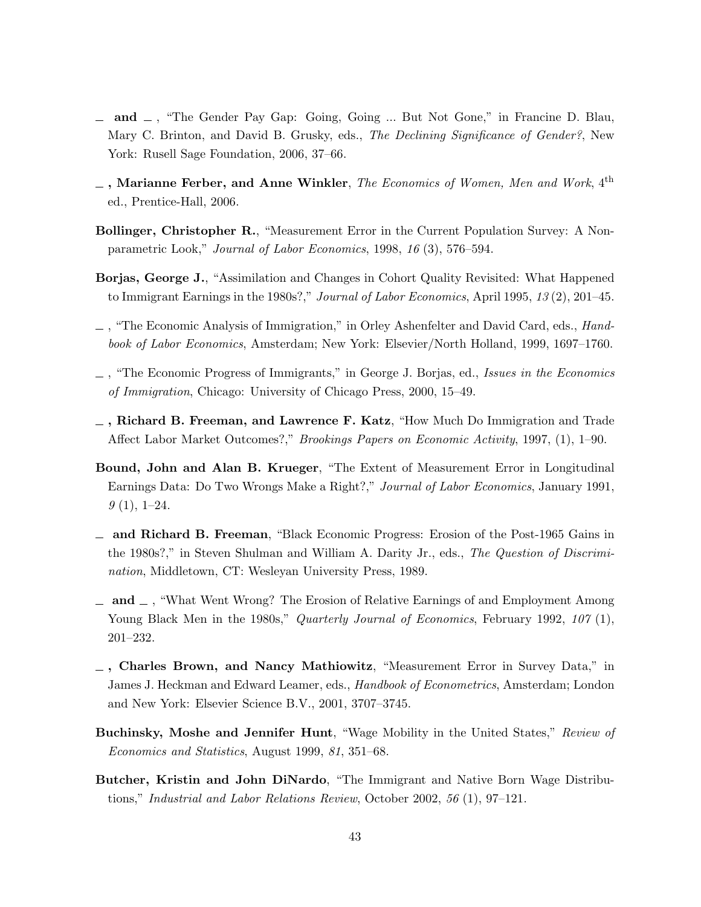- $\Box$  and  $\Box$ , "The Gender Pay Gap: Going, Going ... But Not Gone," in Francine D. Blau, Mary C. Brinton, and David B. Grusky, eds., The Declining Significance of Gender?, New York: Rusell Sage Foundation, 2006, 37–66.
- $\overline{\phantom{a}}$  , Marianne Ferber, and Anne Winkler, The Economics of Women, Men and Work, 4<sup>th</sup> ed., Prentice-Hall, 2006.
- Bollinger, Christopher R., "Measurement Error in the Current Population Survey: A Nonparametric Look," Journal of Labor Economics, 1998, 16 (3), 576–594.
- Borjas, George J., "Assimilation and Changes in Cohort Quality Revisited: What Happened to Immigrant Earnings in the 1980s?," Journal of Labor Economics, April 1995, 13 (2), 201–45.
- , "The Economic Analysis of Immigration," in Orley Ashenfelter and David Card, eds., Handbook of Labor Economics, Amsterdam; New York: Elsevier/North Holland, 1999, 1697–1760.
- , "The Economic Progress of Immigrants," in George J. Borjas, ed., Issues in the Economics of Immigration, Chicago: University of Chicago Press, 2000, 15–49.
- $\overline{\phantom{a}}$ , Richard B. Freeman, and Lawrence F. Katz, "How Much Do Immigration and Trade Affect Labor Market Outcomes?," Brookings Papers on Economic Activity, 1997, (1), 1–90.
- Bound, John and Alan B. Krueger, "The Extent of Measurement Error in Longitudinal Earnings Data: Do Two Wrongs Make a Right?," Journal of Labor Economics, January 1991,  $9(1), 1-24.$
- and Richard B. Freeman, "Black Economic Progress: Erosion of the Post-1965 Gains in the 1980s?," in Steven Shulman and William A. Darity Jr., eds., The Question of Discrimination, Middletown, CT: Wesleyan University Press, 1989.
- $\Box$  and  $\Box$ , "What Went Wrong? The Erosion of Relative Earnings of and Employment Among Young Black Men in the 1980s," *Quarterly Journal of Economics*, February 1992, 107 (1), 201–232.
- $\Box$ , Charles Brown, and Nancy Mathiowitz, "Measurement Error in Survey Data," in James J. Heckman and Edward Leamer, eds., Handbook of Econometrics, Amsterdam; London and New York: Elsevier Science B.V., 2001, 3707–3745.
- Buchinsky, Moshe and Jennifer Hunt, "Wage Mobility in the United States," Review of Economics and Statistics, August 1999, 81, 351–68.
- Butcher, Kristin and John DiNardo, "The Immigrant and Native Born Wage Distributions," Industrial and Labor Relations Review, October 2002, 56 (1), 97–121.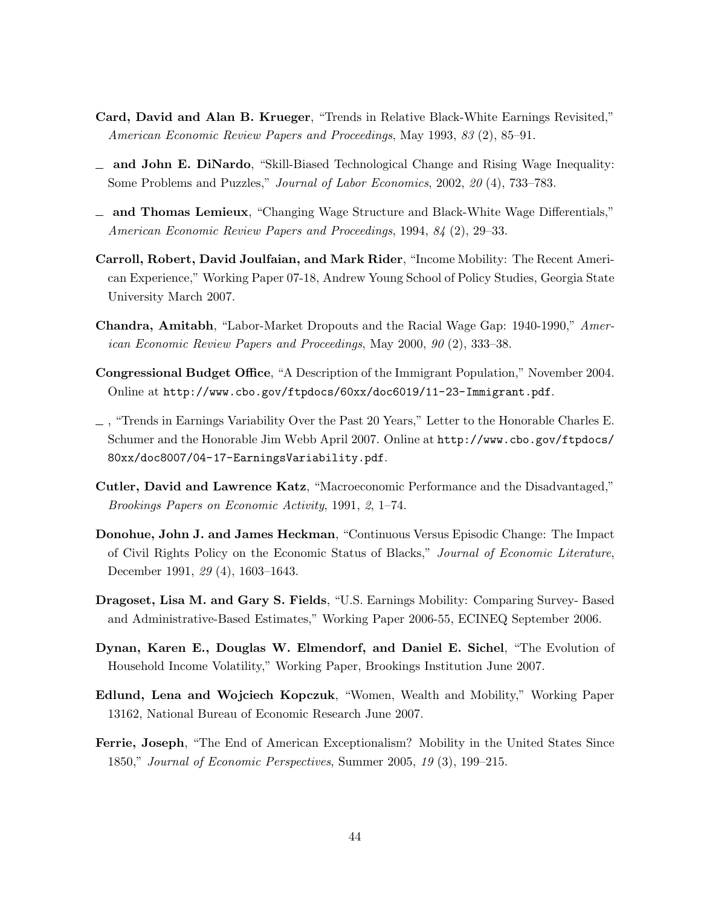- Card, David and Alan B. Krueger, "Trends in Relative Black-White Earnings Revisited," American Economic Review Papers and Proceedings, May 1993, 83 (2), 85–91.
- and John E. DiNardo, "Skill-Biased Technological Change and Rising Wage Inequality: Some Problems and Puzzles," Journal of Labor Economics, 2002, 20 (4), 733–783.
- and Thomas Lemieux, "Changing Wage Structure and Black-White Wage Differentials," American Economic Review Papers and Proceedings, 1994, 84 (2), 29–33.
- Carroll, Robert, David Joulfaian, and Mark Rider, "Income Mobility: The Recent American Experience," Working Paper 07-18, Andrew Young School of Policy Studies, Georgia State University March 2007.
- Chandra, Amitabh, "Labor-Market Dropouts and the Racial Wage Gap: 1940-1990," American Economic Review Papers and Proceedings, May 2000, 90 (2), 333–38.
- Congressional Budget Office, "A Description of the Immigrant Population," November 2004. Online at http://www.cbo.gov/ftpdocs/60xx/doc6019/11-23-Immigrant.pdf.
- , "Trends in Earnings Variability Over the Past 20 Years," Letter to the Honorable Charles E. Schumer and the Honorable Jim Webb April 2007. Online at http://www.cbo.gov/ftpdocs/ 80xx/doc8007/04-17-EarningsVariability.pdf.
- Cutler, David and Lawrence Katz, "Macroeconomic Performance and the Disadvantaged," Brookings Papers on Economic Activity, 1991, 2, 1–74.
- Donohue, John J. and James Heckman, "Continuous Versus Episodic Change: The Impact of Civil Rights Policy on the Economic Status of Blacks," Journal of Economic Literature, December 1991, 29 (4), 1603–1643.
- Dragoset, Lisa M. and Gary S. Fields, "U.S. Earnings Mobility: Comparing Survey- Based and Administrative-Based Estimates," Working Paper 2006-55, ECINEQ September 2006.
- Dynan, Karen E., Douglas W. Elmendorf, and Daniel E. Sichel, "The Evolution of Household Income Volatility," Working Paper, Brookings Institution June 2007.
- Edlund, Lena and Wojciech Kopczuk, "Women, Wealth and Mobility," Working Paper 13162, National Bureau of Economic Research June 2007.
- Ferrie, Joseph, "The End of American Exceptionalism? Mobility in the United States Since 1850," Journal of Economic Perspectives, Summer 2005, 19 (3), 199–215.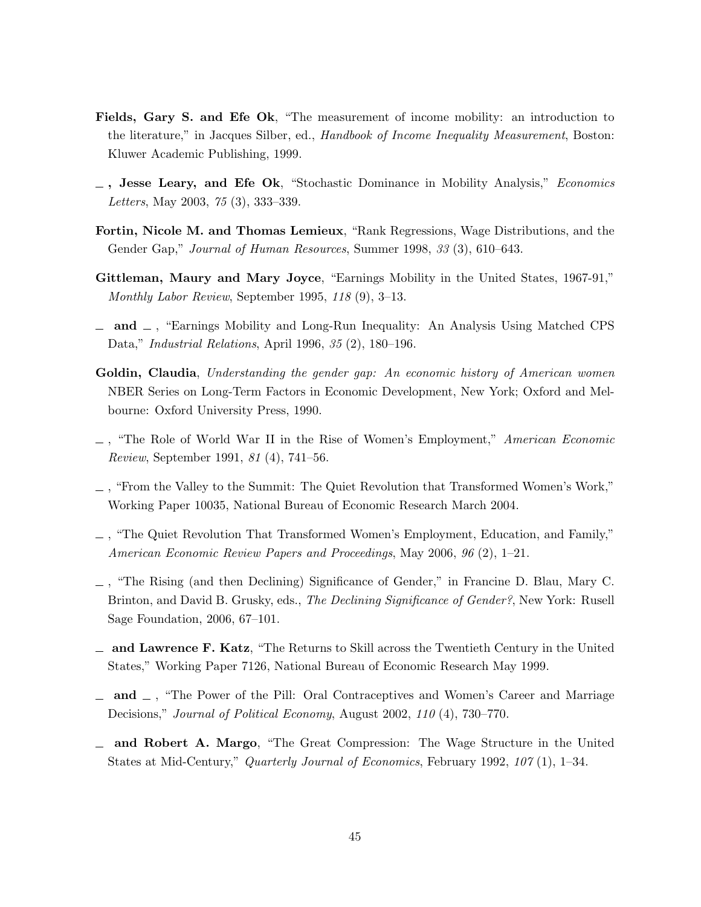- Fields, Gary S. and Efe Ok, "The measurement of income mobility: an introduction to the literature," in Jacques Silber, ed., Handbook of Income Inequality Measurement, Boston: Kluwer Academic Publishing, 1999.
- $\Box$ , Jesse Leary, and Efe Ok, "Stochastic Dominance in Mobility Analysis," *Economics* Letters, May 2003, 75 (3), 333–339.
- Fortin, Nicole M. and Thomas Lemieux, "Rank Regressions, Wage Distributions, and the Gender Gap," Journal of Human Resources, Summer 1998, 33 (3), 610–643.
- Gittleman, Maury and Mary Joyce, "Earnings Mobility in the United States, 1967-91," Monthly Labor Review, September 1995, 118 (9), 3–13.
- $\Box$  and  $\Box$ , "Earnings Mobility and Long-Run Inequality: An Analysis Using Matched CPS Data," Industrial Relations, April 1996, 35 (2), 180–196.
- Goldin, Claudia, Understanding the gender gap: An economic history of American women NBER Series on Long-Term Factors in Economic Development, New York; Oxford and Melbourne: Oxford University Press, 1990.
- $\Box$ , "The Role of World War II in the Rise of Women's Employment," American Economic Review, September 1991, 81 (4), 741–56.
- , "From the Valley to the Summit: The Quiet Revolution that Transformed Women's Work," Working Paper 10035, National Bureau of Economic Research March 2004.
- , "The Quiet Revolution That Transformed Women's Employment, Education, and Family," American Economic Review Papers and Proceedings, May 2006, 96 (2), 1–21.
- , "The Rising (and then Declining) Significance of Gender," in Francine D. Blau, Mary C. Brinton, and David B. Grusky, eds., *The Declining Significance of Gender?*, New York: Rusell Sage Foundation, 2006, 67–101.
- $\Box$  and Lawrence F. Katz, "The Returns to Skill across the Twentieth Century in the United States," Working Paper 7126, National Bureau of Economic Research May 1999.
- $\Box$  and  $\Box$ , "The Power of the Pill: Oral Contraceptives and Women's Career and Marriage Decisions," Journal of Political Economy, August 2002, 110 (4), 730–770.
- and Robert A. Margo, "The Great Compression: The Wage Structure in the United States at Mid-Century," Quarterly Journal of Economics, February 1992, 107 (1), 1–34.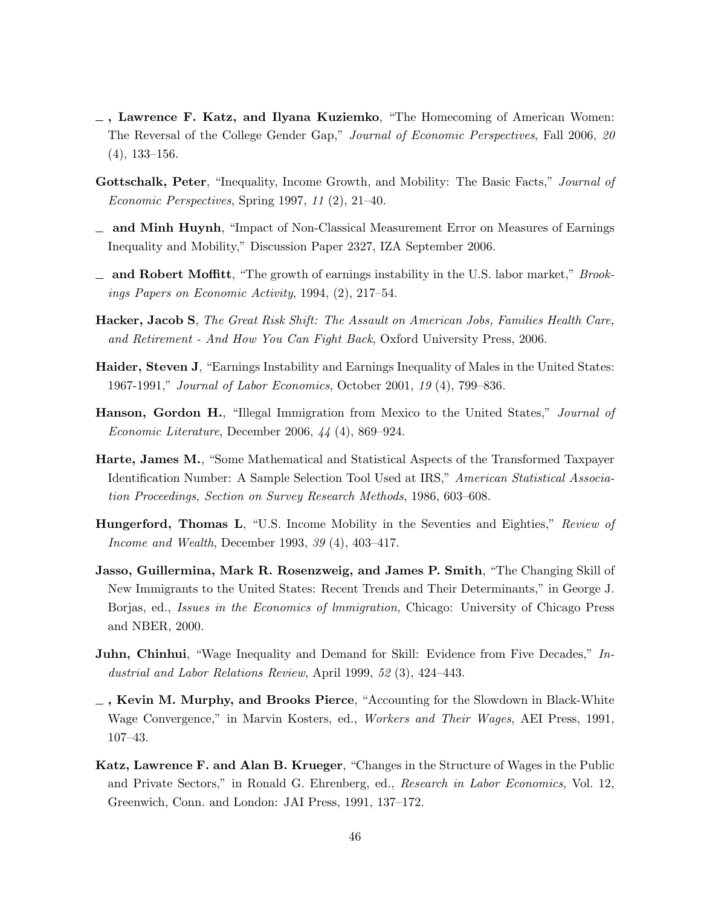- $\overline{\phantom{a}}$ , Lawrence F. Katz, and Ilyana Kuziemko, "The Homecoming of American Women: The Reversal of the College Gender Gap," Journal of Economic Perspectives, Fall 2006, 20 (4), 133–156.
- Gottschalk, Peter, "Inequality, Income Growth, and Mobility: The Basic Facts," Journal of Economic Perspectives, Spring 1997, 11 (2), 21–40.
- $\Box$  and Minh Huynh, "Impact of Non-Classical Measurement Error on Measures of Earnings Inequality and Mobility," Discussion Paper 2327, IZA September 2006.
- $\Delta$  and Robert Moffitt, "The growth of earnings instability in the U.S. labor market," *Brook*ings Papers on Economic Activity, 1994, (2), 217–54.
- Hacker, Jacob S, The Great Risk Shift: The Assault on American Jobs, Families Health Care, and Retirement - And How You Can Fight Back, Oxford University Press, 2006.
- Haider, Steven J, "Earnings Instability and Earnings Inequality of Males in the United States: 1967-1991," Journal of Labor Economics, October 2001, 19 (4), 799–836.
- **Hanson, Gordon H.**, "Illegal Immigration from Mexico to the United States," *Journal of* Economic Literature, December 2006, 44 (4), 869–924.
- Harte, James M., "Some Mathematical and Statistical Aspects of the Transformed Taxpayer Identification Number: A Sample Selection Tool Used at IRS," American Statistical Association Proceedings, Section on Survey Research Methods, 1986, 603–608.
- Hungerford, Thomas L, "U.S. Income Mobility in the Seventies and Eighties," Review of Income and Wealth, December 1993, 39 (4), 403–417.
- Jasso, Guillermina, Mark R. Rosenzweig, and James P. Smith, "The Changing Skill of New Immigrants to the United States: Recent Trends and Their Determinants," in George J. Borjas, ed., *Issues in the Economics of Immigration*, Chicago: University of Chicago Press and NBER, 2000.
- Juhn, Chinhui, "Wage Inequality and Demand for Skill: Evidence from Five Decades," Industrial and Labor Relations Review, April 1999, 52 (3), 424–443.
- $\overline{\phantom{a}}$ , Kevin M. Murphy, and Brooks Pierce, "Accounting for the Slowdown in Black-White Wage Convergence," in Marvin Kosters, ed., Workers and Their Wages, AEI Press, 1991, 107–43.
- Katz, Lawrence F. and Alan B. Krueger, "Changes in the Structure of Wages in the Public and Private Sectors," in Ronald G. Ehrenberg, ed., Research in Labor Economics, Vol. 12, Greenwich, Conn. and London: JAI Press, 1991, 137–172.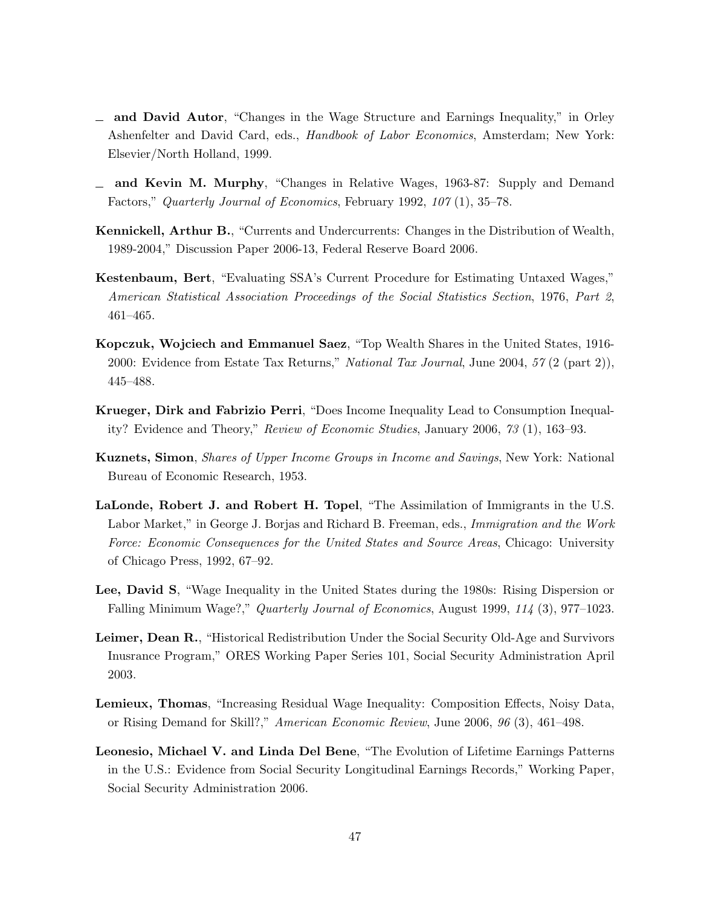- and David Autor, "Changes in the Wage Structure and Earnings Inequality," in Orley Ashenfelter and David Card, eds., Handbook of Labor Economics, Amsterdam; New York: Elsevier/North Holland, 1999.
- $\equiv$  and Kevin M. Murphy, "Changes in Relative Wages, 1963-87: Supply and Demand Factors," Quarterly Journal of Economics, February 1992, 107 (1), 35–78.
- Kennickell, Arthur B., "Currents and Undercurrents: Changes in the Distribution of Wealth, 1989-2004," Discussion Paper 2006-13, Federal Reserve Board 2006.
- Kestenbaum, Bert, "Evaluating SSA's Current Procedure for Estimating Untaxed Wages," American Statistical Association Proceedings of the Social Statistics Section, 1976, Part 2, 461–465.
- Kopczuk, Wojciech and Emmanuel Saez, "Top Wealth Shares in the United States, 1916- 2000: Evidence from Estate Tax Returns," National Tax Journal, June 2004, 57 (2 (part 2)), 445–488.
- Krueger, Dirk and Fabrizio Perri, "Does Income Inequality Lead to Consumption Inequality? Evidence and Theory," Review of Economic Studies, January 2006, 73 (1), 163–93.
- Kuznets, Simon, Shares of Upper Income Groups in Income and Savings, New York: National Bureau of Economic Research, 1953.
- LaLonde, Robert J. and Robert H. Topel, "The Assimilation of Immigrants in the U.S. Labor Market," in George J. Borjas and Richard B. Freeman, eds., Immigration and the Work Force: Economic Consequences for the United States and Source Areas, Chicago: University of Chicago Press, 1992, 67–92.
- Lee, David S, "Wage Inequality in the United States during the 1980s: Rising Dispersion or Falling Minimum Wage?," Quarterly Journal of Economics, August 1999, 114 (3), 977–1023.
- Leimer, Dean R., "Historical Redistribution Under the Social Security Old-Age and Survivors Inusrance Program," ORES Working Paper Series 101, Social Security Administration April 2003.
- Lemieux, Thomas, "Increasing Residual Wage Inequality: Composition Effects, Noisy Data, or Rising Demand for Skill?," American Economic Review, June 2006, 96 (3), 461–498.
- Leonesio, Michael V. and Linda Del Bene, "The Evolution of Lifetime Earnings Patterns in the U.S.: Evidence from Social Security Longitudinal Earnings Records," Working Paper, Social Security Administration 2006.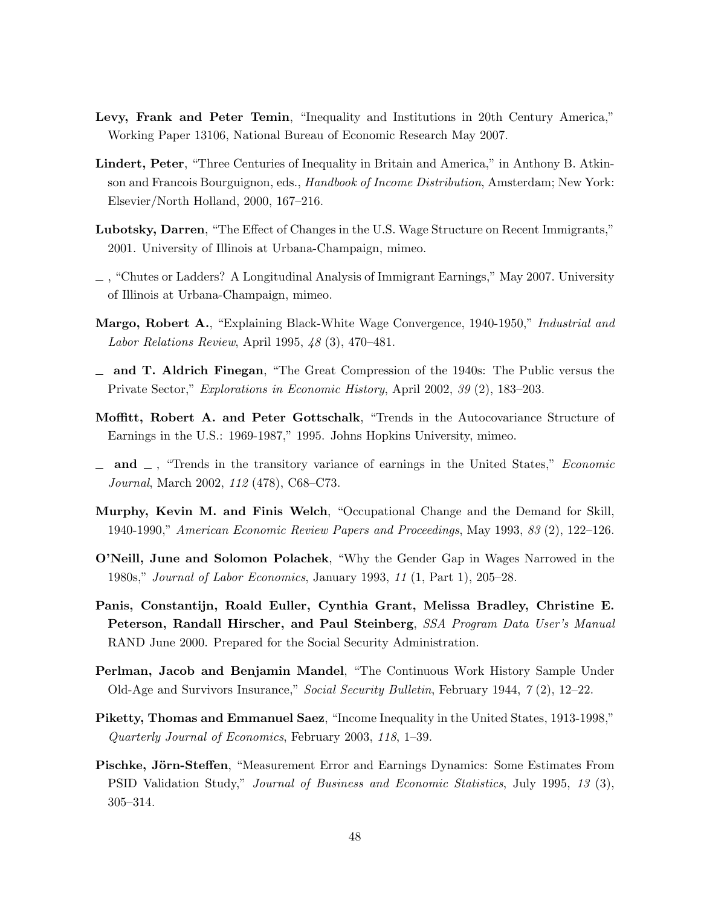- Levy, Frank and Peter Temin, "Inequality and Institutions in 20th Century America," Working Paper 13106, National Bureau of Economic Research May 2007.
- Lindert, Peter, "Three Centuries of Inequality in Britain and America," in Anthony B. Atkinson and Francois Bourguignon, eds., Handbook of Income Distribution, Amsterdam; New York: Elsevier/North Holland, 2000, 167–216.
- Lubotsky, Darren, "The Effect of Changes in the U.S. Wage Structure on Recent Immigrants," 2001. University of Illinois at Urbana-Champaign, mimeo.
- , "Chutes or Ladders? A Longitudinal Analysis of Immigrant Earnings," May 2007. University of Illinois at Urbana-Champaign, mimeo.
- Margo, Robert A., "Explaining Black-White Wage Convergence, 1940-1950," Industrial and Labor Relations Review, April 1995, 48 (3), 470–481.
- $\equiv$  and T. Aldrich Finegan, "The Great Compression of the 1940s: The Public versus the Private Sector," Explorations in Economic History, April 2002, 39 (2), 183–203.
- Moffitt, Robert A. and Peter Gottschalk, "Trends in the Autocovariance Structure of Earnings in the U.S.: 1969-1987," 1995. Johns Hopkins University, mimeo.
- $\Box$  and  $\Box$ , "Trends in the transitory variance of earnings in the United States," *Economic* Journal, March 2002, 112 (478), C68–C73.
- Murphy, Kevin M. and Finis Welch, "Occupational Change and the Demand for Skill, 1940-1990," American Economic Review Papers and Proceedings, May 1993, 83 (2), 122–126.
- O'Neill, June and Solomon Polachek, "Why the Gender Gap in Wages Narrowed in the 1980s," Journal of Labor Economics, January 1993, 11 (1, Part 1), 205–28.
- Panis, Constantijn, Roald Euller, Cynthia Grant, Melissa Bradley, Christine E. Peterson, Randall Hirscher, and Paul Steinberg, SSA Program Data User's Manual RAND June 2000. Prepared for the Social Security Administration.
- Perlman, Jacob and Benjamin Mandel, "The Continuous Work History Sample Under Old-Age and Survivors Insurance," Social Security Bulletin, February 1944, 7 (2), 12–22.
- Piketty, Thomas and Emmanuel Saez, "Income Inequality in the United States, 1913-1998," Quarterly Journal of Economics, February 2003, 118, 1–39.
- Pischke, Jörn-Steffen, "Measurement Error and Earnings Dynamics: Some Estimates From PSID Validation Study," Journal of Business and Economic Statistics, July 1995, 13 (3), 305–314.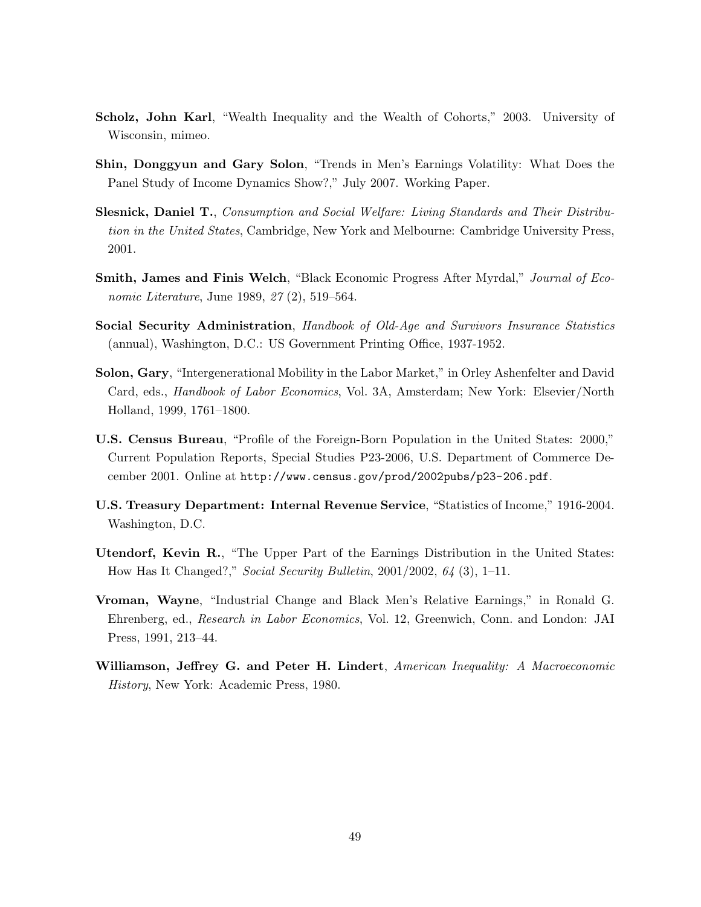- Scholz, John Karl, "Wealth Inequality and the Wealth of Cohorts," 2003. University of Wisconsin, mimeo.
- Shin, Donggyun and Gary Solon, "Trends in Men's Earnings Volatility: What Does the Panel Study of Income Dynamics Show?," July 2007. Working Paper.
- Slesnick, Daniel T., Consumption and Social Welfare: Living Standards and Their Distribution in the United States, Cambridge, New York and Melbourne: Cambridge University Press, 2001.
- Smith, James and Finis Welch, "Black Economic Progress After Myrdal," Journal of Economic Literature, June 1989, 27 (2), 519–564.
- Social Security Administration, Handbook of Old-Age and Survivors Insurance Statistics (annual), Washington, D.C.: US Government Printing Office, 1937-1952.
- Solon, Gary, "Intergenerational Mobility in the Labor Market," in Orley Ashenfelter and David Card, eds., *Handbook of Labor Economics*, Vol. 3A, Amsterdam; New York: Elsevier/North Holland, 1999, 1761–1800.
- U.S. Census Bureau, "Profile of the Foreign-Born Population in the United States: 2000," Current Population Reports, Special Studies P23-2006, U.S. Department of Commerce December 2001. Online at http://www.census.gov/prod/2002pubs/p23-206.pdf.
- U.S. Treasury Department: Internal Revenue Service, "Statistics of Income," 1916-2004. Washington, D.C.
- Utendorf, Kevin R., "The Upper Part of the Earnings Distribution in the United States: How Has It Changed?," Social Security Bulletin, 2001/2002, 64 (3), 1–11.
- Vroman, Wayne, "Industrial Change and Black Men's Relative Earnings," in Ronald G. Ehrenberg, ed., Research in Labor Economics, Vol. 12, Greenwich, Conn. and London: JAI Press, 1991, 213–44.
- Williamson, Jeffrey G. and Peter H. Lindert, American Inequality: A Macroeconomic History, New York: Academic Press, 1980.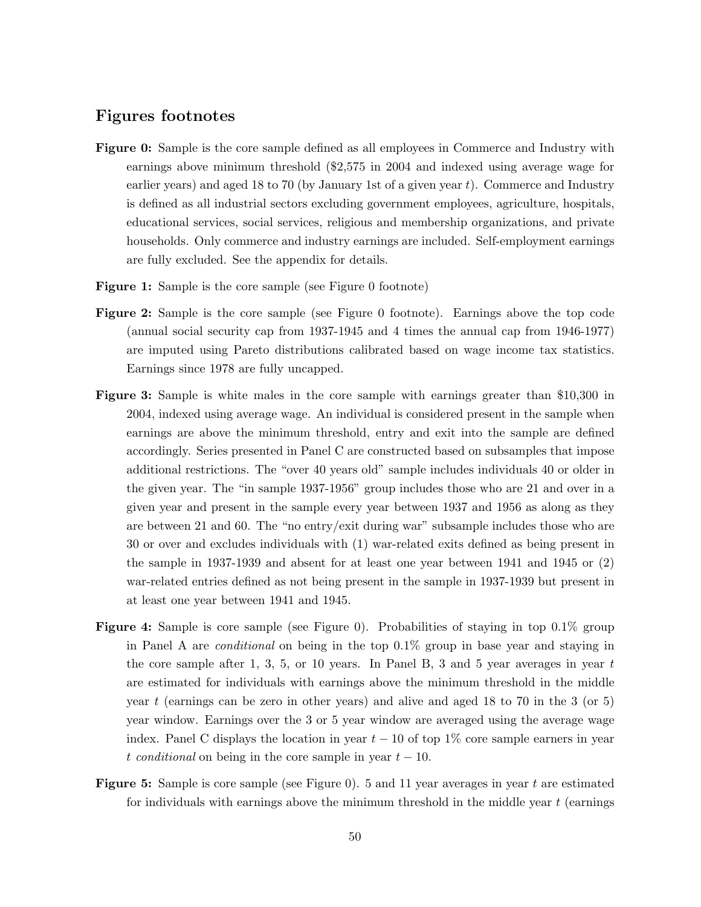# Figures footnotes

- Figure 0: Sample is the core sample defined as all employees in Commerce and Industry with earnings above minimum threshold (\$2,575 in 2004 and indexed using average wage for earlier years) and aged 18 to 70 (by January 1st of a given year  $t$ ). Commerce and Industry is defined as all industrial sectors excluding government employees, agriculture, hospitals, educational services, social services, religious and membership organizations, and private households. Only commerce and industry earnings are included. Self-employment earnings are fully excluded. See the appendix for details.
- **Figure 1:** Sample is the core sample (see Figure 0 footnote)
- Figure 2: Sample is the core sample (see Figure 0 footnote). Earnings above the top code (annual social security cap from 1937-1945 and 4 times the annual cap from 1946-1977) are imputed using Pareto distributions calibrated based on wage income tax statistics. Earnings since 1978 are fully uncapped.
- Figure 3: Sample is white males in the core sample with earnings greater than \$10,300 in 2004, indexed using average wage. An individual is considered present in the sample when earnings are above the minimum threshold, entry and exit into the sample are defined accordingly. Series presented in Panel C are constructed based on subsamples that impose additional restrictions. The "over 40 years old" sample includes individuals 40 or older in the given year. The "in sample 1937-1956" group includes those who are 21 and over in a given year and present in the sample every year between 1937 and 1956 as along as they are between 21 and 60. The "no entry/exit during war" subsample includes those who are 30 or over and excludes individuals with (1) war-related exits defined as being present in the sample in 1937-1939 and absent for at least one year between 1941 and 1945 or (2) war-related entries defined as not being present in the sample in 1937-1939 but present in at least one year between 1941 and 1945.
- Figure 4: Sample is core sample (see Figure 0). Probabilities of staying in top 0.1% group in Panel A are conditional on being in the top 0.1% group in base year and staying in the core sample after 1, 3, 5, or 10 years. In Panel B, 3 and 5 year averages in year  $t$ are estimated for individuals with earnings above the minimum threshold in the middle year t (earnings can be zero in other years) and alive and aged 18 to 70 in the 3 (or 5) year window. Earnings over the 3 or 5 year window are averaged using the average wage index. Panel C displays the location in year  $t - 10$  of top 1% core sample earners in year t conditional on being in the core sample in year  $t - 10$ .
- **Figure 5:** Sample is core sample (see Figure 0). 5 and 11 year averages in year t are estimated for individuals with earnings above the minimum threshold in the middle year  $t$  (earnings)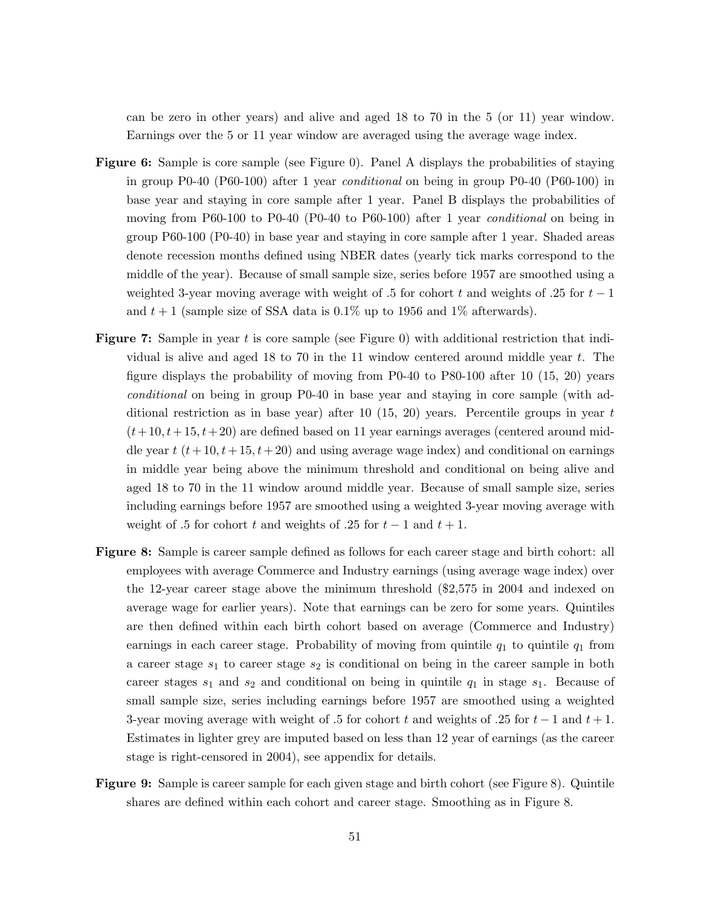can be zero in other years) and alive and aged 18 to 70 in the 5 (or 11) year window. Earnings over the 5 or 11 year window are averaged using the average wage index.

- Figure 6: Sample is core sample (see Figure 0). Panel A displays the probabilities of staying in group P0-40 (P60-100) after 1 year conditional on being in group P0-40 (P60-100) in base year and staying in core sample after 1 year. Panel B displays the probabilities of moving from P60-100 to P0-40 (P0-40 to P60-100) after 1 year conditional on being in group P60-100 (P0-40) in base year and staying in core sample after 1 year. Shaded areas denote recession months defined using NBER dates (yearly tick marks correspond to the middle of the year). Because of small sample size, series before 1957 are smoothed using a weighted 3-year moving average with weight of .5 for cohort t and weights of .25 for  $t-1$ and  $t + 1$  (sample size of SSA data is 0.1% up to 1956 and 1% afterwards).
- Figure 7: Sample in year t is core sample (see Figure 0) with additional restriction that individual is alive and aged 18 to 70 in the 11 window centered around middle year t. The figure displays the probability of moving from P0-40 to P80-100 after 10 (15, 20) years conditional on being in group P0-40 in base year and staying in core sample (with additional restriction as in base year) after 10 (15, 20) years. Percentile groups in year  $t$  $(t+10, t+15, t+20)$  are defined based on 11 year earnings averages (centered around middle year  $t (t+10, t+15, t+20)$  and using average wage index) and conditional on earnings in middle year being above the minimum threshold and conditional on being alive and aged 18 to 70 in the 11 window around middle year. Because of small sample size, series including earnings before 1957 are smoothed using a weighted 3-year moving average with weight of .5 for cohort t and weights of .25 for  $t-1$  and  $t+1$ .
- Figure 8: Sample is career sample defined as follows for each career stage and birth cohort: all employees with average Commerce and Industry earnings (using average wage index) over the 12-year career stage above the minimum threshold (\$2,575 in 2004 and indexed on average wage for earlier years). Note that earnings can be zero for some years. Quintiles are then defined within each birth cohort based on average (Commerce and Industry) earnings in each career stage. Probability of moving from quintile  $q_1$  to quintile  $q_1$  from a career stage  $s_1$  to career stage  $s_2$  is conditional on being in the career sample in both career stages  $s_1$  and  $s_2$  and conditional on being in quintile  $q_1$  in stage  $s_1$ . Because of small sample size, series including earnings before 1957 are smoothed using a weighted 3-year moving average with weight of .5 for cohort t and weights of .25 for  $t-1$  and  $t+1$ . Estimates in lighter grey are imputed based on less than 12 year of earnings (as the career stage is right-censored in 2004), see appendix for details.
- Figure 9: Sample is career sample for each given stage and birth cohort (see Figure 8). Quintile shares are defined within each cohort and career stage. Smoothing as in Figure 8.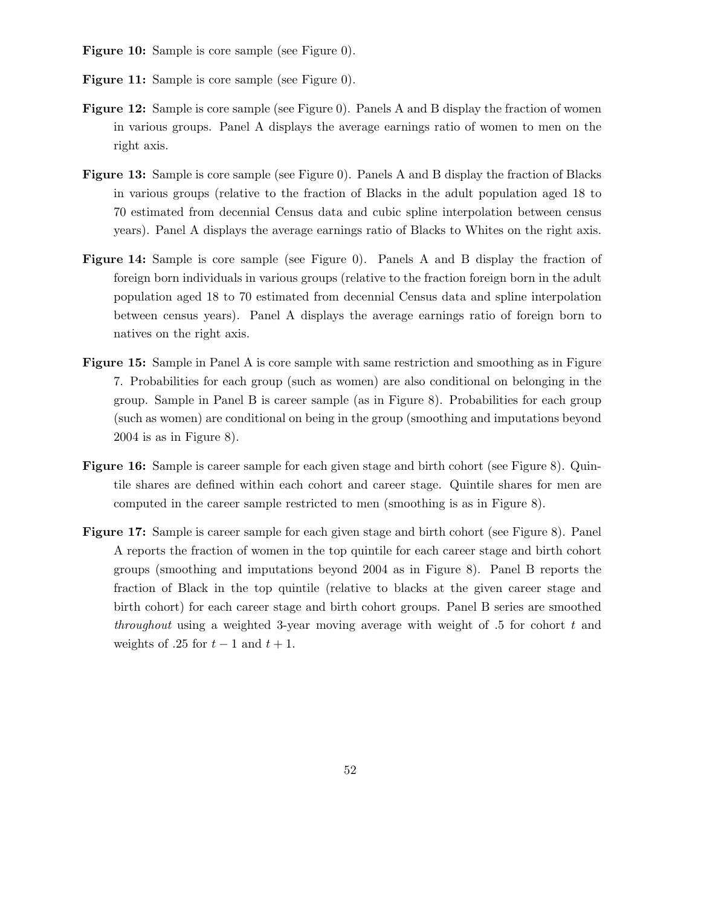- Figure 10: Sample is core sample (see Figure 0).
- Figure 11: Sample is core sample (see Figure 0).
- Figure 12: Sample is core sample (see Figure 0). Panels A and B display the fraction of women in various groups. Panel A displays the average earnings ratio of women to men on the right axis.
- Figure 13: Sample is core sample (see Figure 0). Panels A and B display the fraction of Blacks in various groups (relative to the fraction of Blacks in the adult population aged 18 to 70 estimated from decennial Census data and cubic spline interpolation between census years). Panel A displays the average earnings ratio of Blacks to Whites on the right axis.
- Figure 14: Sample is core sample (see Figure 0). Panels A and B display the fraction of foreign born individuals in various groups (relative to the fraction foreign born in the adult population aged 18 to 70 estimated from decennial Census data and spline interpolation between census years). Panel A displays the average earnings ratio of foreign born to natives on the right axis.
- Figure 15: Sample in Panel A is core sample with same restriction and smoothing as in Figure 7. Probabilities for each group (such as women) are also conditional on belonging in the group. Sample in Panel B is career sample (as in Figure 8). Probabilities for each group (such as women) are conditional on being in the group (smoothing and imputations beyond 2004 is as in Figure 8).
- Figure 16: Sample is career sample for each given stage and birth cohort (see Figure 8). Quintile shares are defined within each cohort and career stage. Quintile shares for men are computed in the career sample restricted to men (smoothing is as in Figure 8).
- Figure 17: Sample is career sample for each given stage and birth cohort (see Figure 8). Panel A reports the fraction of women in the top quintile for each career stage and birth cohort groups (smoothing and imputations beyond 2004 as in Figure 8). Panel B reports the fraction of Black in the top quintile (relative to blacks at the given career stage and birth cohort) for each career stage and birth cohort groups. Panel B series are smoothed throughout using a weighted 3-year moving average with weight of  $.5$  for cohort t and weights of .25 for  $t-1$  and  $t+1$ .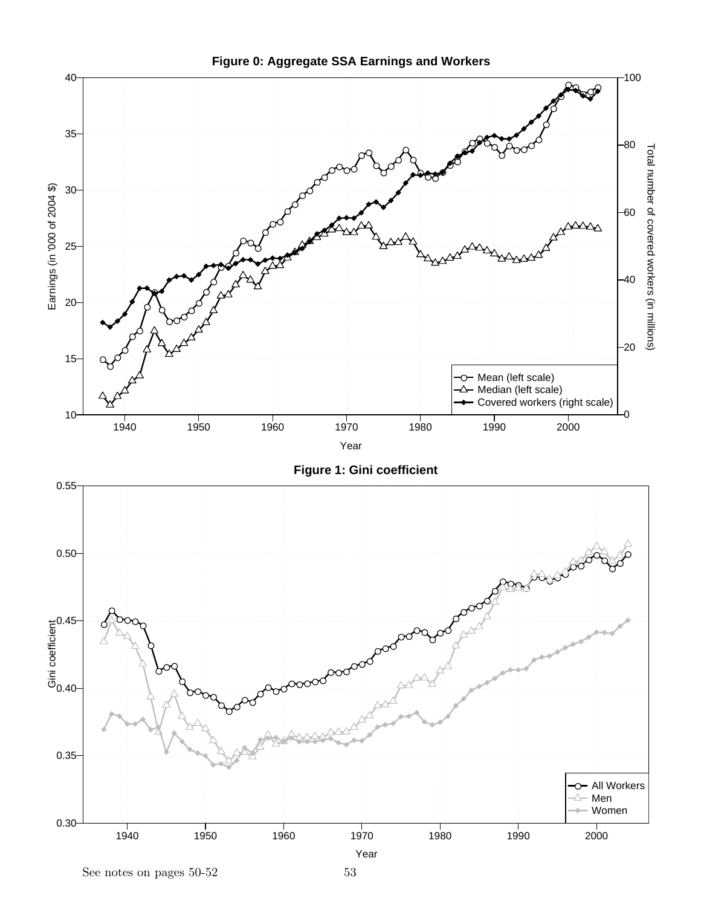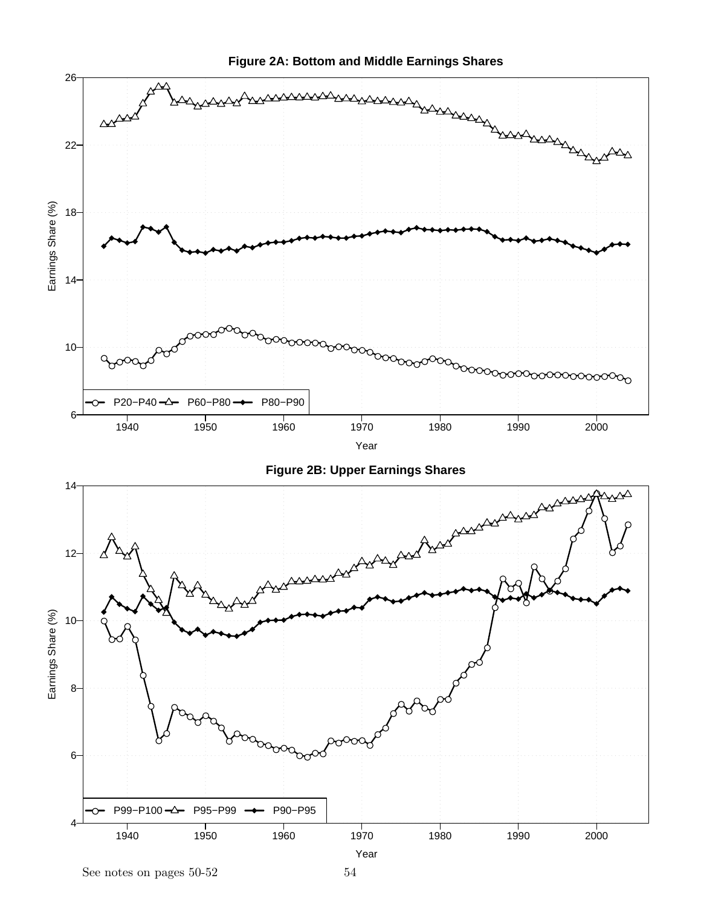

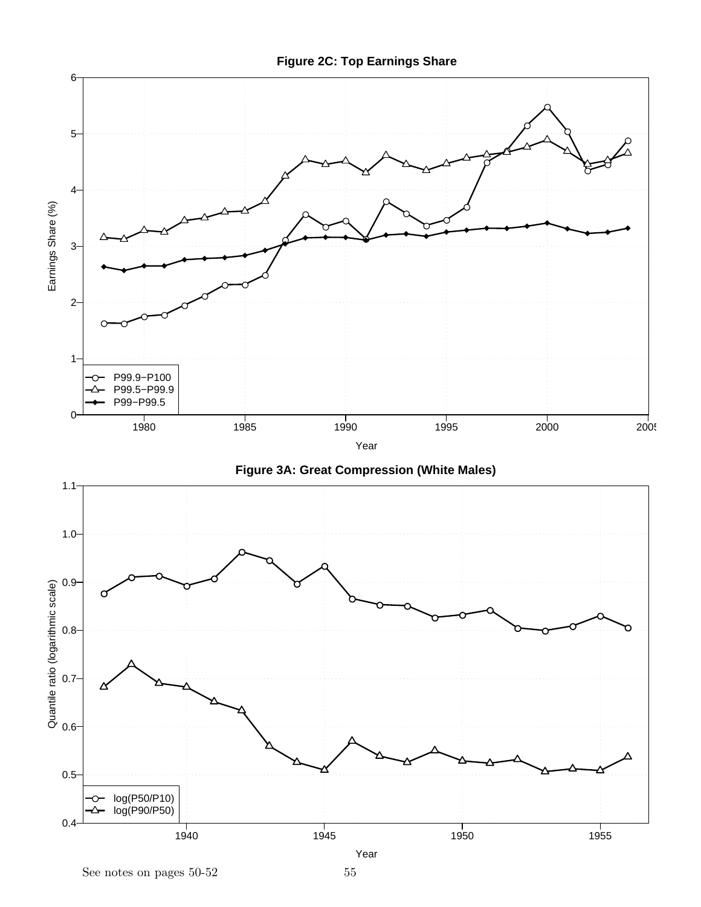

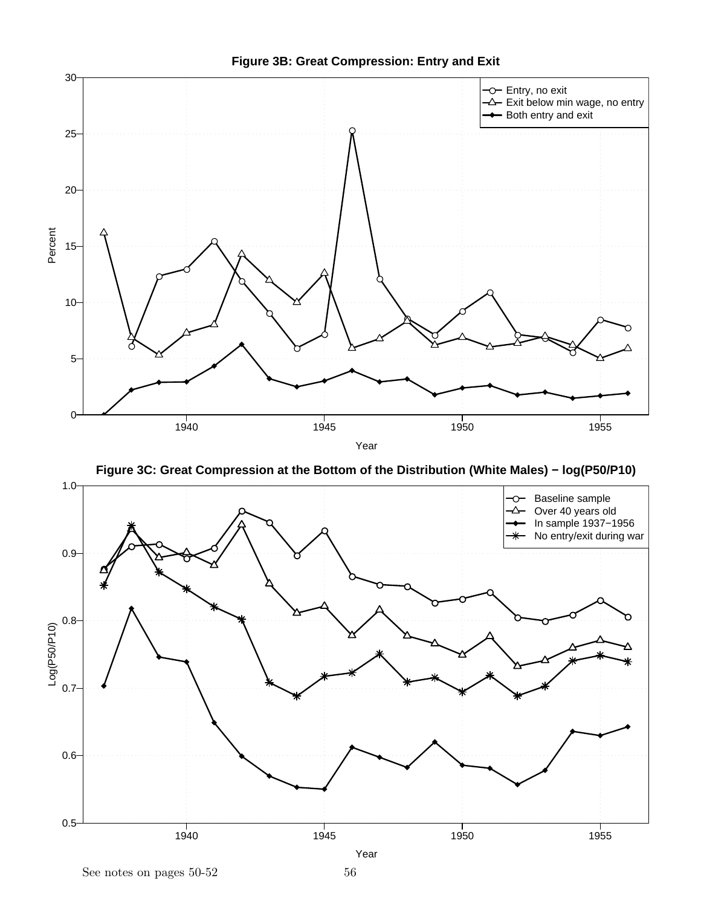





**Figure 3B: Great Compression: Entry and Exit**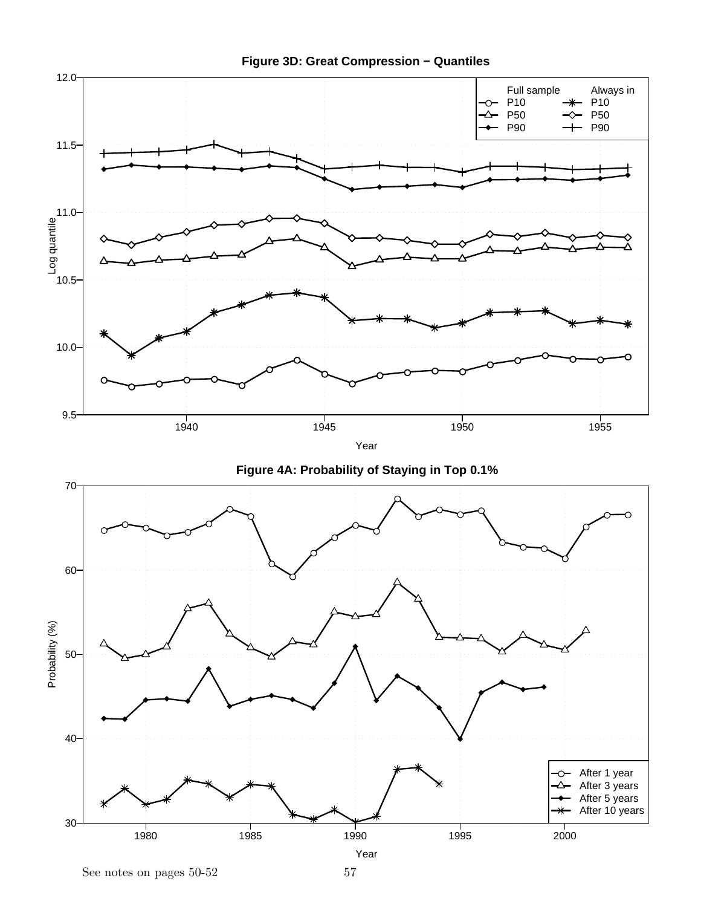



See notes on pages  $50-52$  57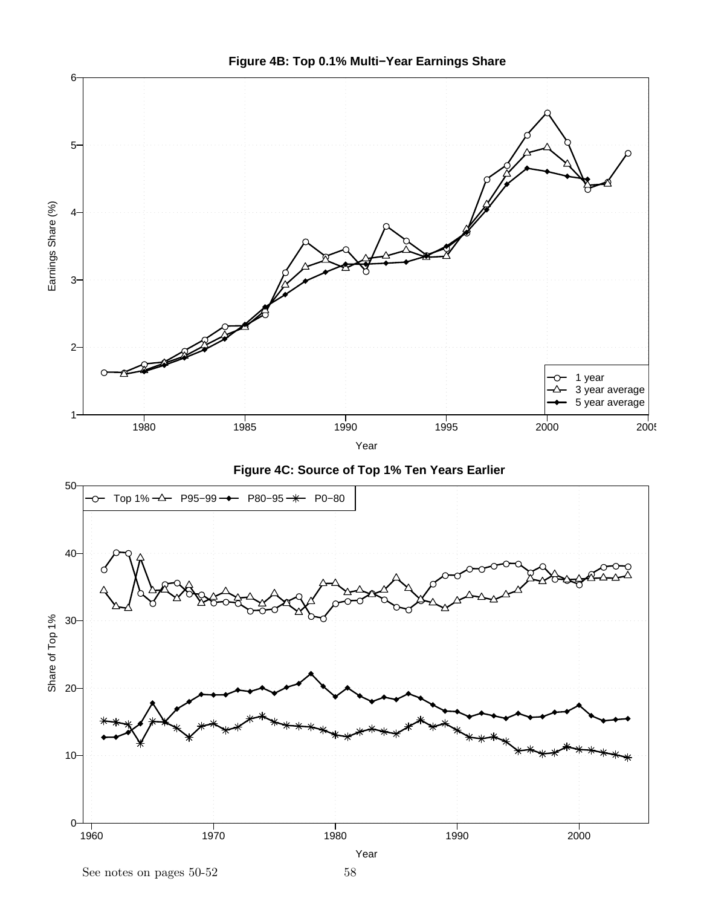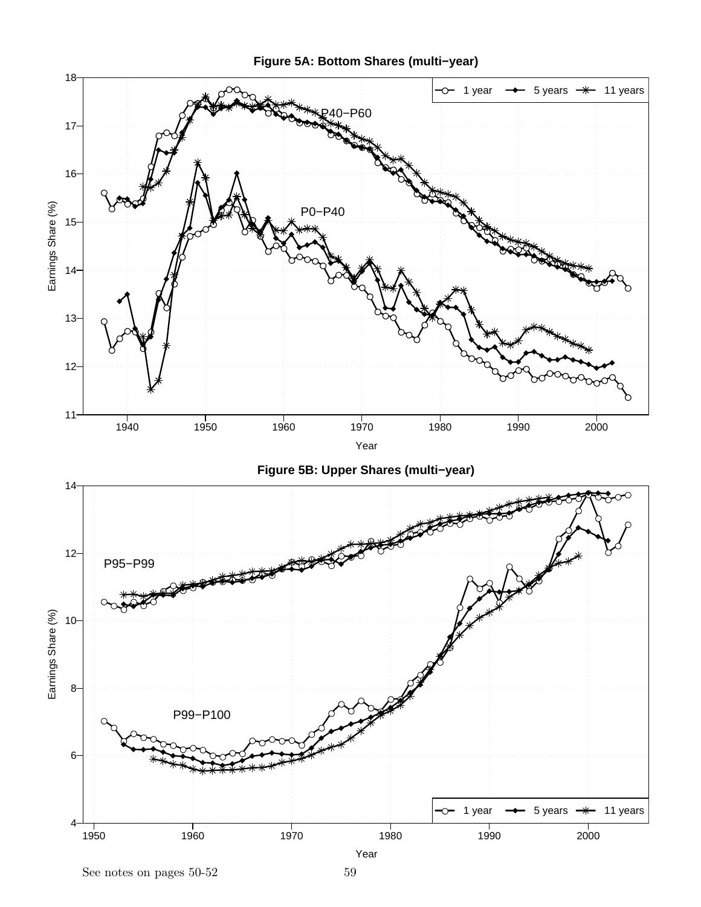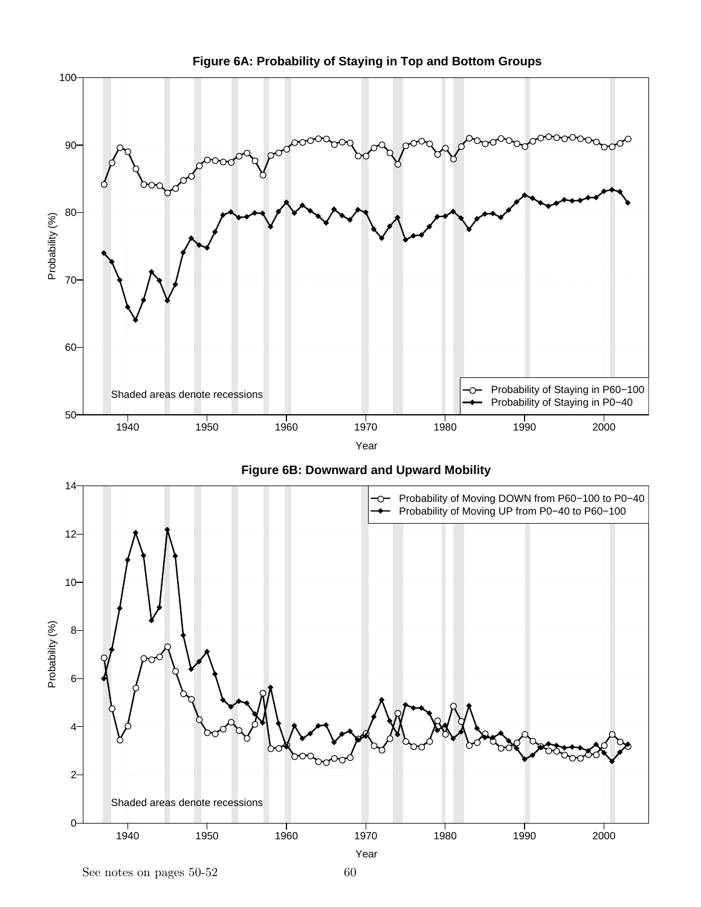

**Figure 6A: Probability of Staying in Top and Bottom Groups**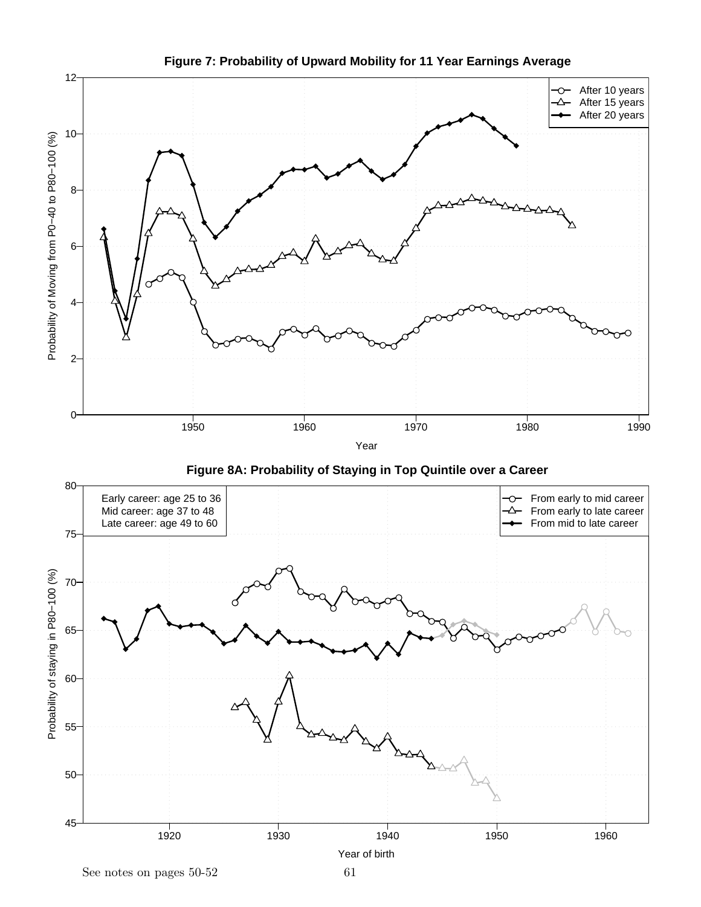

**Figure 7: Probability of Upward Mobility for 11 Year Earnings Average**

45

50

Year of birth

1920 1930 1940 1950 1960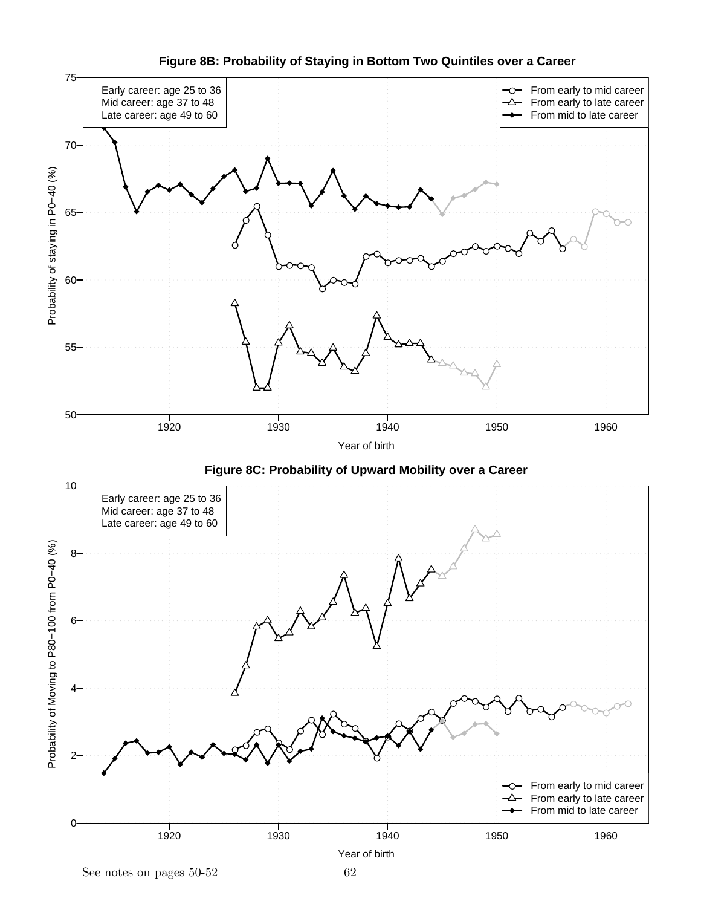

**Figure 8B: Probability of Staying in Bottom Two Quintiles over a Career**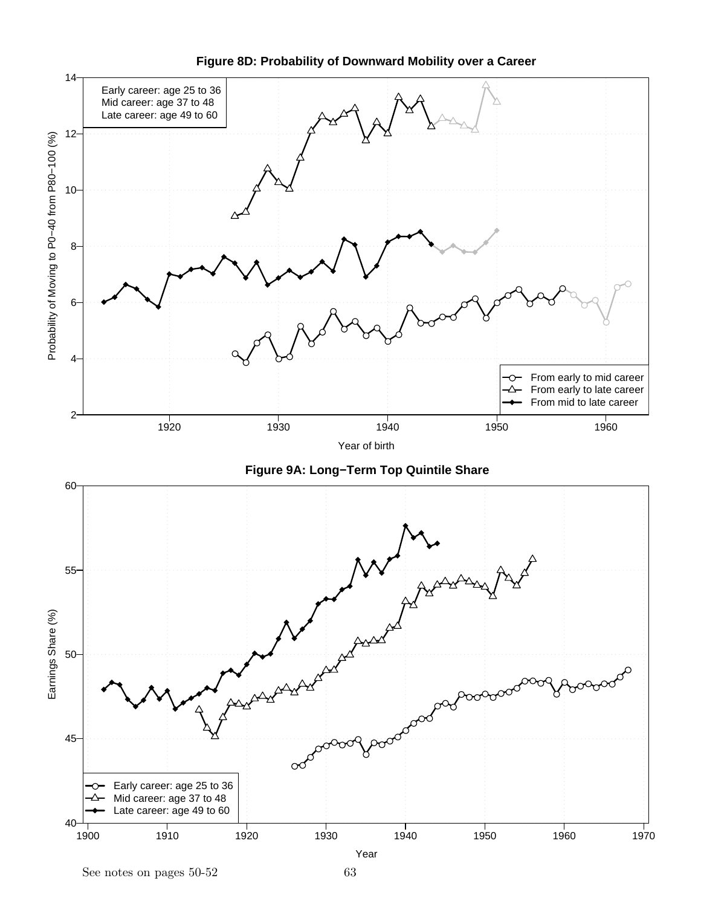

**Figure 8D: Probability of Downward Mobility over a Career**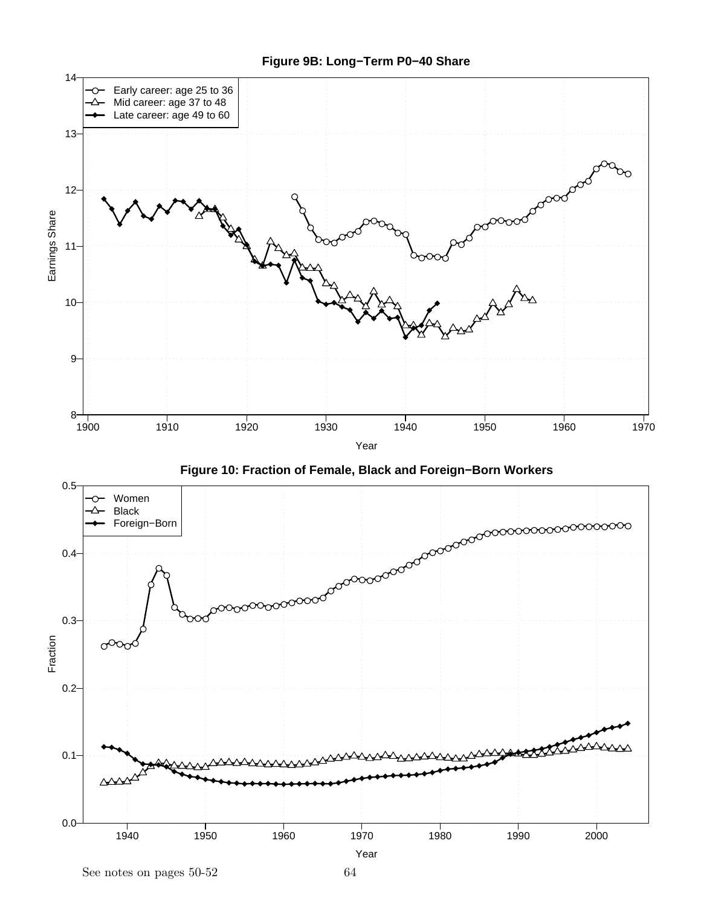



 $\quad \ \, {\rm See \,\, notes \,\, on \,\, pages} \,\, 50\text{-}52 \qquad \qquad \ \, 64$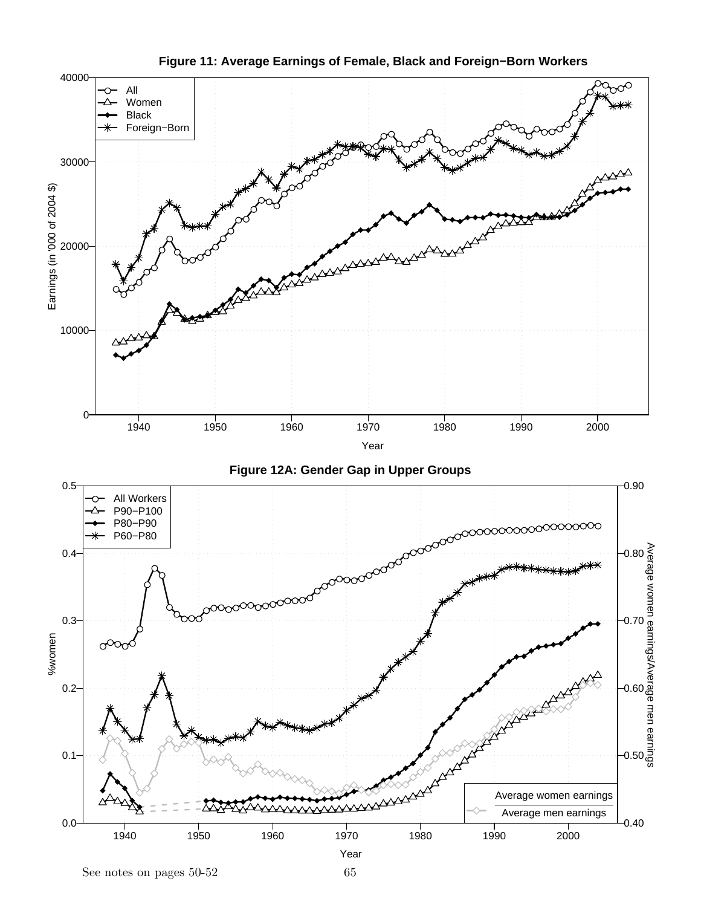

**Figure 11: Average Earnings of Female, Black and Foreign−Born Workers**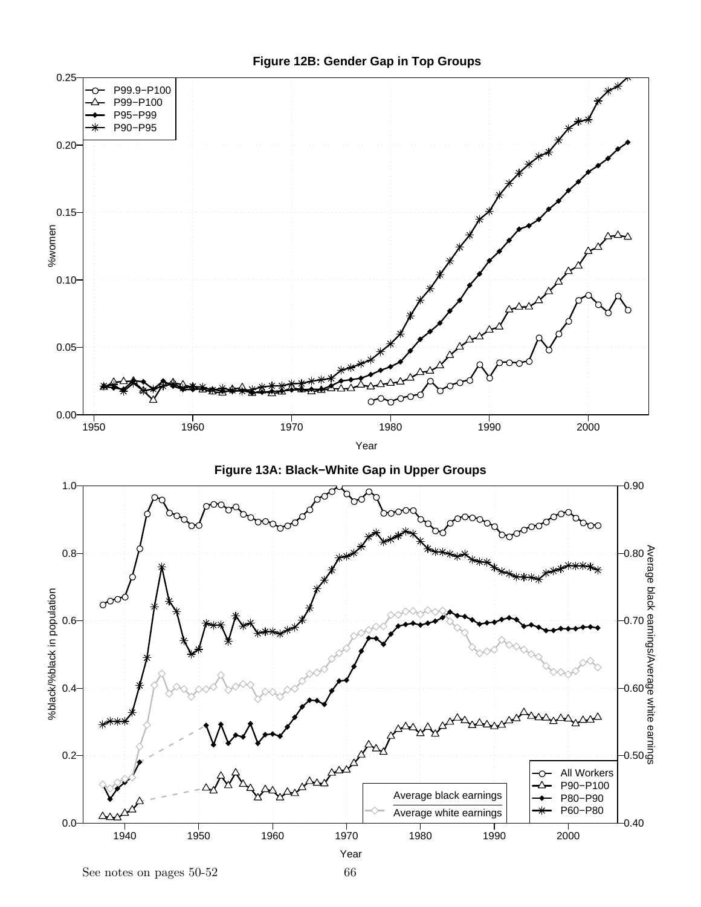

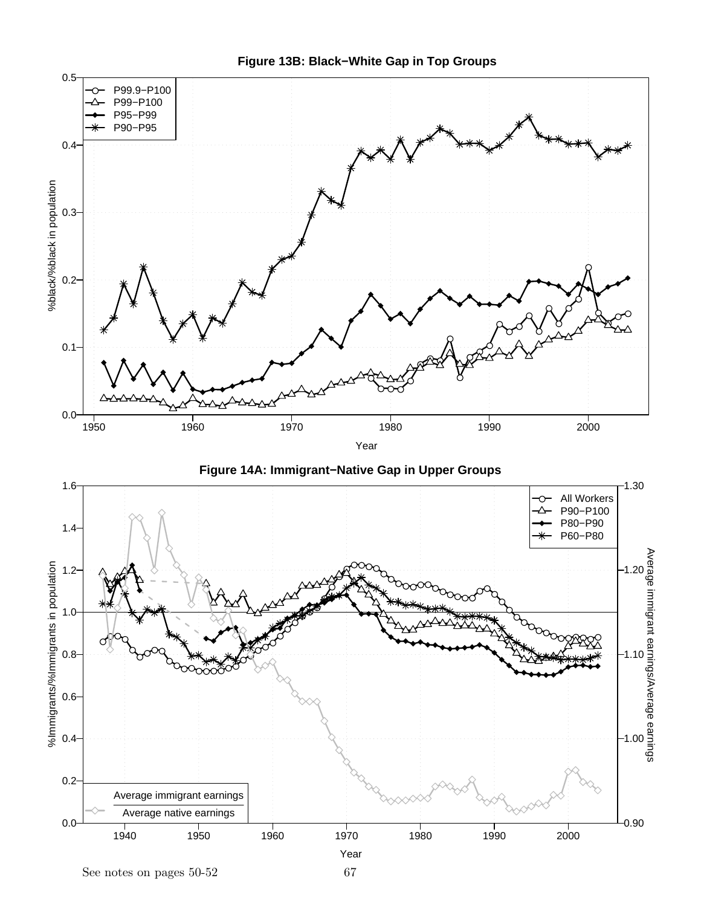

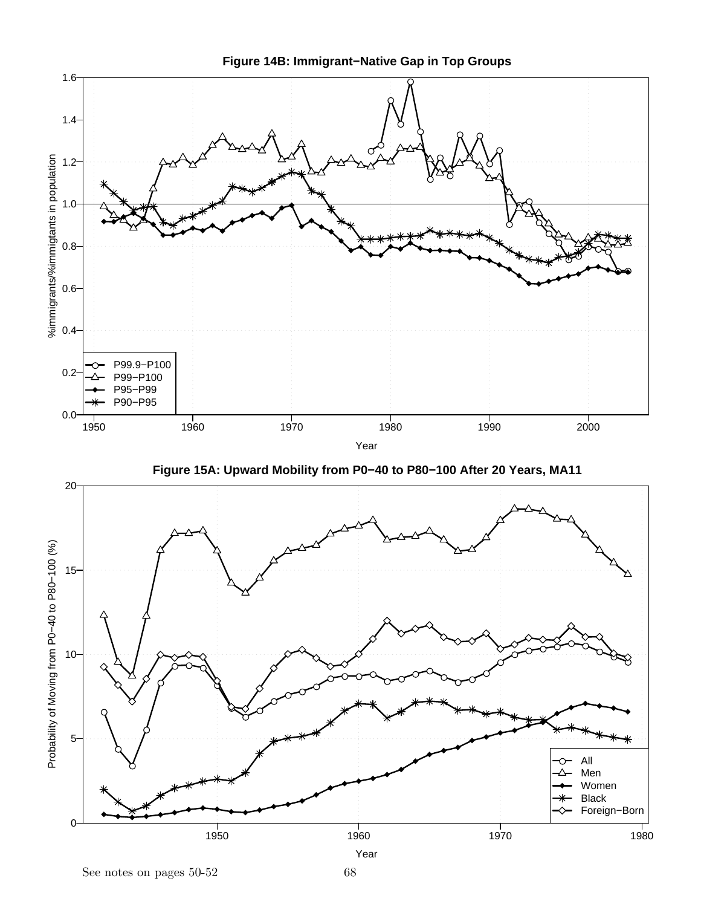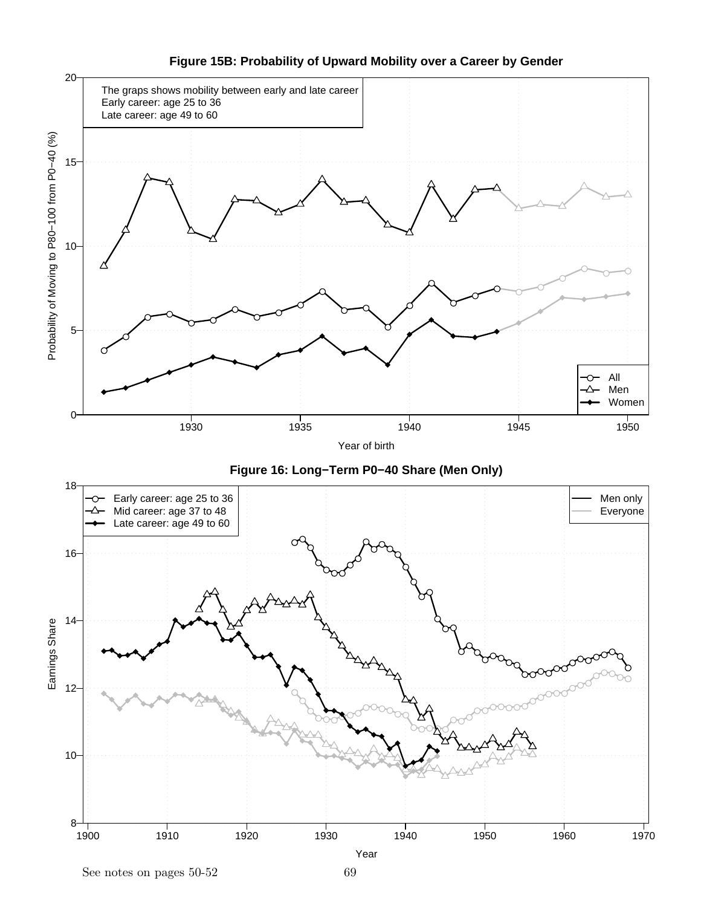

**Figure 15B: Probability of Upward Mobility over a Career by Gender**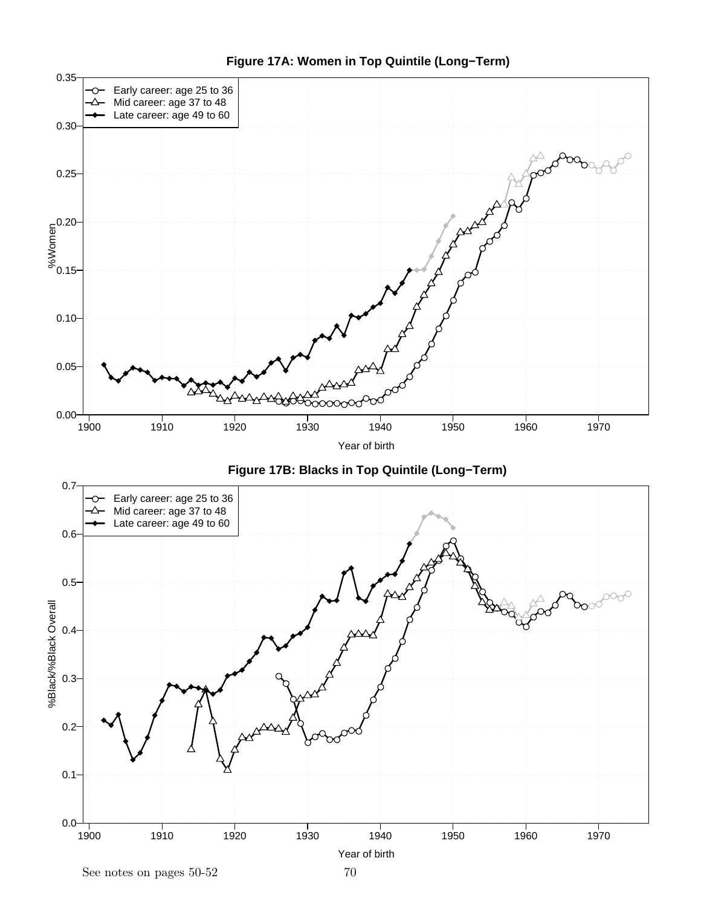

**Figure 17A: Women in Top Quintile (Long−Term)**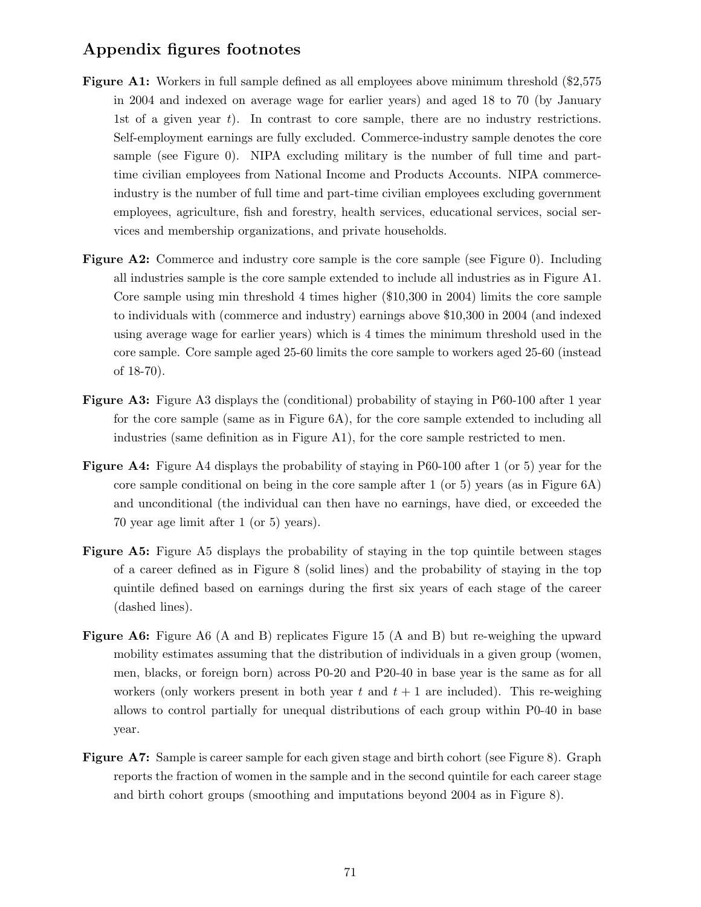## Appendix figures footnotes

- Figure A1: Workers in full sample defined as all employees above minimum threshold (\$2,575) in 2004 and indexed on average wage for earlier years) and aged 18 to 70 (by January 1st of a given year  $t$ ). In contrast to core sample, there are no industry restrictions. Self-employment earnings are fully excluded. Commerce-industry sample denotes the core sample (see Figure 0). NIPA excluding military is the number of full time and parttime civilian employees from National Income and Products Accounts. NIPA commerceindustry is the number of full time and part-time civilian employees excluding government employees, agriculture, fish and forestry, health services, educational services, social services and membership organizations, and private households.
- Figure A2: Commerce and industry core sample is the core sample (see Figure 0). Including all industries sample is the core sample extended to include all industries as in Figure A1. Core sample using min threshold 4 times higher (\$10,300 in 2004) limits the core sample to individuals with (commerce and industry) earnings above \$10,300 in 2004 (and indexed using average wage for earlier years) which is 4 times the minimum threshold used in the core sample. Core sample aged 25-60 limits the core sample to workers aged 25-60 (instead of 18-70).
- Figure A3: Figure A3 displays the (conditional) probability of staying in P60-100 after 1 year for the core sample (same as in Figure 6A), for the core sample extended to including all industries (same definition as in Figure A1), for the core sample restricted to men.
- Figure A4: Figure A4 displays the probability of staying in P60-100 after 1 (or 5) year for the core sample conditional on being in the core sample after  $1$  (or  $5$ ) years (as in Figure  $6A$ ) and unconditional (the individual can then have no earnings, have died, or exceeded the 70 year age limit after 1 (or 5) years).
- Figure A5: Figure A5 displays the probability of staying in the top quintile between stages of a career defined as in Figure 8 (solid lines) and the probability of staying in the top quintile defined based on earnings during the first six years of each stage of the career (dashed lines).
- Figure A6: Figure A6 (A and B) replicates Figure 15 (A and B) but re-weighing the upward mobility estimates assuming that the distribution of individuals in a given group (women, men, blacks, or foreign born) across P0-20 and P20-40 in base year is the same as for all workers (only workers present in both year t and  $t + 1$  are included). This re-weighing allows to control partially for unequal distributions of each group within P0-40 in base year.
- Figure A7: Sample is career sample for each given stage and birth cohort (see Figure 8). Graph reports the fraction of women in the sample and in the second quintile for each career stage and birth cohort groups (smoothing and imputations beyond 2004 as in Figure 8).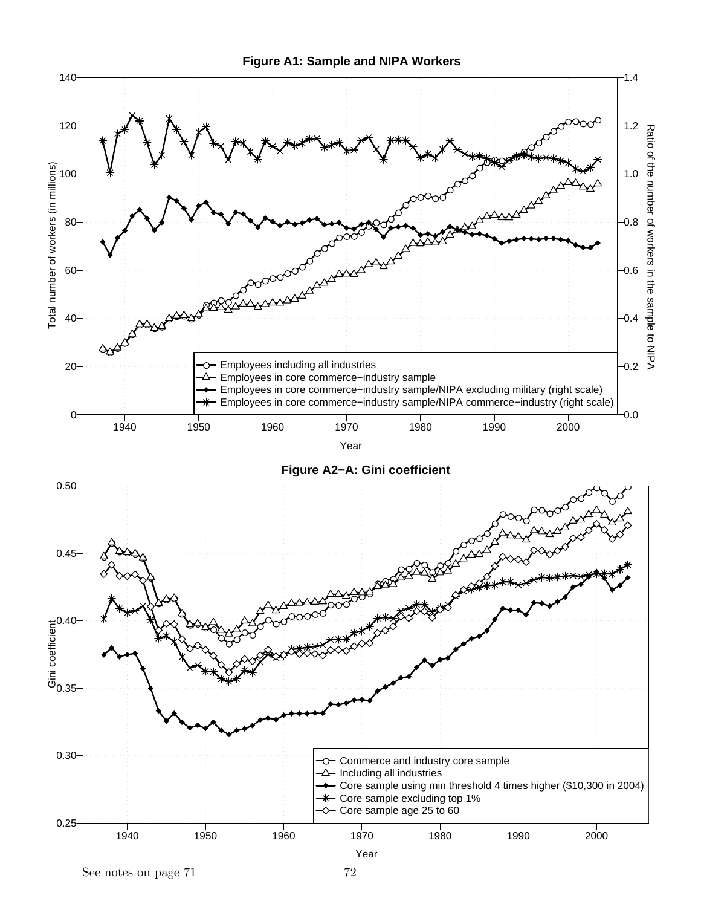



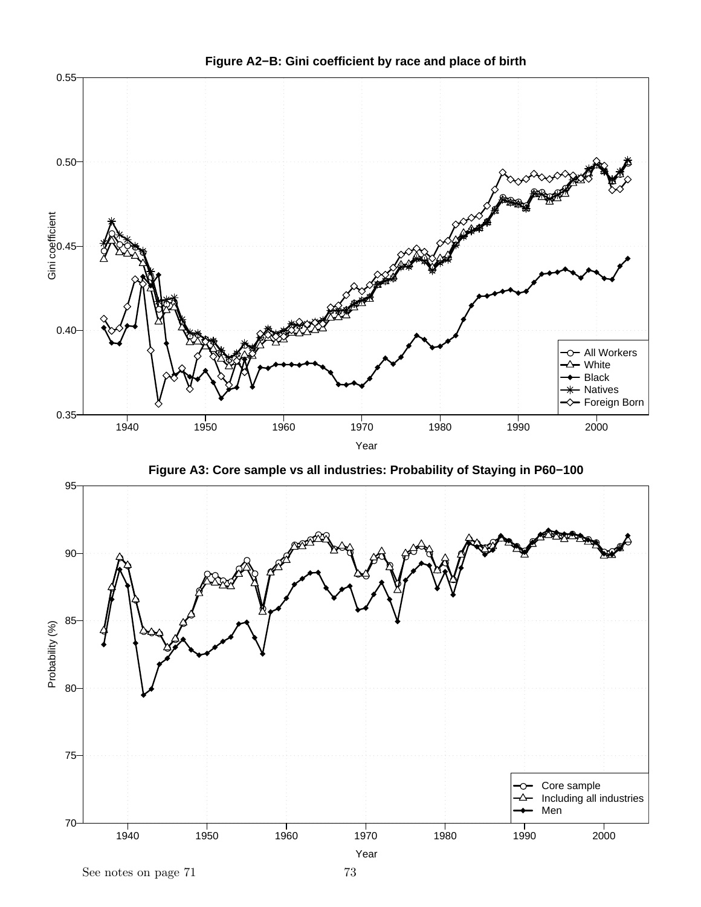

**Figure A2−B: Gini coefficient by race and place of birth**



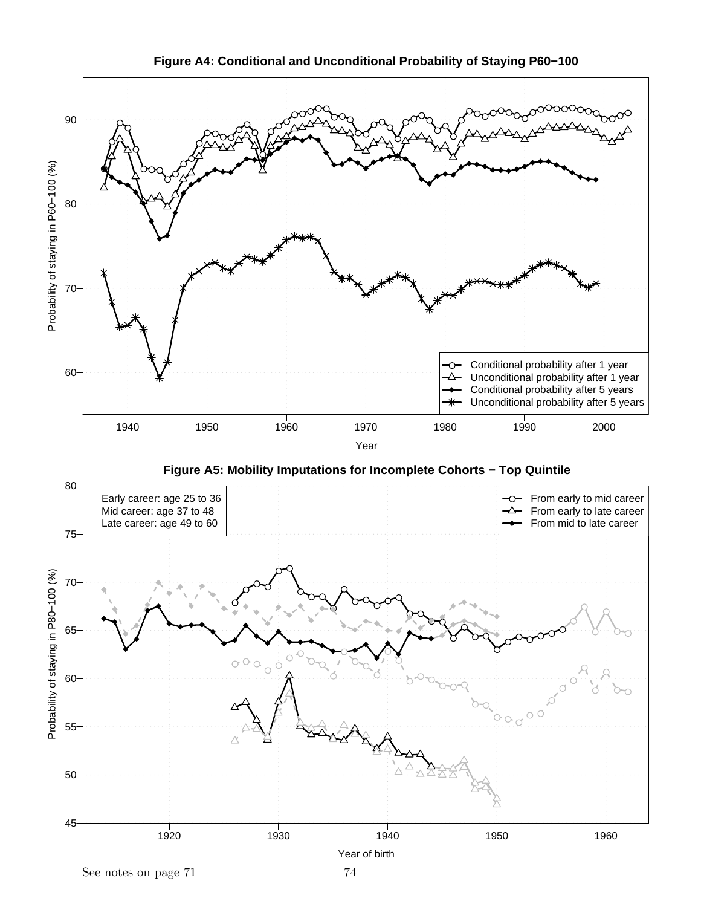

**Figure A4: Conditional and Unconditional Probability of Staying P60−100**

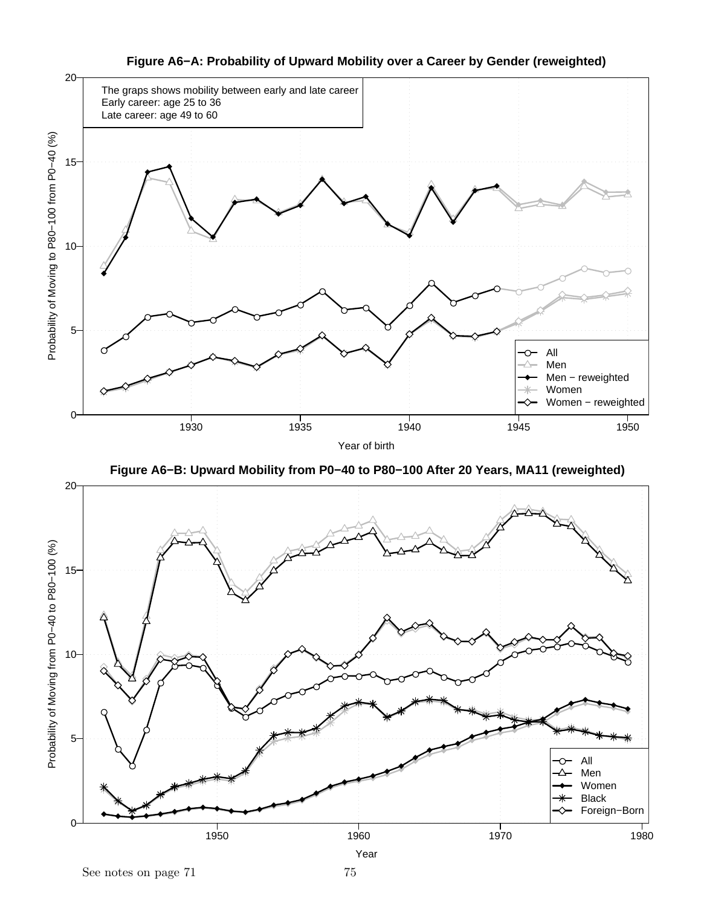

**Figure A6−A: Probability of Upward Mobility over a Career by Gender (reweighted)**



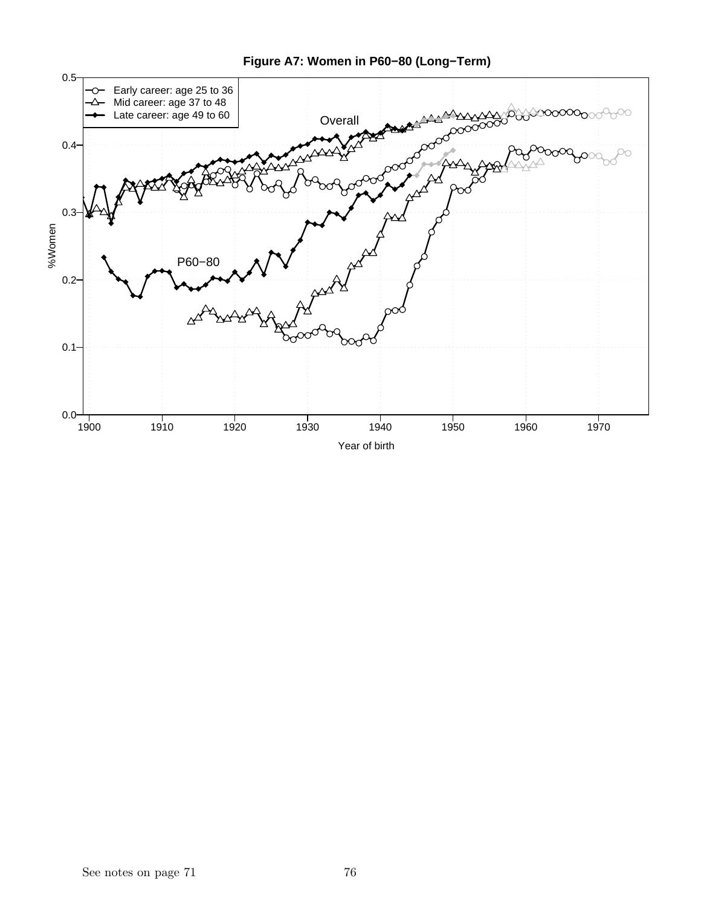

## **Figure A7: Women in P60−80 (Long−Term)**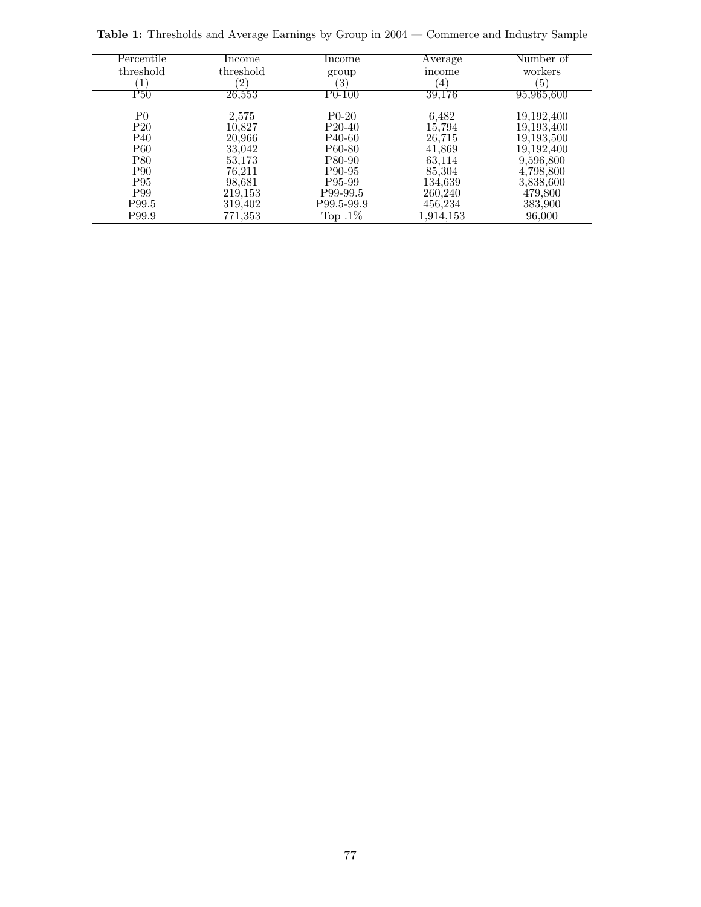| Percentile      | Income            | Income              | Average          | Number of        |
|-----------------|-------------------|---------------------|------------------|------------------|
| threshold       | threshold         | group               | income           | workers          |
|                 | $\left( 2\right)$ | $\left( 3\right)$   | $\left(4\right)$ | $\left(5\right)$ |
| P50             | 26,553            | P0-100              | 39,176           | 95,965,600       |
| P0              | 2,575             | $P0-20$             | 6,482            | 19,192,400       |
| P <sub>20</sub> | 10,827            | P <sub>20</sub> -40 | 15,794           | 19,193,400       |
| P <sub>40</sub> | 20,966            | P <sub>40</sub> -60 | 26,715           | 19,193,500       |
| <b>P60</b>      | 33,042            | P60-80              | 41,869           | 19,192,400       |
| <b>P80</b>      | 53,173            | P80-90              | 63,114           | 9,596,800        |
| P <sub>90</sub> | 76,211            | P90-95              | 85,304           | 4,798,800        |
| P <sub>95</sub> | 98,681            | P95-99              | 134,639          | 3,838,600        |
| P99             | 219,153           | P99-99.5            | 260,240          | 479,800          |
| P99.5           | 319,402           | P99.5-99.9          | 456,234          | 383,900          |
| P99.9           | 771,353           | Top $.1\%$          | 1,914,153        | 96,000           |

Table 1: Thresholds and Average Earnings by Group in 2004 — Commerce and Industry Sample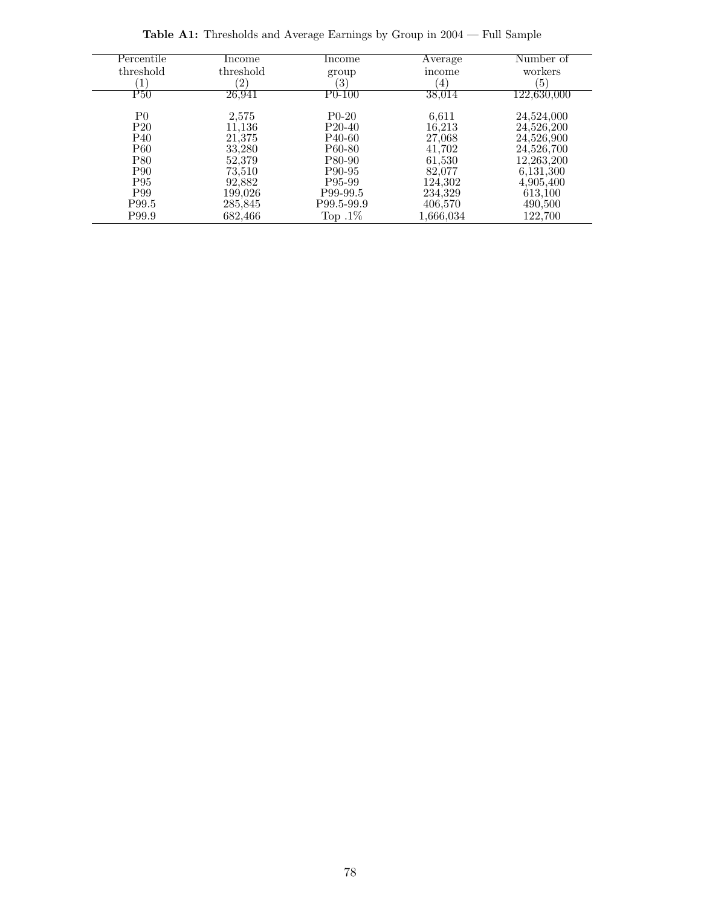| Percentile                | Income    | Income              | Average        | Number of   |
|---------------------------|-----------|---------------------|----------------|-------------|
| threshold                 | threshold | group               | income         | workers     |
|                           | (2)       | $\left(3\right)$    | $\overline{4}$ | 5           |
| $\overline{\mathrm{P}50}$ | 26,941    | $P0-100$            | 38,014         | 122,630,000 |
| P <sub>0</sub>            | 2,575     | $P0-20$             | 6,611          | 24,524,000  |
| P <sub>20</sub>           | 11.136    | P <sub>20</sub> -40 | 16,213         | 24,526,200  |
| P <sub>40</sub>           | 21,375    | P <sub>40</sub> -60 | 27,068         | 24,526,900  |
| P60                       | 33,280    | P60-80              | 41,702         | 24,526,700  |
| P80                       | 52,379    | P80-90              | 61,530         | 12,263,200  |
| P <sub>90</sub>           | 73,510    | P90-95              | 82,077         | 6,131,300   |
| P <sub>95</sub>           | 92,882    | P95-99              | 124,302        | 4,905,400   |
| P99                       | 199,026   | P99-99.5            | 234,329        | 613,100     |
| P99.5                     | 285,845   | P99.5-99.9          | 406,570        | 490,500     |
| P99.9                     | 682,466   | Top $.1\%$          | 1,666,034      | 122,700     |

 $\bf \textbf{Table A1:}$  Thresholds and Average Earnings by Group in 2004 — Full Sample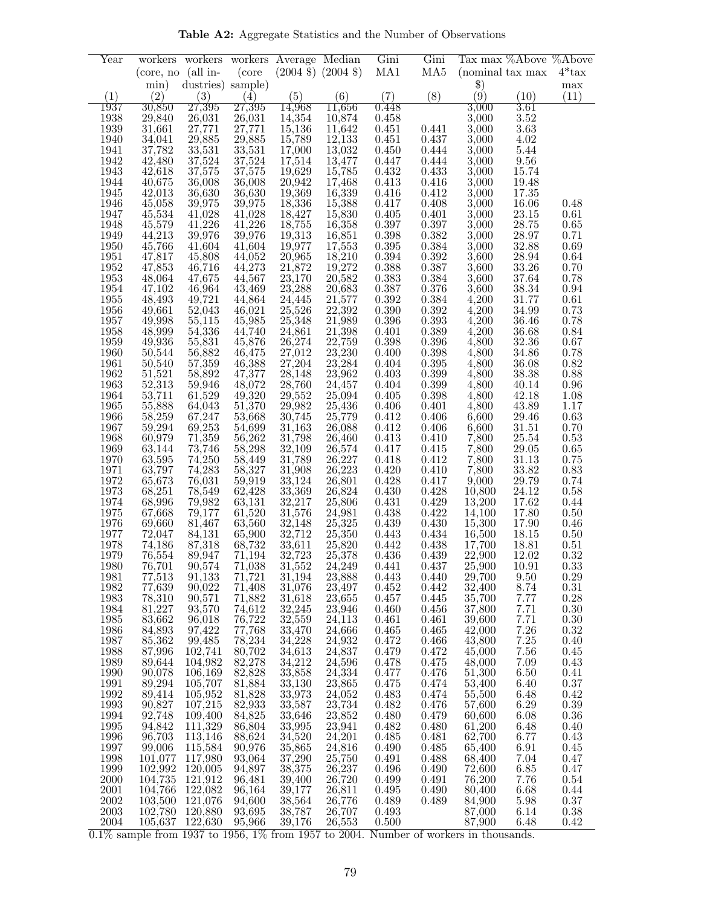Table A2: Aggregate Statistics and the Number of Observations

| Year         |                      |                   |                  | workers workers <b>Average</b> Median |                                                                               | Gini                 | Gini           | Tax max %Above %Above                 |                  |                      |
|--------------|----------------------|-------------------|------------------|---------------------------------------|-------------------------------------------------------------------------------|----------------------|----------------|---------------------------------------|------------------|----------------------|
|              | $(core, no (all in-$ |                   | (core            |                                       | $(2004 \text{ } \text{\textsterling}) \ (2004 \text{ } \text{\textsterling})$ | MA1                  | MA5            | (nominal tax max)                     |                  | $4*$ tax             |
|              | min)                 | dustries) sample) |                  |                                       |                                                                               |                      |                | $\$\)$                                |                  | max                  |
| (1)          | (2)                  | (3)               | (4)              | (5)                                   | (6)                                                                           | (7)                  | (8)            | $\left( \stackrel{\left( }{9}\right)$ | (10)             | (11)                 |
| 1937         | 30,850               | 27,395            | 27,395           | 14.968                                | $11{,}656$                                                                    | 0.448                |                | $3{,}000$                             | 3.61             |                      |
| 1938         | 29,840               | 26,031            | 26,031           | 14,354                                | 10,874                                                                        | 0.458                |                | 3,000                                 | 3.52             |                      |
| 1939         | 31,661               | 27,771            | 27,771           | 15,136                                | 11,642                                                                        | 0.451                | 0.441          | 3,000                                 | 3.63             |                      |
| 1940         | 34,041               | 29,885            | 29,885           | 15,789                                | 12,133                                                                        | 0.451                | 0.437          | 3,000                                 | 4.02             |                      |
| 1941         | 37,782               | 33,531            | 33,531           | 17,000                                | 13,032                                                                        | 0.450                | 0.444          | 3,000                                 | 5.44             |                      |
| 1942         | 42,480               | 37,524            | 37,524           | 17,514                                | 13,477                                                                        | 0.447                | 0.444          | 3,000                                 | 9.56             |                      |
| 1943         | 42,618               | 37,575            | 37,575           | 19,629                                | 15,785                                                                        | 0.432                | 0.433          | 3,000                                 | 15.74            |                      |
| 1944         | 40,675               | 36,008            | 36,008           | 20,942                                | 17,468                                                                        | 0.413                | 0.416          | 3,000                                 | 19.48            |                      |
| 1945         | 42,013               | 36,630            | 36,630           | 19,369                                | 16,339                                                                        | 0.416                | 0.412          | 3,000                                 | 17.35            |                      |
| 1946         | 45,058               | 39,975            | 39,975           | 18,336                                | 15,388                                                                        | 0.417                | 0.408          | 3,000                                 | 16.06            | 0.48                 |
| 1947         | 45,534               | 41,028            | 41,028           | 18,427                                | 15,830                                                                        | 0.405                | 0.401          | 3,000                                 | 23.15            | 0.61                 |
| 1948         | 45,579               | 41,226            | 41,226           | 18,755                                | 16,358                                                                        | 0.397                | 0.397          | 3,000                                 | 28.75            | $0.65\,$             |
| 1949         | 44,213               | 39,976            | 39,976           | 19,313                                | 16,851                                                                        | 0.398<br>$\,0.395\,$ | 0.382          | 3,000                                 | 28.97            | 0.71                 |
| 1950         | 45,766<br>47,817     | 41,604            | 41,604<br>44,052 | 19,977<br>20,965                      | 17,553<br>18,210                                                              | $0.394\,$            | 0.384<br>0.392 | 3,000<br>3,600                        | 32.88<br>28.94   | 0.69<br>0.64         |
| 1951<br>1952 | 47,853               | 45,808<br>46,716  | 44,273           | 21,872                                | 19,272                                                                        | 0.388                | 0.387          | 3,600                                 | 33.26            | 0.70                 |
| 1953         | 48,064               | 47,675            | 44,567           | 23,170                                | 20,582                                                                        | 0.383                | 0.384          | 3,600                                 | 37.64            | $0.78\,$             |
| 1954         | 47,102               | 46,964            | 43,469           | 23,288                                | 20,683                                                                        | 0.387                | $0.376\,$      | 3,600                                 | 38.34            | $\rm 0.94$           |
| 1955         | 48,493               | 49,721            | 44,864           | 24,445                                | 21,577                                                                        | 0.392                | 0.384          | 4,200                                 | 31.77            | 0.61                 |
| 1956         | 49,661               | 52,043            | 46,021           | 25,526                                | 22,392                                                                        | $0.390\,$            | 0.392          | 4,200                                 | 34.99            | 0.73                 |
| 1957         | 49,998               | 55,115            | 45,985           | 25,348                                | 21,989                                                                        | 0.396                | 0.393          | 4,200                                 | 36.46            | 0.78                 |
| 1958         | 48,999               | 54,336            | 44,740           | 24,861                                | 21,398                                                                        | 0.401                | 0.389          | 4,200                                 | $36.68\,$        | $0.84\,$             |
| 1959         | 49,936               | 55,831            | 45,876           | 26,274                                | 22,759                                                                        | 0.398                | 0.396          | 4,800                                 | 32.36            | $0.67\,$             |
| 1960         | 50,544               | 56,882            | 46,475           | 27,012                                | 23,230                                                                        | 0.400                | 0.398          | 4,800                                 | 34.86            | 0.78                 |
| 1961         | 50,540               | 57,359            | 46,388           | 27,204                                | 23,284                                                                        | 0.404                | 0.395          | 4,800                                 | 36.08            | $0.82\,$             |
| 1962         | 51,521               | 58,892            | 47,377           | 28,148                                | 23,962                                                                        | 0.403                | $0.399\,$      | 4,800                                 | 38.38            | $0.88\,$             |
| 1963         | 52,313               | 59,946            | 48,072           | 28,760                                | 24,457                                                                        | 0.404                | 0.399          | 4,800                                 | 40.14            | $\rm 0.96$           |
| 1964         | 53,711               | 61,529            | 49,320           | 29,552                                | 25,094                                                                        | 0.405                | 0.398          | 4,800                                 | 42.18            | 1.08                 |
| 1965         | 55,888               | 64,043            | 51,370           | 29,982                                | 25,436                                                                        | 0.406                | 0.401          | 4,800                                 | 43.89            | 1.17                 |
| 1966         | 58,259               | 67,247            | 53,668           | 30,745                                | 25,779                                                                        | 0.412                | 0.406          | 6,600                                 | 29.46            | 0.63                 |
| 1967         | 59,294               | 69,253            | 54,699           | 31,163                                | 26,088                                                                        | 0.412                | 0.406          | 6,600                                 | 31.51            | 0.70                 |
| 1968         | 60,979               | 71,359            | 56,262           | 31,798                                | 26,460                                                                        | 0.413                | 0.410          | 7,800                                 | 25.54            | 0.53                 |
| 1969         | 63,144               | 73,746            | 58,298           | 32,109                                | 26,574                                                                        | 0.417                | 0.415          | 7,800                                 | $29.05\,$        | 0.65                 |
| 1970         | 63,595<br>63,797     | 74,250            | 58,449           | 31,789<br>31,908                      | 26,227                                                                        | 0.418<br>0.420       | 0.412<br>0.410 | 7,800<br>7,800                        | 31.13<br>33.82   | $0.75\,$<br>$0.83\,$ |
| 1971<br>1972 | 65,673               | 74,283<br>76,031  | 58,327<br>59,919 | 33,124                                | 26,223<br>26,801                                                              | 0.428                | 0.417          | 9,000                                 | 29.79            | 0.74                 |
| 1973         | 68,251               | 78,549            | 62,428           | 33,369                                | 26,824                                                                        | 0.430                | 0.428          | 10,800                                | 24.12            | $0.58\,$             |
| 1974         | 68,996               | 79,982            | 63,131           | 32,217                                | 25,806                                                                        | 0.431                | 0.429          | 13,200                                | 17.62            | $0.44\,$             |
| 1975         | 67,668               | 79,177            | 61,520           | 31,576                                | 24,981                                                                        | 0.438                | 0.422          | 14,100                                | 17.80            | $0.50\,$             |
| 1976         | 69,660               | 81,467            | 63,560           | 32,148                                | 25,325                                                                        | 0.439                | 0.430          | 15,300                                | 17.90            | 0.46                 |
| 1977         | 72,047               | 84,131            | 65,900           | 32,712                                | 25,350                                                                        | 0.443                | 0.434          | 16,500                                | 18.15            | 0.50                 |
| 1978         | 74,186               | 87,318            | 68,732           | 33,611                                | 25,820                                                                        | 0.442                | 0.438          | 17,700                                | 18.81            | 0.51                 |
| 1979         | 76,554               | 89,947            | 71,194           | 32,723                                | 25,378                                                                        | 0.436                | 0.439          | 22,900                                | 12.02            | 0.32                 |
| 1980         | 76,701               | 90,574            | 71,038           | 31,552                                | 24,249                                                                        | 0.441                | 0.437          | 25,900                                | 10.91            | 0.33                 |
| 1981         | 77,513               | 91,133            | 71,721           | 31,194                                | 23,888                                                                        | 0.443                | 0.440          | 29,700                                | 9.50             | $0.29\,$             |
| 1982         | 77,639               | 90,022            | 71,408           | 31,076                                | 23,497                                                                        | 0.452                | 0.442          | 32,400                                | 8.74             | $0.31\,$             |
| 1983         | 78,310               | 90,571            | 71,882           | 31,618                                | 23,655                                                                        | 0.457                | 0.445          | 35,700                                | 7.77             | $0.28\,$             |
| 1984         | 81,227               | 93,570            | 74,612           | 32,245                                | 23,946                                                                        | 0.460                | 0.456          | 37,800                                | 7.71             | 0.30                 |
| 1985         | 83,662               | 96,018            | 76,722           | 32,559                                | 24,113                                                                        | 0.461                | 0.461          | 39,600                                | 7.71             | 0.30                 |
| 1986         | 84,893<br>85,362     | 97,422            | 77,768<br>78,234 | 33,470<br>34,228                      | 24,666<br>24,932                                                              | 0.465<br>0.472       | 0.465<br>0.466 | 42,000<br>43,800                      | $7.26\,$<br>7.25 | 0.32<br>0.40         |
| 1987<br>1988 | 87,996               | 99,485<br>102,741 | 80,702           | 34,613                                | 24,837                                                                        | 0.479                | 0.472          | 45,000                                | 7.56             | 0.45                 |
| 1989         | 89,644               | 104.982           | 82,278           | 34,212                                | 24,596                                                                        | 0.478                | 0.475          | 48,000                                | 7.09             | 0.43                 |
| 1990         | 90,078               | 106,169           | 82,828           | 33,858                                | 24,334                                                                        | 0.477                | 0.476          | 51,300                                | 6.50             | 0.41                 |
| 1991         | 89,294               | 105,707           | 81,884           | 33,130                                | 23,865                                                                        | 0.475                | 0.474          | 53,400                                | 6.40             | $0.37\,$             |
| 1992         | 89,414               | 105,952           | 81,828           | 33,973                                | 24,052                                                                        | 0.483                | 0.474          | 55,500                                | 6.48             | 0.42                 |
| 1993         | 90,827               | 107,215           | 82,933           | 33,587                                | 23,734                                                                        | 0.482                | 0.476          | 57,600                                | 6.29             | $0.39\,$             |
| 1994         | 92,748               | 109,400           | 84,825           | 33,646                                | 23,852                                                                        | 0.480                | 0.479          | 60,600                                | 6.08             | 0.36                 |
| 1995         | 94,842               | 111,329           | 86,804           | 33,995                                | 23,941                                                                        | 0.482                | 0.480          | 61,200                                | 6.48             | 0.40                 |
| 1996         | 96,703               | 113,146           | 88,624           | 34,520                                | 24,201                                                                        | 0.485                | 0.481          | 62,700                                | 6.77             | 0.43                 |
| 1997         | 99,006               | 115,584           | 90,976           | 35,865                                | 24,816                                                                        | 0.490                | 0.485          | 65,400                                | 6.91             | 0.45                 |
| 1998         | 101,077              | 117,980           | 93,064           | 37,290                                | 25,750                                                                        | 0.491                | 0.488          | 68,400                                | 7.04             | 0.47                 |
| 1999         | 102,992              | 120,005           | 94,897           | 38,375                                | 26,237                                                                        | 0.496                | 0.490          | 72,600                                | 6.85             | 0.47                 |
| 2000         | 104,735              | 121,912           | 96,481           | 39,400                                | 26,720                                                                        | 0.499                | 0.491          | 76,200                                | 7.76             | 0.54                 |
| 2001         | 104,766              | 122,082           | 96,164           | 39,177                                | 26,811                                                                        | 0.495                | 0.490          | 80,400                                | 6.68             | 0.44                 |
| 2002         | 103,500              | 121,076           | 94,600           | 38,564                                | 26,776                                                                        | 0.489                | 0.489          | 84,900                                | 5.98             | $0.37\,$             |
| 2003         | 102,780              | 120,880           | 93,695           | 38,787                                | 26,707                                                                        | 0.493                |                | 87,000                                | 6.14             | $0.38\,$             |
| 2004         | 105,637              | 122,630           | 95,966           | 39,176                                | 26,553                                                                        | 0.500                |                | 87,900                                | 6.48             | 0.42                 |

 $0.1\%$  sample from 1937 to 1956, 1% from 1957 to 2004. Number of workers in thousands.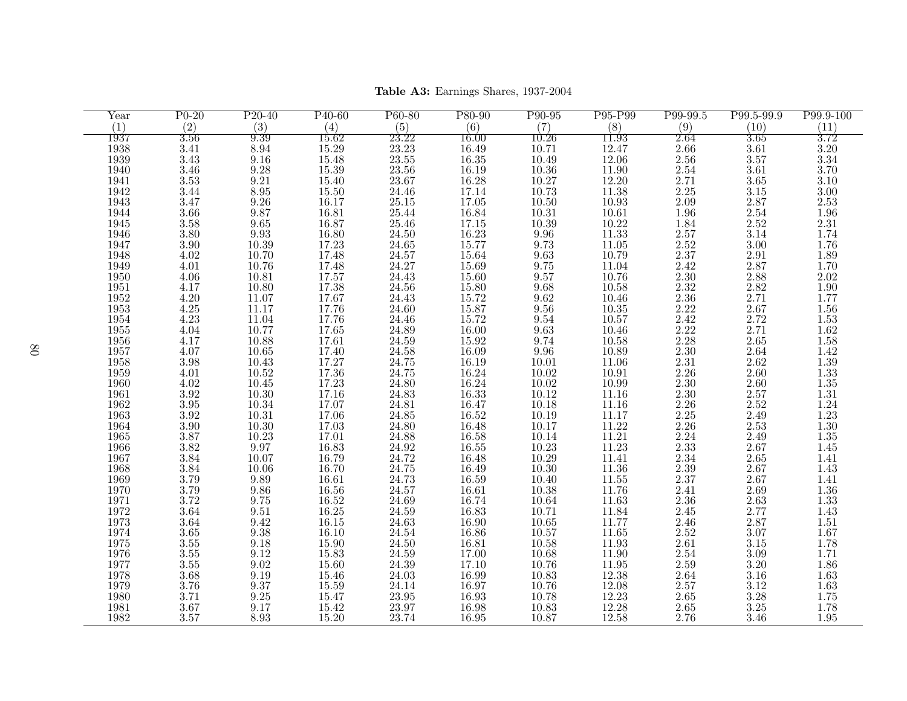| Year     | $P0-20$           | $P20-40$                                      | P <sub>40</sub> -60                                    | P60-80                      | P80-90    | P <sub>90</sub> -95 | P95-P99                                                  | P99-99.5                  | P99.5-99.9        | P99.9-100         |
|----------|-------------------|-----------------------------------------------|--------------------------------------------------------|-----------------------------|-----------|---------------------|----------------------------------------------------------|---------------------------|-------------------|-------------------|
| (1)      | (2)               | (3)                                           | (4)                                                    | (5)                         | (6)       | (7)                 | (8)                                                      | (9)                       | (10)              | (11)              |
| 1937     | $\overline{3.56}$ | 9.39                                          | 15.62                                                  | 23.22                       | 16.00     | 10.26               | 11.93                                                    | 2.64                      | $\overline{3.65}$ | 3.72              |
| 1938     | $3.41\,$          | $8.94\,$                                      | $15.29\,$                                              | 23.23                       | 16.49     | 10.71               | 12.47                                                    | $2.66\,$                  | $3.61\,$          | $3.20\,$          |
| 1939     | 3.43              | $9.16\,$                                      | 15.48                                                  | 23.55                       | 16.35     | 10.49               | 12.06                                                    | 2.56                      | 3.57              | $3.\overline{34}$ |
| 1940     | 3.46              | $9.28\,$                                      | 15.39                                                  | 23.56                       | 16.19     | $10.36\,$           | $\frac{11.90}{12.20}$                                    | $\overset{2.54}{_{2.71}}$ | 3.61              | 3.70              |
| 1941     | $3.53\,$          | $\ \, 9.21$                                   | 15.40                                                  | 23.67                       | 16.28     | $10.27\,$           |                                                          |                           | 3.65              | 3.10              |
| 1942     | 3.44              | $8.95\,$                                      | $15.50\,$                                              | 24.46                       | 17.14     | 10.73               | $11.38\,$                                                | $2.25\,$                  | $3.15\,$          | $3.00\,$          |
| 1943     | 3.47              | $9.26\,$                                      | 16.17                                                  | $25.15\,$                   | 17.05     | 10.50               | $10.93\,$                                                | $2.09\,$                  | 2.87              | 2.53              |
| 1944     | 3.66              | 9.87                                          | 16.81                                                  | 25.44                       | 16.84     | $10.31\,$           | $\overset{10.61}{\underset{10.22}{\hspace{-2.2mm}10.2}}$ | 1.96                      | 2.54              | 1.96              |
| 1945     | $3.58\,$          | $\,9.65\,$                                    | 16.87                                                  | $25.46\,$                   | $17.15\,$ | 10.39               |                                                          | $\frac{1.84}{2.57}$       | $2.52\,$          | $2.31\,$          |
| 1946     | $3.80\,$          | $9.93\,$                                      | 16.80                                                  | 24.50                       | 16.23     | 9.96                | 11.33                                                    |                           | 3.14              | 1.74              |
| 1947     | $3.90\,$          | 10.39                                         | 17.23                                                  | 24.65                       | 15.77     | 9.73                | $11.05\,$                                                | $2.52\,$                  | 3.00              | 1.76              |
| 1948     | 4.02              | 10.70                                         | $\frac{17.48}{17.48}$<br>$\frac{17.48}{17.57}$         | 24.57                       | 15.64     | $9.63\,$            | 10.79                                                    | 2.37                      | 2.91              | 1.89              |
| 1949     | 4.01              | 10.76                                         |                                                        | 24.27                       | 15.69     | 9.75                | 11.04                                                    | 2.42                      | 2.87              | 1.70              |
| 1950     | $4.06\,$          | $10.81\,$                                     |                                                        | 24.43                       | 15.60     | $\,9.57$            | $10.76\,$                                                | $2.30\,$                  | 2.88              | 2.02              |
| 1951     | 4.17              | 10.80                                         | 17.38                                                  | $24.56\,$                   | 15.80     | 9.68                | $10.58\,$                                                | 2.32                      | $2.82\,$          | $1.90\,$          |
| 1952     | $4.20\,$          | 11.07                                         | 17.67                                                  | 24.43                       | 15.72     | $9.62\,$            | 10.46                                                    | 2.36                      | 2.71              | 1.77              |
| 1953     | 4.25              | 11.17                                         | 17.76                                                  | 24.60                       | 15.87     | 9.56                | $10.35\,$                                                | 2.22                      | 2.67              | 1.56              |
| 1954     | 4.23              | $11.04\,$                                     | 17.76                                                  | 24.46                       | 15.72     | 9.54                | $10.57\,$                                                | $2.42\,$                  | 2.72              | 1.53              |
| 1955     | 4.04              | 10.77                                         | $17.65\,$                                              | 24.89                       | 16.00     | $9.63\,$            | 10.46                                                    | $2.22\,$                  | 2.71              | $1.62\,$          |
| 1956     | 4.17              | 10.88                                         | $17.61\,$                                              | 24.59                       | 15.92     | 9.74                | $10.58\,$                                                | $2.28\,$                  | $2.65\,$          | 1.58              |
| 1957     | 4.07              | $\begin{array}{c} 10.65 \\ 10.43 \end{array}$ | $\begin{array}{c} 17.30 \\ 17.27 \\ 17.36 \end{array}$ | $24.58\,$                   | 16.09     | $9.96\,$            | $\frac{10.89}{11.06}$                                    | 2.30                      | 2.64              | 1.42              |
| 1958     | $3.98\,$          |                                               |                                                        | 24.75                       | 16.19     | 10.01               |                                                          | $2.\overline{31}$         | $2.62\,$          | $1.\overline{39}$ |
| $1959\,$ | 4.01              | $10.52\,$                                     |                                                        | $24.75\,$                   | 16.24     | $10.02\,$           | $10.91\,$                                                | $2.26\,$                  | 2.60              | $1.\overline{33}$ |
| 1960     | $4.02\,$          | $10.45\,$                                     | 17.23                                                  | 24.80                       | 16.24     | 10.02               | 10.99                                                    | 2.30                      | 2.60              | $1.35\,$          |
| 1961     | 3.92              | $10.30\,$                                     | 17.16                                                  | 24.83                       | 16.33     | 10.12               | 11.16                                                    | $2.30\,$                  | 2.57              | 1.31              |
| 1962     | $3.95\,$          | $10.34\,$                                     | 17.07                                                  | 24.81                       | 16.47     | 10.18               | $11.16\,$                                                | 2.26                      | 2.52              | 1.24              |
| 1963     | $3.92\,$          | $10.31\,$                                     | 17.06                                                  | $24.85\,$                   | 16.52     | 10.19               | $11.17\,$                                                | 2.25                      | 2.49              | 1.23              |
| 1964     | $3.90\,$          | 10.30                                         | 17.03                                                  | 24.80                       | 16.48     | 10.17               | 11.22                                                    | 2.26                      | $2.53\,$          | 1.30              |
| 1965     | 3.87              | 10.23                                         | $17.01\,$                                              | $24.88\,$                   | 16.58     | 10.14               | $11.21\,$                                                | 2.24                      | 2.49              | $1.35\,$          |
| 1966     | $3.82\,$          | $\frac{9.97}{10.07}$                          | 16.83                                                  | $\overset{24.92}{_{24.72}}$ | $16.55\,$ | $10.23\,$           | $\frac{11.23}{11.41}$                                    | $2.33\,$                  | 2.67              | $1.45\,$          |
| 1967     | 3.84              |                                               | 16.79                                                  |                             | 16.48     | 10.29               |                                                          | 2.34                      | 2.65              | 1.41              |
| 1968     | 3.84              | $10.06\,$                                     | 16.70                                                  | $24.75\,$                   | 16.49     | 10.30               | $11.36\,$                                                | $2.39\,$                  | 2.67              | 1.43              |
| 1969     | 3.79              | 9.89                                          | 16.61                                                  | 24.73                       | 16.59     | 10.40               | $11.55\,$                                                | 2.37                      | 2.67              | 1.41              |
| 1970     | 3.79              | 9.86                                          | 16.56                                                  | 24.57                       | 16.61     | 10.38               | $11.76\,$                                                | 2.41                      | 2.69              | 1.36              |
| 1971     | 3.72              | 9.75                                          | 16.52                                                  | 24.69                       | 16.74     | 10.64               | 11.63                                                    | 2.36                      | 2.63              | 1.33              |
| 1972     | $3.64\,$          | $\ \, 9.51$                                   | 16.25                                                  | 24.59                       | 16.83     | 10.71               | $11.84\,$                                                | $2.45\,$                  | 2.77              | 1.43              |
| 1973     | 3.64              | 9.42                                          | $16.15\,$                                              | 24.63                       | 16.90     | $10.65\,$           | 11.77                                                    | 2.46                      | 2.87              | $1.51\,$          |
| 1974     | $3.65\,$          | $\boldsymbol{9.38}$                           | 16.10                                                  | 24.54                       | 16.86     | 10.57               | $11.65\,$                                                | 2.52                      | 3.07              | 1.67              |
| 1975     | $3.55\,$          | $9.18\,$                                      | $15.90\,$                                              | 24.50                       | 16.81     | $10.58\,$           | $11.93\,$                                                | $2.61\,$                  | 3.15              | 1.78              |
| 1976     | $3.55\,$          | $\,9.12$                                      | 15.83                                                  | 24.59                       | 17.00     | 10.68               | 11.90                                                    | 2.54                      | 3.09              | 1.71              |
| 1977     | $3.55\,$          | 9.02                                          | 15.60                                                  | $24.39\,$                   | 17.10     | $10.76\,$           | $11.95\,$                                                | $2.59\,$                  | 3.20              | 1.86              |
| 1978     | $3.68\,$          | $\,9.19$                                      | 15.46                                                  | 24.03                       | 16.99     | 10.83               | 12.38                                                    | $2.64\,$                  | 3.16              | 1.63              |
| 1979     | $3.76\,$          | $\rm 9.37$                                    | 15.59                                                  | 24.14                       | 16.97     | 10.76               | $12.08\,$                                                | $2.57\,$                  | $3.12\,$          | 1.63              |
| 1980     | 3.71              | $\boldsymbol{9.25}$                           | 15.47                                                  | $23.95\,$                   | 16.93     | 10.78               | 12.23                                                    | 2.65                      | 3.28              | 1.75              |
| 1981     | $3.67\,$          | $9.17\,$                                      | 15.42                                                  | 23.97                       | 16.98     | 10.83               | 12.28                                                    | 2.65                      | $3.25\,$          | 1.78              |
| 1982     | 3.57              | 8.93                                          | 15.20                                                  | 23.74                       | 16.95     | 10.87               | 12.58                                                    | 2.76                      | 3.46              | 1.95              |

Table A3: Earnings Shares, 1937-2004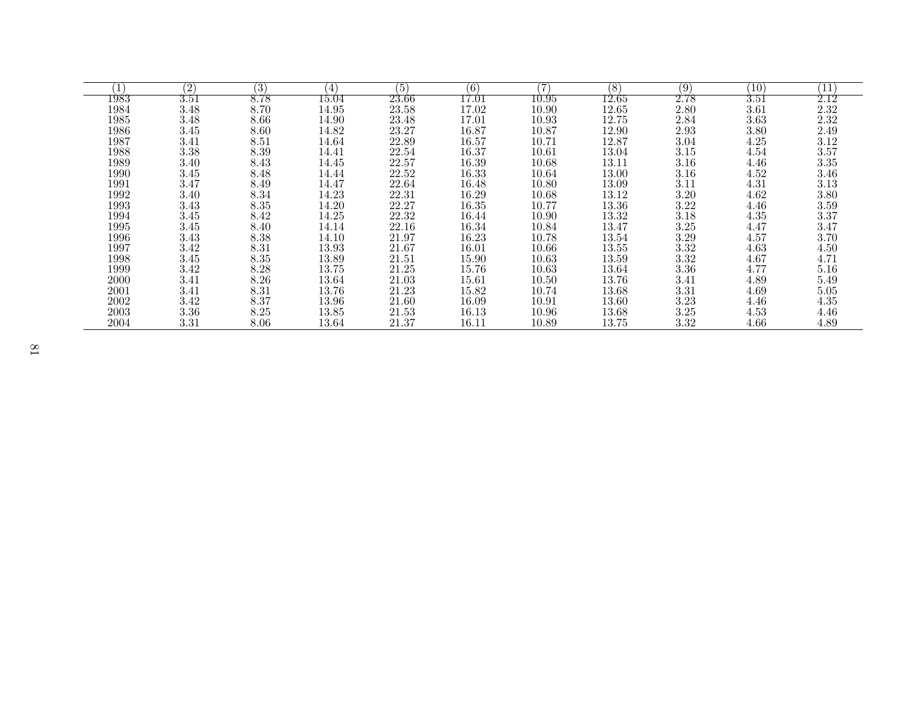|      | (2)      | (3)  | (4)       | (5)       | $\left(6\right)$ |           | (8)       | (9)      | 10       | $11\,$   |
|------|----------|------|-----------|-----------|------------------|-----------|-----------|----------|----------|----------|
| 1983 | $3.51\,$ | 8.78 | $15.04\,$ | $23.66\,$ | 17.01            | $10.95\,$ | $12.65\,$ | $2.78\,$ | $3.51\,$ | 2.12     |
| 1984 | 3.48     | 8.70 | 14.95     | 23.58     | 17.02            | 10.90     | 12.65     | 2.80     | 3.61     | 2.32     |
| 1985 | 3.48     | 8.66 | 14.90     | 23.48     | 17.01            | 10.93     | 12.75     | 2.84     | 3.63     | $2.32\,$ |
| 1986 | 3.45     | 8.60 | 14.82     | 23.27     | 16.87            | 10.87     | 12.90     | 2.93     | 3.80     | 2.49     |
| 1987 | 3.41     | 8.51 | 14.64     | 22.89     | $16.57\,$        | 10.71     | 12.87     | 3.04     | 4.25     | 3.12     |
| 1988 | 3.38     | 8.39 | 14.41     | 22.54     | 16.37            | 10.61     | 13.04     | 3.15     | 4.54     | 3.57     |
| 1989 | 3.40     | 8.43 | 14.45     | 22.57     | 16.39            | 10.68     | 13.11     | 3.16     | 4.46     | 3.35     |
| 1990 | 3.45     | 8.48 | 14.44     | 22.52     | 16.33            | 10.64     | 13.00     | 3.16     | 4.52     | 3.46     |
| 1991 | 3.47     | 8.49 | 14.47     | 22.64     | 16.48            | 10.80     | 13.09     | 3.11     | 4.31     | $3.13\,$ |
| 1992 | 3.40     | 8.34 | 14.23     | 22.31     | 16.29            | 10.68     | 13.12     | 3.20     | 4.62     | 3.80     |
| 1993 | 3.43     | 8.35 | 14.20     | 22.27     | 16.35            | 10.77     | 13.36     | $3.22\,$ | 4.46     | 3.59     |
| 1994 | 3.45     | 8.42 | 14.25     | 22.32     | 16.44            | 10.90     | 13.32     | 3.18     | 4.35     | 3.37     |
| 1995 | 3.45     | 8.40 | 14.14     | 22.16     | 16.34            | 10.84     | 13.47     | 3.25     | 4.47     | 3.47     |
| 1996 | 3.43     | 8.38 | 14.10     | 21.97     | 16.23            | 10.78     | 13.54     | 3.29     | 4.57     | 3.70     |
| 1997 | 3.42     | 8.31 | 13.93     | 21.67     | 16.01            | 10.66     | 13.55     | 3.32     | 4.63     | 4.50     |
| 1998 | 3.45     | 8.35 | 13.89     | 21.51     | 15.90            | 10.63     | 13.59     | 3.32     | 4.67     | 4.71     |
| 1999 | 3.42     | 8.28 | 13.75     | 21.25     | 15.76            | 10.63     | 13.64     | 3.36     | 4.77     | 5.16     |
| 2000 | 3.41     | 8.26 | 13.64     | 21.03     | 15.61            | 10.50     | 13.76     | 3.41     | 4.89     | 5.49     |
| 2001 | 3.41     | 8.31 | 13.76     | 21.23     | 15.82            | 10.74     | 13.68     | 3.31     | 4.69     | 5.05     |
| 2002 | 3.42     | 8.37 | 13.96     | 21.60     | 16.09            | 10.91     | 13.60     | 3.23     | 4.46     | 4.35     |
| 2003 | 3.36     | 8.25 | 13.85     | 21.53     | 16.13            | 10.96     | 13.68     | $3.25\,$ | 4.53     | 4.46     |
| 2004 | 3.31     | 8.06 | 13.64     | 21.37     | 16.11            | 10.89     | 13.75     | 3.32     | 4.66     | 4.89     |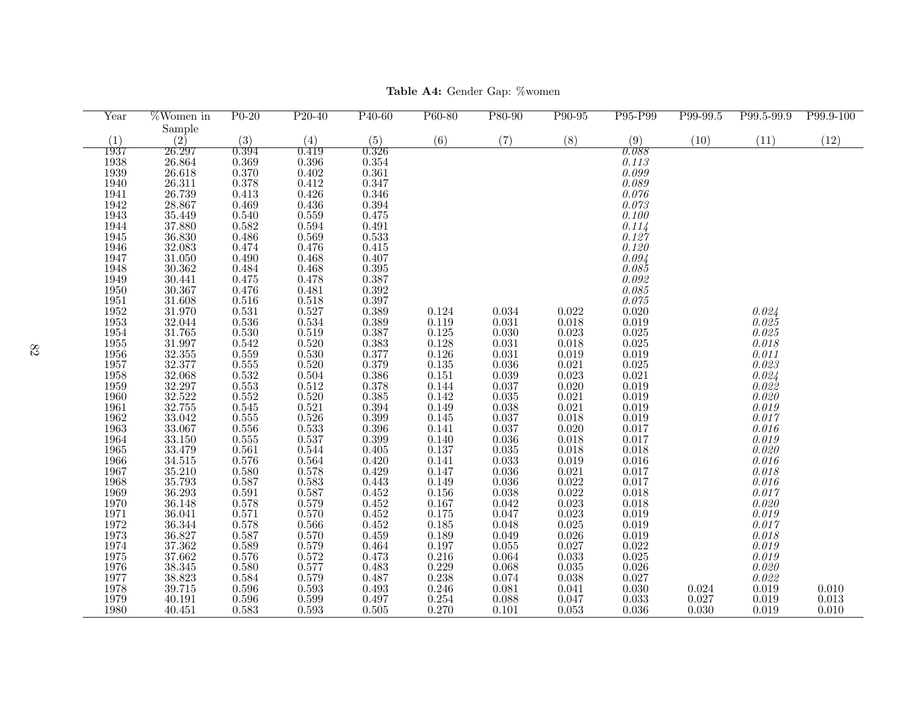| Year                 | $\sqrt{\text{Women in}}$                                                                                             | $P0-20$                                                         | $P_{20-40}$                                            | $P40-60$                                               | P60-80                                                          | P80-90                                                         | P90-95                                                          | P95-P99                     | P99-99.5       | P99.5-99.9                | P99.9-100 |
|----------------------|----------------------------------------------------------------------------------------------------------------------|-----------------------------------------------------------------|--------------------------------------------------------|--------------------------------------------------------|-----------------------------------------------------------------|----------------------------------------------------------------|-----------------------------------------------------------------|-----------------------------|----------------|---------------------------|-----------|
|                      | Sample                                                                                                               |                                                                 |                                                        |                                                        |                                                                 |                                                                |                                                                 |                             |                |                           |           |
| (1)                  | (2)                                                                                                                  | (3)                                                             | (4)                                                    | (5)                                                    | (6)                                                             | (7)                                                            | (8)                                                             | (9)                         | (10)           | (11)                      | (12)      |
| 1937                 | 26.297                                                                                                               | 0.394                                                           | 0.419                                                  | 0.326                                                  |                                                                 |                                                                |                                                                 | 0.088                       |                |                           |           |
| 1938                 | 26.864<br>26.864<br>26.311<br>26.739                                                                                 | $\overset{0.369}{_{0.370}}$                                     | $0.396\,$                                              | 0.354                                                  |                                                                 |                                                                |                                                                 | 0.113                       |                |                           |           |
| 1939                 |                                                                                                                      |                                                                 | 0.402                                                  | 0.361                                                  |                                                                 |                                                                |                                                                 | 0.099                       |                |                           |           |
| $\frac{1940}{1941}$  |                                                                                                                      | 0.378                                                           | 0.412                                                  | 0.347                                                  |                                                                 |                                                                |                                                                 | 0.089                       |                |                           |           |
|                      |                                                                                                                      | 0.413                                                           | $0.426\,$                                              | 0.346                                                  |                                                                 |                                                                |                                                                 | 0.076                       |                |                           |           |
| 1942                 | 28.867<br>35.449                                                                                                     | 0.469                                                           | $0.436\,$                                              | 0.394                                                  |                                                                 |                                                                |                                                                 | 0.073                       |                |                           |           |
| 1943                 |                                                                                                                      | $\frac{0.540}{0.582}$                                           | 0.559                                                  | 0.475                                                  |                                                                 |                                                                |                                                                 | 0.100                       |                |                           |           |
| 1944                 |                                                                                                                      |                                                                 | 0.594                                                  | 0.491                                                  |                                                                 |                                                                |                                                                 | 0.114                       |                |                           |           |
| 1945                 | $\frac{37.880}{36.830}$<br>$\frac{32.083}{32.083}$                                                                   | $0.486\,$                                                       | 0.569                                                  | 0.533                                                  |                                                                 |                                                                |                                                                 | 0.127                       |                |                           |           |
| 1946                 |                                                                                                                      | 0.474                                                           | 0.476                                                  | 0.415                                                  |                                                                 |                                                                |                                                                 | 0.120                       |                |                           |           |
| 1947                 | $\frac{31.050}{30.362}$                                                                                              | 0.490                                                           | 0.468                                                  | 0.407                                                  |                                                                 |                                                                |                                                                 | $\overset{0.094}{_{0.085}}$ |                |                           |           |
| 1948                 |                                                                                                                      | $0.484$<br>$0.475$                                              | 0.468                                                  | 0.395                                                  |                                                                 |                                                                |                                                                 |                             |                |                           |           |
| 1949                 | $\begin{array}{c} 30.441 \\ 30.367 \end{array}$                                                                      |                                                                 | 0.478                                                  | $\frac{0.387}{0.392}$                                  |                                                                 |                                                                |                                                                 | 0.092                       |                |                           |           |
| 1950                 |                                                                                                                      | 0.476                                                           | $\,0.481\,$                                            |                                                        |                                                                 |                                                                |                                                                 | 0.085                       |                |                           |           |
| $1951\,$<br>1952     | 31.608<br>31.970                                                                                                     | $\frac{0.516}{0.531}$                                           | $\frac{0.518}{0.527}$                                  | 0.397<br>0.389                                         | 0.124                                                           | 0.034                                                          | 0.022                                                           | $0.075\,$<br>0.020          |                |                           |           |
| 1953                 |                                                                                                                      | 0.536                                                           | 0.534                                                  | 0.389                                                  | 0.119                                                           | 0.031                                                          | 0.018                                                           | 0.019                       |                | 0.024<br>0.025            |           |
| 1954                 |                                                                                                                      | $0.530\,$                                                       |                                                        |                                                        | 0.125                                                           | 0.030                                                          | $\,0.023\,$                                                     | 0.025                       |                | $0.025\,$                 |           |
| 1955                 |                                                                                                                      | $\,0.542\,$                                                     | $\overset{\textstyle+0.519}{_{\textstyle-0.520}$       |                                                        | 0.128                                                           | $\,0.031\,$                                                    | $0.018\,$                                                       | 0.025                       |                | 0.018                     |           |
| 1956                 |                                                                                                                      |                                                                 | $0.530\,$                                              | $\begin{array}{c} 0.387 \\ 0.383 \\ 0.377 \end{array}$ |                                                                 | $\,0.031\,$                                                    | $\,0.019\,$                                                     | 0.019                       |                | 0.011                     |           |
| 1957                 |                                                                                                                      |                                                                 |                                                        |                                                        | $\begin{array}{c} 0.126 \\ 0.135 \\ 0.151 \end{array}$          | 0.036                                                          |                                                                 | 0.025                       |                |                           |           |
|                      |                                                                                                                      |                                                                 |                                                        |                                                        |                                                                 |                                                                |                                                                 | 0.021                       |                |                           |           |
| $\frac{1958}{1959}$  | $31.970$<br>$32.044$<br>$31.765$<br>$31.997$<br>$32.355$<br>$32.377$<br>$32.068$<br>$32.297$<br>$32.522$<br>$32.755$ | $\begin{array}{c} 0.559 \\ 0.555 \\ 0.532 \\ 0.553 \end{array}$ | $\begin{array}{c} 0.520 \\ 0.504 \\ 0.512 \end{array}$ | $\begin{array}{c} 0.379 \\ 0.386 \\ 0.378 \end{array}$ | 0.144                                                           | $\begin{array}{c} 0.039 \\ 0.037 \end{array}$                  | $\begin{array}{c} 0.019 \\ 0.021 \\ 0.023 \\ 0.020 \end{array}$ | 0.019                       |                | $0.023$<br>0.024<br>0.024 |           |
| 1960                 |                                                                                                                      | $\rm 0.552$                                                     | 0.520                                                  | $0.385\,$                                              | $0.142\,$                                                       | $\,0.035\,$                                                    | $\,0.021\,$                                                     | 0.019                       |                | 0.020                     |           |
| 1961                 |                                                                                                                      | 0.545                                                           | 0.521                                                  | 0.394                                                  | 0.149                                                           | 0.038                                                          | 0.021                                                           | 0.019                       |                | 0.019                     |           |
| 1962                 | $33.042\,$                                                                                                           | $0.555\,$                                                       | $0.526\,$                                              | 0.399                                                  | 0.145                                                           | 0.037                                                          | 0.018                                                           | 0.019                       |                | 0.017                     |           |
| 1963                 | $\frac{33.067}{33.150}$                                                                                              | $0.556\,$                                                       | $\overline{0.533}$<br>$\overline{0.537}$               | $\frac{0.396}{0.399}$                                  | 0.141                                                           | 0.037                                                          | $\frac{0.020}{0.018}$                                           | 0.017                       |                | 0.016                     |           |
| 1964                 |                                                                                                                      | $\rm 0.555$                                                     |                                                        |                                                        | 0.140                                                           | 0.036                                                          |                                                                 | 0.017                       |                | 0.019                     |           |
| 1965                 |                                                                                                                      |                                                                 | 0.544                                                  | 0.405                                                  | 0.137                                                           | 0.035                                                          | $0.018\,$                                                       | 0.018                       |                | 0.020                     |           |
| 1966                 | $33.479$<br>$34.515$                                                                                                 | $\frac{0.561}{0.576}$                                           | $\frac{0.564}{0.578}$                                  | 0.420                                                  | 0.141                                                           | 0.033                                                          | 0.019                                                           | 0.016                       |                | 0.016                     |           |
| 1967<br>1968         | 35.210<br>35.793                                                                                                     | $\frac{0.580}{0.587}$                                           |                                                        | 0.429                                                  | 0.147                                                           | $\overset{\text{\normalsize 0.036}}{\text{\normalsize 0.036}}$ | $\overset{\text{{\Large 0.021}}}{0.022}$                        | 0.017                       |                | 0.018                     |           |
|                      |                                                                                                                      |                                                                 | 0.583                                                  | $\,0.443\,$                                            | 0.149                                                           |                                                                |                                                                 | 0.017                       |                | $0.016\,$                 |           |
| 1969                 |                                                                                                                      | $\frac{0.591}{0.578}$                                           | 0.587                                                  |                                                        | $0.156\,$                                                       | 0.038                                                          | $\,0.022\,$                                                     | 0.018                       |                | 0.017                     |           |
| $\frac{1970}{1971}$  |                                                                                                                      |                                                                 | 0.579                                                  |                                                        | 0.167                                                           | 0.042                                                          | 0.023                                                           | 0.018                       |                | 0.020                     |           |
|                      |                                                                                                                      | 0.571                                                           | 0.570                                                  | $0.452$<br>$0.452$<br>$0.452$<br>$0.452$               | 0.175                                                           | 0.047                                                          | 0.023                                                           | 0.019                       |                | 0.019                     |           |
| 1972                 |                                                                                                                      | 0.578                                                           | $\,0.566\,$                                            |                                                        | $0.185\,$                                                       | 0.048                                                          | $0.025\,$                                                       | 0.019                       |                | 0.017                     |           |
|                      |                                                                                                                      | 0.587                                                           | 0.570                                                  | 0.459                                                  | 0.189                                                           | 0.049                                                          | 0.026                                                           | 0.019                       |                | 0.018                     |           |
| 1973<br>1974<br>1975 | $35.793$<br>$36.293$<br>$36.148$<br>$36.041$<br>$36.344$<br>$36.827$<br>$37.362$<br>$37.662$<br>$39.345$             | $\frac{0.589}{0.576}$                                           | $\frac{0.579}{0.572}$                                  | $\frac{0.464}{0.473}$                                  | $\begin{array}{c} 0.197 \\ 0.216 \\ 0.229 \\ 0.238 \end{array}$ | $\,0.055\,$                                                    | $0.027\,$                                                       | $\overline{0.022}$<br>0.025 |                | 0.019                     |           |
|                      |                                                                                                                      |                                                                 |                                                        |                                                        |                                                                 | 0.064                                                          | $\,0.033\,$                                                     |                             |                | 0.019                     |           |
| $\frac{1976}{1977}$  |                                                                                                                      | $\overset{\textstyle+0.580}{_{\textstyle-0.584}$                | $0.577\,$<br>0.579                                     | $\frac{0.483}{0.487}$                                  |                                                                 | $\frac{0.068}{0.074}$                                          | $\overset{0.035}{_{0.038}}$                                     | 0.026<br>0.027              |                | 0.020<br>0.022            |           |
| 1978                 | 38.345<br>38.823<br>39.715                                                                                           | $0.596\,$                                                       | $\,0.593\,$                                            | 0.493                                                  | 0.246                                                           | $\,0.081\,$                                                    | 0.041                                                           | 0.030                       |                | 0.019                     | 0.010     |
| 1979                 | 40.191                                                                                                               | $0.596\,$                                                       | 0.599                                                  | 0.497                                                  | 0.254                                                           | 0.088                                                          | 0.047                                                           | 0.033                       | 0.024<br>0.027 | 0.019                     | 0.013     |
| 1980                 | 40.451                                                                                                               | 0.583                                                           | 0.593                                                  | 0.505                                                  | 0.270                                                           | 0.101                                                          | 0.053                                                           | 0.036                       | 0.030          | 0.019                     | 0.010     |
|                      |                                                                                                                      |                                                                 |                                                        |                                                        |                                                                 |                                                                |                                                                 |                             |                |                           |           |

Table A4: Gender Gap: %women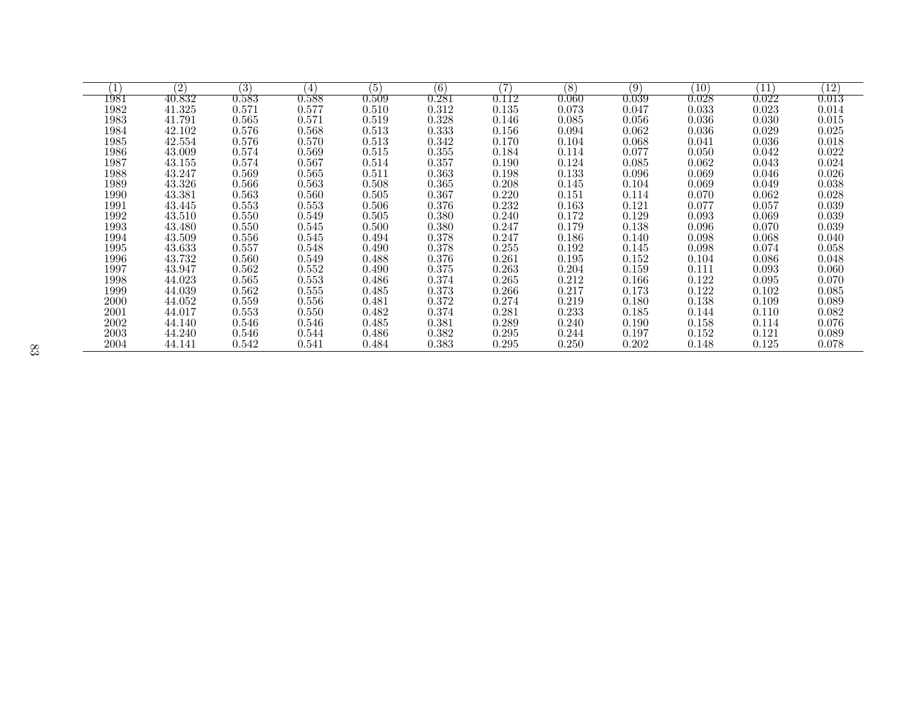|      | (2)    | (3)         | $\left( 4\right)$ | (5)         | (6)       | 7     | (8)   | (9)         | $\left(10\right)$ | $^{\prime}11$ | $\left(12\right)$  |
|------|--------|-------------|-------------------|-------------|-----------|-------|-------|-------------|-------------------|---------------|--------------------|
| 1981 | 40.832 | $\,0.583\,$ | $\,0.588\,$       | $\,0.509\,$ | ${0.281}$ | 0.112 | 0.060 | $\,0.039\,$ | $0.028\,$         | $\,0.022\,$   | $\overline{0.013}$ |
| 1982 | 41.325 | 0.571       | 0.577             | $0.510\,$   | 0.312     | 0.135 | 0.073 | 0.047       | 0.033             | 0.023         | 0.014              |
| 1983 | 41.791 | 0.565       | 0.571             | 0.519       | 0.328     | 0.146 | 0.085 | 0.056       | 0.036             | 0.030         | 0.015              |
| 1984 | 42.102 | 0.576       | 0.568             | 0.513       | 0.333     | 0.156 | 0.094 | 0.062       | 0.036             | 0.029         | 0.025              |
| 1985 | 42.554 | 0.576       | 0.570             | 0.513       | 0.342     | 0.170 | 0.104 | 0.068       | 0.041             | 0.036         | 0.018              |
| 1986 | 43.009 | 0.574       | 0.569             | 0.515       | 0.355     | 0.184 | 0.114 | 0.077       | 0.050             | 0.042         | 0.022              |
| 1987 | 43.155 | 0.574       | 0.567             | 0.514       | 0.357     | 0.190 | 0.124 | 0.085       | 0.062             | 0.043         | 0.024              |
| 1988 | 43.247 | 0.569       | 0.565             | 0.511       | 0.363     | 0.198 | 0.133 | 0.096       | 0.069             | 0.046         | 0.026              |
| 1989 | 43.326 | 0.566       | 0.563             | 0.508       | 0.365     | 0.208 | 0.145 | 0.104       | 0.069             | 0.049         | 0.038              |
| 1990 | 43.381 | 0.563       | 0.560             | 0.505       | 0.367     | 0.220 | 0.151 | 0.114       | 0.070             | 0.062         | 0.028              |
| 1991 | 43.445 | 0.553       | 0.553             | 0.506       | 0.376     | 0.232 | 0.163 | 0.121       | 0.077             | 0.057         | 0.039              |
| 1992 | 43.510 | 0.550       | 0.549             | 0.505       | 0.380     | 0.240 | 0.172 | 0.129       | 0.093             | 0.069         | 0.039              |
| 1993 | 43.480 | 0.550       | 0.545             | 0.500       | 0.380     | 0.247 | 0.179 | 0.138       | 0.096             | 0.070         | 0.039              |
| 1994 | 43.509 | 0.556       | 0.545             | 0.494       | 0.378     | 0.247 | 0.186 | 0.140       | 0.098             | 0.068         | 0.040              |
| 1995 | 43.633 | 0.557       | 0.548             | 0.490       | 0.378     | 0.255 | 0.192 | 0.145       | 0.098             | 0.074         | 0.058              |
| 1996 | 43.732 | 0.560       | 0.549             | 0.488       | 0.376     | 0.261 | 0.195 | 0.152       | 0.104             | 0.086         | 0.048              |
| 1997 | 43.947 | 0.562       | 0.552             | 0.490       | 0.375     | 0.263 | 0.204 | 0.159       | 0.111             | 0.093         | 0.060              |
| 1998 | 44.023 | 0.565       | 0.553             | 0.486       | 0.374     | 0.265 | 0.212 | 0.166       | 0.122             | 0.095         | 0.070              |
| 1999 | 44.039 | 0.562       | 0.555             | 0.485       | 0.373     | 0.266 | 0.217 | 0.173       | 0.122             | 0.102         | 0.085              |
| 2000 | 44.052 | 0.559       | 0.556             | 0.481       | 0.372     | 0.274 | 0.219 | 0.180       | 0.138             | 0.109         | 0.089              |
| 2001 | 44.017 | 0.553       | 0.550             | 0.482       | 0.374     | 0.281 | 0.233 | 0.185       | 0.144             | 0.110         | 0.082              |
| 2002 | 44.140 | 0.546       | 0.546             | 0.485       | 0.381     | 0.289 | 0.240 | 0.190       | 0.158             | 0.114         | 0.076              |
| 2003 | 44.240 | 0.546       | 0.544             | 0.486       | 0.382     | 0.295 | 0.244 | 0.197       | 0.152             | 0.121         | 0.089              |
| 2004 | 44.141 | 0.542       | 0.541             | 0.484       | 0.383     | 0.295 | 0.250 | 0.202       | 0.148             | 0.125         | 0.078              |